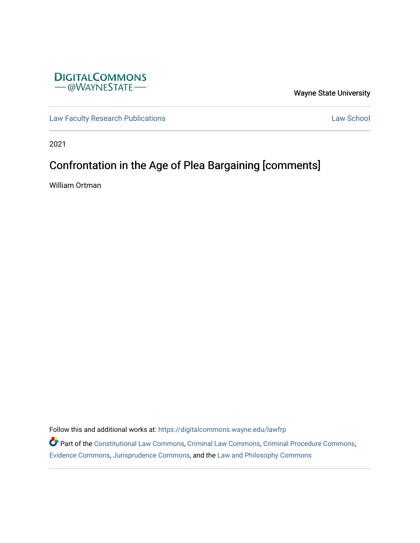

Wayne State University

[Law Faculty Research Publications](https://digitalcommons.wayne.edu/lawfrp) **Law School** 

2021

# Confrontation in the Age of Plea Bargaining [comments]

William Ortman

Follow this and additional works at: [https://digitalcommons.wayne.edu/lawfrp](https://digitalcommons.wayne.edu/lawfrp?utm_source=digitalcommons.wayne.edu%2Flawfrp%2F549&utm_medium=PDF&utm_campaign=PDFCoverPages)

Part of the [Constitutional Law Commons,](http://network.bepress.com/hgg/discipline/589?utm_source=digitalcommons.wayne.edu%2Flawfrp%2F549&utm_medium=PDF&utm_campaign=PDFCoverPages) [Criminal Law Commons,](http://network.bepress.com/hgg/discipline/912?utm_source=digitalcommons.wayne.edu%2Flawfrp%2F549&utm_medium=PDF&utm_campaign=PDFCoverPages) [Criminal Procedure Commons](http://network.bepress.com/hgg/discipline/1073?utm_source=digitalcommons.wayne.edu%2Flawfrp%2F549&utm_medium=PDF&utm_campaign=PDFCoverPages), [Evidence Commons](http://network.bepress.com/hgg/discipline/601?utm_source=digitalcommons.wayne.edu%2Flawfrp%2F549&utm_medium=PDF&utm_campaign=PDFCoverPages), [Jurisprudence Commons,](http://network.bepress.com/hgg/discipline/610?utm_source=digitalcommons.wayne.edu%2Flawfrp%2F549&utm_medium=PDF&utm_campaign=PDFCoverPages) and the [Law and Philosophy Commons](http://network.bepress.com/hgg/discipline/1299?utm_source=digitalcommons.wayne.edu%2Flawfrp%2F549&utm_medium=PDF&utm_campaign=PDFCoverPages)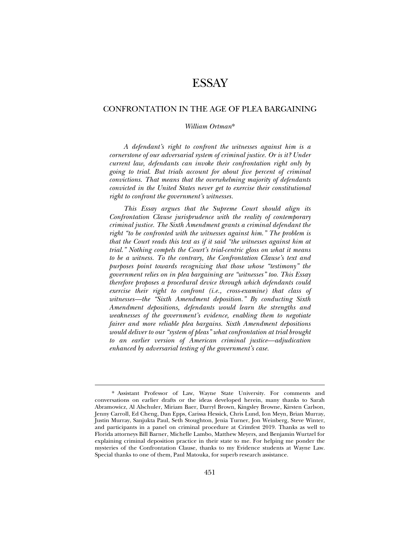## ESSAY

### CONFRONTATION IN THE AGE OF PLEA BARGAINING

#### *William Ortman*\*

*A defendant's right to confront the witnesses against him is a cornerstone of our adversarial system of criminal justice. Or is it? Under current law, defendants can invoke their confrontation right only by going to trial. But trials account for about five percent of criminal convictions. That means that the overwhelming majority of defendants convicted in the United States never get to exercise their constitutional right to confront the government's witnesses.* 

*This Essay argues that the Supreme Court should align its Confrontation Clause jurisprudence with the reality of contemporary criminal justice. The Sixth Amendment grants a criminal defendant the right "to be confronted with the witnesses against him." The problem is that the Court reads this text as if it said "the witnesses against him at trial." Nothing compels the Court's trial-centric gloss on what it means to be a witness. To the contrary, the Confrontation Clause's text and purposes point towards recognizing that those whose "testimony" the government relies on in plea bargaining are "witnesses" too. This Essay therefore proposes a procedural device through which defendants could exercise their right to confront (i.e., cross-examine) that class of witnesses—the "Sixth Amendment deposition." By conducting Sixth Amendment depositions, defendants would learn the strengths and weaknesses of the government's evidence, enabling them to negotiate fairer and more reliable plea bargains. Sixth Amendment depositions would deliver to our "system of pleas" what confrontation at trial brought to an earlier version of American criminal justice—adjudication enhanced by adversarial testing of the government's case.* 

<sup>\*</sup> Assistant Professor of Law, Wayne State University. For comments and conversations on earlier drafts or the ideas developed herein, many thanks to Sarah Abramowicz, Al Alschuler, Miriam Baer, Darryl Brown, Kingsley Browne, Kirsten Carlson, Jenny Carroll, Ed Cheng, Dan Epps, Carissa Hessick, Chris Lund, Ion Meyn, Brian Murray, Justin Murray, Sanjukta Paul, Seth Stoughton, Jenia Turner, Jon Weinberg, Steve Winter, and participants in a panel on criminal procedure at Crimfest 2019. Thanks as well to Florida attorneys Bill Barner, Michelle Lambo, Matthew Meyers, and Benjamin Wurtzel for explaining criminal deposition practice in their state to me. For helping me ponder the mysteries of the Confrontation Clause, thanks to my Evidence students at Wayne Law. Special thanks to one of them, Paul Matouka, for superb research assistance.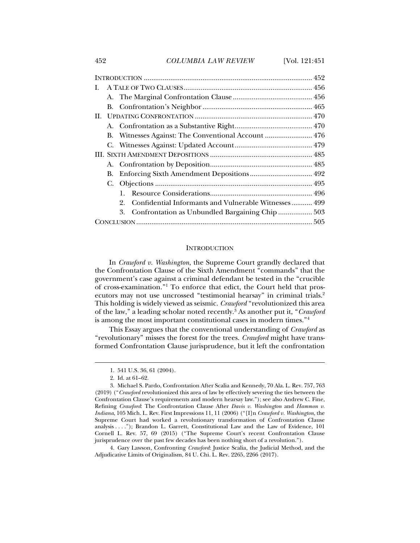452 *COLUMBIA LAW REVIEW* [Vol. 121:451

| L. |    |                                                                 |  |
|----|----|-----------------------------------------------------------------|--|
|    |    |                                                                 |  |
|    |    |                                                                 |  |
|    |    |                                                                 |  |
|    |    |                                                                 |  |
|    |    | B. Witnesses Against: The Conventional Account  476             |  |
|    |    |                                                                 |  |
|    |    |                                                                 |  |
|    |    |                                                                 |  |
|    | В. |                                                                 |  |
|    |    |                                                                 |  |
|    |    |                                                                 |  |
|    |    | Confidential Informants and Vulnerable Witnesses 499<br>$2_{-}$ |  |
|    |    | 3.                                                              |  |
|    |    |                                                                 |  |
|    |    |                                                                 |  |

#### **INTRODUCTION**

In *Crawford v. Washington*, the Supreme Court grandly declared that the Confrontation Clause of the Sixth Amendment "commands" that the government's case against a criminal defendant be tested in the "crucible of cross-examination."1 To enforce that edict, the Court held that prosecutors may not use uncrossed "testimonial hearsay" in criminal trials.<sup>2</sup> This holding is widely viewed as seismic. *Crawford* "revolutionized this area of the law," a leading scholar noted recently.3 As another put it, "*Crawford* is among the most important constitutional cases in modern times."4

This Essay argues that the conventional understanding of *Crawford* as "revolutionary" misses the forest for the trees. *Crawford* might have transformed Confrontation Clause jurisprudence, but it left the confrontation

j

 4. Gary Lawson*,* Confronting *Crawford*: Justice Scalia, the Judicial Method, and the Adjudicative Limits of Originalism, 84 U. Chi. L. Rev. 2265, 2266 (2017).

 <sup>1. 541</sup> U.S. 36, 61 (2004).

 <sup>2.</sup> Id. at 61–62.

 <sup>3.</sup> Michael S. Pardo, Confrontation After Scalia and Kennedy, 70 Ala. L. Rev. 757, 763 (2019) ("*Crawford* revolutionized this area of law by effectively severing the ties between the Confrontation Clause's requirements and modern hearsay law."); see also Andrew C. Fine, Refining *Crawford*: The Confrontation Clause After *Davis v. Washington* and *Hammon v. Indiana*, 105 Mich. L. Rev. First Impressions 11, 11 (2006) ("[I]n *Crawford v. Washington*, the Supreme Court had worked a revolutionary transformation of Confrontation Clause analysis . . . ."); Brandon L. Garrett, Constitutional Law and the Law of Evidence, 101 Cornell L. Rev. 57, 69 (2015) ("The Supreme Court's recent Confrontation Clause jurisprudence over the past few decades has been nothing short of a revolution.").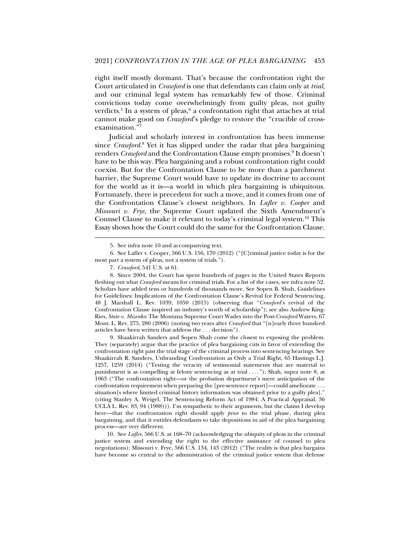right itself mostly dormant. That's because the confrontation right the Court articulated in *Crawford* is one that defendants can claim only at *trial*, and our criminal legal system has remarkably few of those. Criminal convictions today come overwhelmingly from guilty pleas, not guilty verdicts.<sup>5</sup> In a system of pleas,<sup>6</sup> a confrontation right that attaches at trial cannot make good on *Crawford*'s pledge to restore the "crucible of crossexamination."7

Judicial and scholarly interest in confrontation has been immense since *Crawford*.<sup>8</sup> Yet it has slipped under the radar that plea bargaining renders *Crawford* and the Confrontation Clause empty promises.<sup>9</sup> It doesn't have to be this way. Plea bargaining and a robust confrontation right could coexist. But for the Confrontation Clause to be more than a parchment barrier, the Supreme Court would have to update its doctrine to account for the world as it is—a world in which plea bargaining is ubiquitous. Fortunately, there is precedent for such a move, and it comes from one of the Confrontation Clause's closest neighbors. In *Lafler v. Cooper* and *Missouri v. Frye*, the Supreme Court updated the Sixth Amendment's Counsel Clause to make it relevant to today's criminal legal system.10 This Essay shows how the Court could do the same for the Confrontation Clause.

j

 9. Shaakirrah Sanders and Sopen Shah come the closest to exposing the problem. They (separately) argue that the practice of plea bargaining cuts in favor of extending the confrontation right past the trial stage of the criminal process into sentencing hearings. See Shaakirrah R. Sanders, Unbranding Confrontation as Only a Trial Right, 65 Hastings L.J. 1257, 1259 (2014) ("Testing the veracity of testimonial statements that are material to punishment is as compelling at felony sentencing as at trial . . . ."); Shah, supra note 8, at 1063 ("The confrontation right—or the probation department's mere anticipation of the confrontation requirement when preparing the [pre-sentence report]—could ameliorate . . . situation[s where limited criminal history information was obtained prior to a guilty plea]." (citing Stanley A. Weigel, The Sentencing Reform Act of 1984: A Practical Appraisal, 36 UCLA L. Rev. 83, 94 (1988))). I'm sympathetic to their arguments, but the claims I develop here—that the confrontation right should apply *prior* to the trial phase, during plea bargaining, and that it entitles defendants to take depositions in aid of the plea bargaining process—are very different.

 <sup>5.</sup> See infra note 10 and accompanying text.

 <sup>6.</sup> See Lafler v. Cooper, 566 U.S. 156, 170 (2012) ("[C]riminal justice today is for the most part a system of pleas, not a system of trials.").

<sup>7</sup>*. Crawford*, 541 U.S. at 61.

 <sup>8.</sup> Since 2004, the Court has spent hundreds of pages in the United States Reports fleshing out what *Crawford* means for criminal trials. For a list of the cases, see infra note 52*.* Scholars have added tens or hundreds of thousands more. See Sopen B. Shah, Guidelines for Guidelines: Implications of the Confrontation Clause's Revival for Federal Sentencing, 48 J. Marshall L. Rev. 1039, 1050 (2015) (observing that "*Crawford*'s revival of the Confrontation Clause inspired an industry's worth of scholarship"); see also Andrew King-Ries, *State v. Mizenko*: The Montana Supreme Court Wades into the Post-*Crawford* Waters, 67 Mont. L. Rev. 275, 280 (2006) (noting two years after *Crawford* that "[n]early three hundred articles have been written that address the . . . decision").

 <sup>10.</sup> See *Lafler*, 566 U.S. at 168–70 (acknowledging the ubiquity of pleas in the criminal justice system and extending the right to the effective assistance of counsel to plea negotiations); Missouri v. Frye, 566 U.S. 134, 143 (2012) ("The reality is that plea bargains have become so central to the administration of the criminal justice system that defense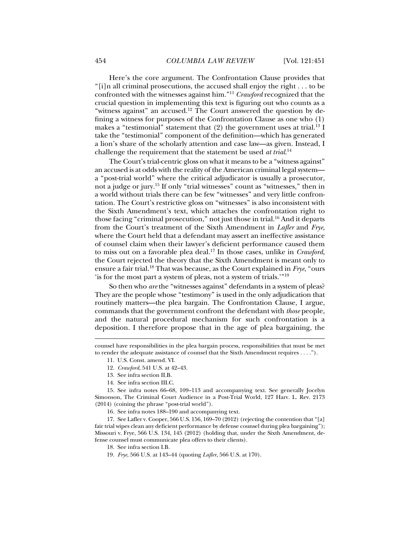Here's the core argument. The Confrontation Clause provides that "[i]n all criminal prosecutions, the accused shall enjoy the right . . . to be confronted with the witnesses against him."11 *Crawford* recognized that the crucial question in implementing this text is figuring out who counts as a "witness against" an accused.<sup>12</sup> The Court answered the question by defining a witness for purposes of the Confrontation Clause as one who (1) makes a "testimonial" statement that  $(2)$  the government uses at trial.<sup>13</sup> I take the "testimonial" component of the definition—which has generated a lion's share of the scholarly attention and case law—as given. Instead, I challenge the requirement that the statement be used *at trial*. 14

The Court's trial-centric gloss on what it means to be a "witness against" an accused is at odds with the reality of the American criminal legal system a "post-trial world" where the critical adjudicator is usually a prosecutor, not a judge or jury.15 If only "trial witnesses" count as "witnesses," then in a world without trials there can be few "witnesses" and very little confrontation. The Court's restrictive gloss on "witnesses" is also inconsistent with the Sixth Amendment's text, which attaches the confrontation right to those facing "criminal prosecution," not just those in trial.<sup>16</sup> And it departs from the Court's treatment of the Sixth Amendment in *Lafler* and *Frye*, where the Court held that a defendant may assert an ineffective assistance of counsel claim when their lawyer's deficient performance caused them to miss out on a favorable plea deal.17 In those cases, unlike in *Crawford*, the Court rejected the theory that the Sixth Amendment is meant only to ensure a fair trial.18 That was because, as the Court explained in *Frye*, "ours 'is for the most part a system of pleas, not a system of trials.'"19

So then who *are* the "witnesses against" defendants in a system of pleas? They are the people whose "testimony" is used in the only adjudication that routinely matters—the plea bargain. The Confrontation Clause, I argue, commands that the government confront the defendant with *those* people, and the natural procedural mechanism for such confrontation is a deposition. I therefore propose that in the age of plea bargaining, the

j

14. See infra section III.C.

 15. See infra notes 66–68, 109–113 and accompanying text. See generally Jocelyn Simonson, The Criminal Court Audience in a Post-Trial World, 127 Harv. L. Rev. 2173 (2014) (coining the phrase "post-trial world").

16. See infra notes 188–190 and accompanying text.

 17. See Lafler v. Cooper, 566 U.S. 156, 169–70 (2012) (rejecting the contention that "[a] fair trial wipes clean any deficient performance by defense counsel during plea bargaining"); Missouri v. Frye, 566 U.S. 134, 145 (2012) (holding that, under the Sixth Amendment, defense counsel must communicate plea offers to their clients).

18. See infra section I.B*.*

counsel have responsibilities in the plea bargain process, responsibilities that must be met to render the adequate assistance of counsel that the Sixth Amendment requires . . . .").

 <sup>11.</sup> U.S. Const. amend. VI.

 <sup>12.</sup> *Crawford*, 541 U.S. at 42–43.

 <sup>13.</sup> See infra section II.B.

<sup>19</sup>*. Frye*, 566 U.S. at 143–44 (quoting *Lafler*, 566 U.S. at 170).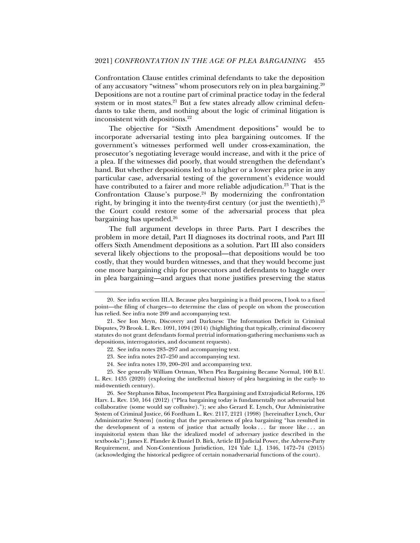Confrontation Clause entitles criminal defendants to take the deposition of any accusatory "witness" whom prosecutors rely on in plea bargaining.20 Depositions are not a routine part of criminal practice today in the federal system or in most states.<sup>21</sup> But a few states already allow criminal defendants to take them, and nothing about the logic of criminal litigation is inconsistent with depositions.<sup>22</sup>

The objective for "Sixth Amendment depositions" would be to incorporate adversarial testing into plea bargaining outcomes. If the government's witnesses performed well under cross-examination, the prosecutor's negotiating leverage would increase, and with it the price of a plea. If the witnesses did poorly, that would strengthen the defendant's hand. But whether depositions led to a higher or a lower plea price in any particular case, adversarial testing of the government's evidence would have contributed to a fairer and more reliable adjudication.<sup>23</sup> That is the Confrontation Clause's purpose. $24$  By modernizing the confrontation right, by bringing it into the twenty-first century (or just the twentieth),  $25$ the Court could restore some of the adversarial process that plea bargaining has upended.26

The full argument develops in three Parts. Part I describes the problem in more detail, Part II diagnoses its doctrinal roots, and Part III offers Sixth Amendment depositions as a solution. Part III also considers several likely objections to the proposal—that depositions would be too costly, that they would burden witnesses, and that they would become just one more bargaining chip for prosecutors and defendants to haggle over in plea bargaining—and argues that none justifies preserving the status

j

24. See infra notes 139, 200–201 and accompanying text.

 25. See generally William Ortman, When Plea Bargaining Became Normal, 100 B.U. L. Rev. 1435 (2020) (exploring the intellectual history of plea bargaining in the early- to mid-twentieth century).

 26. See Stephanos Bibas, Incompetent Plea Bargaining and Extrajudicial Reforms, 126 Harv. L. Rev. 150, 164 (2012) ("Plea bargaining today is fundamentally not adversarial but collaborative (some would say collusive)."); see also Gerard E. Lynch, Our Administrative System of Criminal Justice, 66 Fordham L. Rev. 2117, 2121 (1998) [hereinafter Lynch, Our Administrative System] (noting that the pervasiveness of plea bargaining "has resulted in the development of a system of justice that actually looks . . . far more like . . . an inquisitorial system than like the idealized model of adversary justice described in the textbooks"); James E. Pfander & Daniel D. Birk, Article III Judicial Power, the Adverse-Party Requirement, and Non-Contentious Jurisdiction, 124 Yale L.J. 1346, 1472–74 (2015) (acknowledging the historical pedigree of certain nonadversarial functions of the court).

 <sup>20.</sup> See infra section III.A. Because plea bargaining is a fluid process, I look to a fixed point—the filing of charges—to determine the class of people on whom the prosecution has relied. See infra note 209 and accompanying text.

 <sup>21.</sup> See Ion Meyn, Discovery and Darkness: The Information Deficit in Criminal Disputes, 79 Brook. L. Rev. 1091, 1094 (2014) (highlighting that typically, criminal discovery statutes do not grant defendants formal pretrial information-gathering mechanisms such as depositions, interrogatories, and document requests).

 <sup>22.</sup> See infra notes 283–297 and accompanying text.

 <sup>23.</sup> See infra notes 247–250 and accompanying text.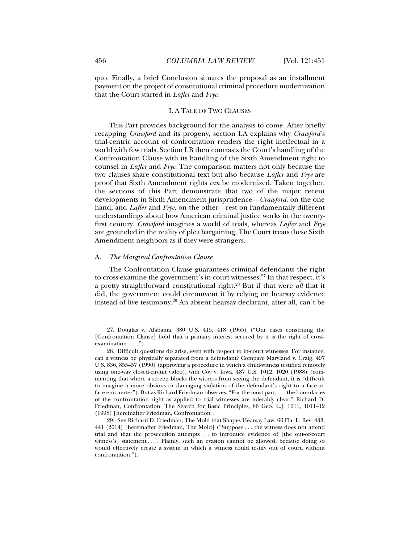quo. Finally, a brief Conclusion situates the proposal as an installment payment on the project of constitutional criminal procedure modernization that the Court started in *Lafler* and *Frye*.

#### I. A TALE OF TWO CLAUSES

This Part provides background for the analysis to come. After briefly recapping *Crawford* and its progeny, section I.A explains why *Crawford*'s trial-centric account of confrontation renders the right ineffectual in a world with few trials. Section I.B then contrasts the Court's handling of the Confrontation Clause with its handling of the Sixth Amendment right to counsel in *Lafler* and *Frye*. The comparison matters not only because the two clauses share constitutional text but also because *Lafler* and *Frye* are proof that Sixth Amendment rights *can* be modernized. Taken together, the sections of this Part demonstrate that two of the major recent developments in Sixth Amendment jurisprudence—*Crawford*, on the one hand, and *Lafler* and *Frye*, on the other—rest on fundamentally different understandings about how American criminal justice works in the twentyfirst century. *Crawford* imagines a world of trials, whereas *Lafler* and *Frye* are grounded in the reality of plea bargaining. The Court treats these Sixth Amendment neighbors as if they were strangers.

#### A. *The Marginal Confrontation Clause*

The Confrontation Clause guarantees criminal defendants the right to cross-examine the government's in-court witnesses.<sup>27</sup> In that respect, it's a pretty straightforward constitutional right.28 But if that were *all* that it did, the government could circumvent it by relying on hearsay evidence instead of live testimony.29 An absent hearsay declarant, after all, can't be

 <sup>27.</sup> Douglas v. Alabama, 380 U.S. 415, 418 (1965) ("Our cases construing the [Confrontation Clause] hold that a primary interest secured by it is the right of crossexamination . . . .").

 <sup>28.</sup> Difficult questions do arise, even with respect to in-court witnesses. For instance, can a witness be physically separated from a defendant? Compare Maryland v. Craig, 497 U.S. 836, 855–57 (1990) (approving a procedure in which a child-witness testified remotely using one-way closed-circuit video), with Coy v. Iowa, 487 U.S. 1012, 1020 (1988) (commenting that where a screen blocks the witness from seeing the defendant, it is "difficult to imagine a more obvious or damaging violation of the defendant's right to a face-toface encounter"). But as Richard Friedman observes, "For the most part, . . . the boundaries of the confrontation right as applied to trial witnesses are tolerably clear." Richard D. Friedman, Confrontation: The Search for Basic Principles, 86 Geo. L.J. 1011, 1011–12 (1998) [hereinafter Friedman, Confrontation].

 <sup>29.</sup> See Richard D. Friedman, The Mold that Shapes Hearsay Law, 66 Fla. L. Rev. 433, 441 (2014) [hereinafter Friedman, The Mold] ("Suppose . . . the witness does not attend trial and that the prosecution attempts . . . to introduce evidence of [the out-of-court witness's] statement . . . . Plainly, such an evasion cannot be allowed, because doing so would effectively create a system in which a witness could testify out of court, without confrontation.").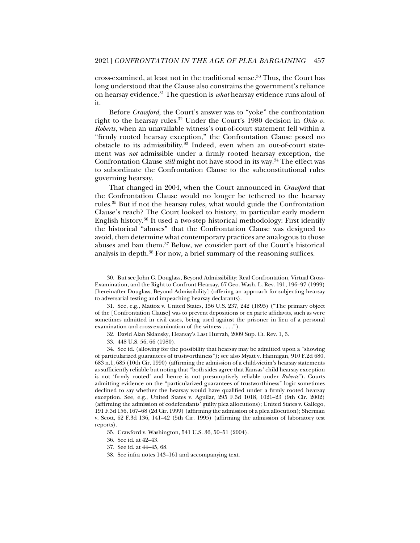cross-examined, at least not in the traditional sense.30 Thus, the Court has long understood that the Clause also constrains the government's reliance on hearsay evidence.31 The question is *what* hearsay evidence runs afoul of it.

Before *Crawford*, the Court's answer was to "yoke" the confrontation right to the hearsay rules.<sup>32</sup> Under the Court's 1980 decision in *Ohio v*. *Roberts*, when an unavailable witness's out-of-court statement fell within a "firmly rooted hearsay exception," the Confrontation Clause posed no obstacle to its admissibility.<sup>33</sup> Indeed, even when an out-of-court statement was *not* admissible under a firmly rooted hearsay exception, the Confrontation Clause *still* might not have stood in its way.<sup>34</sup> The effect was to subordinate the Confrontation Clause to the subconstitutional rules governing hearsay.

That changed in 2004, when the Court announced in *Crawford* that the Confrontation Clause would no longer be tethered to the hearsay rules.35 But if not the hearsay rules, what would guide the Confrontation Clause's reach? The Court looked to history, in particular early modern English history.36 It used a two-step historical methodology: First identify the historical "abuses" that the Confrontation Clause was designed to avoid, then determine what contemporary practices are analogous to those abuses and ban them.37 Below, we consider part of the Court's historical analysis in depth.38 For now, a brief summary of the reasoning suffices.

 <sup>30.</sup> But see John G. Douglass, Beyond Admissibility: Real Confrontation, Virtual Cross-Examination, and the Right to Confront Hearsay, 67 Geo. Wash. L. Rev. 191, 196–97 (1999) [hereinafter Douglass, Beyond Admissibility] (offering an approach for subjecting hearsay to adversarial testing and impeaching hearsay declarants).

 <sup>31.</sup> See, e.g., Mattox v. United States, 156 U.S. 237, 242 (1895) ("The primary object of the [Confrontation Clause] was to prevent depositions or ex parte affidavits, such as were sometimes admitted in civil cases, being used against the prisoner in lieu of a personal examination and cross-examination of the witness . . . .").

 <sup>32.</sup> David Alan Sklansky, Hearsay's Last Hurrah, 2009 Sup. Ct. Rev. 1, 3.

 <sup>33. 448</sup> U.S. 56, 66 (1980).

 <sup>34.</sup> See id. (allowing for the possibility that hearsay may be admitted upon a "showing of particularized guarantees of trustworthiness"); see also Myatt v. Hannigan, 910 F.2d 680, 683 n.1, 685 (10th Cir. 1990) (affirming the admission of a child-victim's hearsay statements as sufficiently reliable but noting that "both sides agree that Kansas' child hearsay exception is not 'firmly rooted' and hence is not presumptively reliable under *Roberts*"). Courts admitting evidence on the "particularized guarantees of trustworthiness" logic sometimes declined to say whether the hearsay would have qualified under a firmly rooted hearsay exception. See, e.g., United States v. Aguilar, 295 F.3d 1018, 1021–23 (9th Cir. 2002) (affirming the admission of codefendants' guilty plea allocutions); United States v. Gallego, 191 F.3d 156, 167–68 (2d Cir. 1999) (affirming the admission of a plea allocution); Sherman v. Scott, 62 F.3d 136, 141–42 (5th Cir. 1995) (affirming the admission of laboratory test reports).

 <sup>35.</sup> Crawford v. Washington, 541 U.S. 36, 50–51 (2004).

 <sup>36.</sup> See id. at 42–43.

 <sup>37.</sup> See id. at 44–45, 68.

 <sup>38.</sup> See infra notes 143–161 and accompanying text.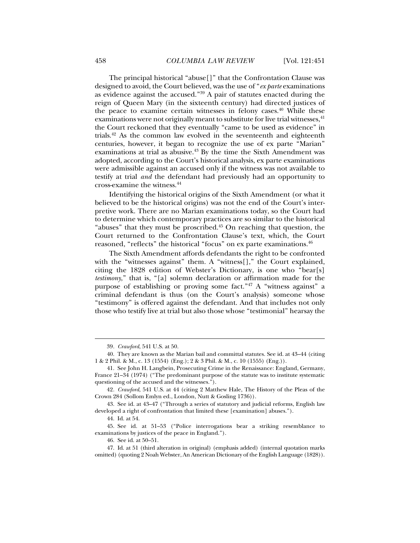The principal historical "abuse[]" that the Confrontation Clause was designed to avoid, the Court believed, was the use of "*ex parte* examinations as evidence against the accused."39 A pair of statutes enacted during the reign of Queen Mary (in the sixteenth century) had directed justices of the peace to examine certain witnesses in felony cases.<sup>40</sup> While these examinations were not originally meant to substitute for live trial witnesses, <sup>41</sup> the Court reckoned that they eventually "came to be used as evidence" in trials.42 As the common law evolved in the seventeenth and eighteenth centuries, however, it began to recognize the use of ex parte "Marian" examinations at trial as abusive.43 By the time the Sixth Amendment was adopted, according to the Court's historical analysis, ex parte examinations were admissible against an accused only if the witness was not available to testify at trial *and* the defendant had previously had an opportunity to cross-examine the witness.44

Identifying the historical origins of the Sixth Amendment (or what it believed to be the historical origins) was not the end of the Court's interpretive work. There are no Marian examinations today, so the Court had to determine which contemporary practices are so similar to the historical "abuses" that they must be proscribed. $45$  On reaching that question, the Court returned to the Confrontation Clause's text, which, the Court reasoned, "reflects" the historical "focus" on ex parte examinations.<sup>46</sup>

The Sixth Amendment affords defendants the right to be confronted with the "witnesses against" them. A "witness[]," the Court explained, citing the 1828 edition of Webster's Dictionary, is one who "bear[s] *testimony*," that is, "[a] solemn declaration or affirmation made for the purpose of establishing or proving some fact."47 A "witness against" a criminal defendant is thus (on the Court's analysis) someone whose "testimony" is offered against the defendant. And that includes not only those who testify live at trial but also those whose "testimonial" hearsay the

<sup>39</sup>*. Crawford*, 541 U.S. at 50.

 <sup>40.</sup> They are known as the Marian bail and committal statutes. See id. at 43–44 (citing 1 & 2 Phil. & M., c. 13 (1554) (Eng.); 2 & 3 Phil. & M., c. 10 (1555) (Eng.)).

 <sup>41.</sup> See John H. Langbein, Prosecuting Crime in the Renaissance: England, Germany, France 21–34 (1974) ("The predominant purpose of the statute was to institute systematic questioning of the accused and the witnesses.").

<sup>42</sup>*. Crawford*, 541 U.S. at 44 (citing 2 Matthew Hale, The History of the Pleas of the Crown 284 (Sollom Emlyn ed., London, Nutt & Gosling 1736)).

 <sup>43.</sup> See id. at 43–47 ("Through a series of statutory and judicial reforms, English law developed a right of confrontation that limited these [examination] abuses.").

 <sup>44.</sup> Id. at 54.

 <sup>45.</sup> See id. at 51–53 ("Police interrogations bear a striking resemblance to examinations by justices of the peace in England.").

 <sup>46.</sup> See id. at 50–51.

 <sup>47.</sup> Id. at 51 (third alteration in original) (emphasis added) (internal quotation marks omitted) (quoting 2 Noah Webster, An American Dictionary of the English Language (1828)).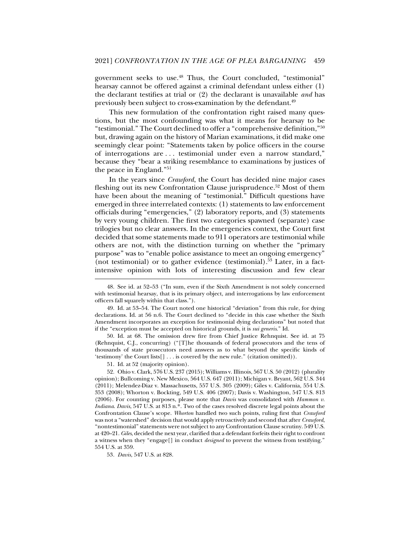government seeks to use.48 Thus, the Court concluded, "testimonial" hearsay cannot be offered against a criminal defendant unless either (1) the declarant testifies at trial or (2) the declarant is unavailable *and* has previously been subject to cross-examination by the defendant.49

This new formulation of the confrontation right raised many questions, but the most confounding was what it means for hearsay to be "testimonial." The Court declined to offer a "comprehensive definition,"50 but, drawing again on the history of Marian examinations, it did make one seemingly clear point: "Statements taken by police officers in the course of interrogations are . . . testimonial under even a narrow standard," because they "bear a striking resemblance to examinations by justices of the peace in England."51

In the years since *Crawford*, the Court has decided nine major cases fleshing out its new Confrontation Clause jurisprudence.<sup>52</sup> Most of them have been about the meaning of "testimonial." Difficult questions have emerged in three interrelated contexts: (1) statements to law enforcement officials during "emergencies," (2) laboratory reports, and (3) statements by very young children. The first two categories spawned (separate) case trilogies but no clear answers. In the emergencies context, the Court first decided that some statements made to 911 operators are testimonial while others are not, with the distinction turning on whether the "primary purpose" was to "enable police assistance to meet an ongoing emergency" (not testimonial) or to gather evidence (testimonial).<sup>53</sup> Later, in a factintensive opinion with lots of interesting discussion and few clear

 50. Id. at 68. The omission drew fire from Chief Justice Rehnquist. See id. at 75 (Rehnquist, C.J., concurring) ("[T]he thousands of federal prosecutors and the tens of thousands of state prosecutors need answers as to what beyond the specific kinds of 'testimony' the Court lists[] . . . is covered by the new rule." (citation omitted)).

51. Id. at 52 (majority opinion).

j

 52. Ohio v. Clark, 576 U.S. 237 (2015); Williams v. Illinois, 567 U.S. 50 (2012) (plurality opinion); Bullcoming v. New Mexico, 564 U.S. 647 (2011); Michigan v. Bryant, 562 U.S. 344 (2011); Melendez-Diaz v. Massachusetts, 557 U.S. 305 (2009); Giles v. California, 554 U.S. 353 (2008); Whorton v. Bockting, 549 U.S. 406 (2007); Davis v. Washington, 547 U.S. 813 (2006). For counting purposes, please note that *Davis* was consolidated with *Hammon v. Indiana*. *Davis*, 547 U.S. at 813 n.\*. Two of the cases resolved discrete legal points about the Confrontation Clause's scope. *Whorton* handled two such points, ruling first that *Crawford* was not a "watershed" decision that would apply retroactively and second that after *Crawford*, "nontestimonial" statements were not subject to any Confrontation Clause scrutiny. 549 U.S. at 420–21. *Giles*, decided the next year, clarified that a defendant forfeits their right to confront a witness when they "engage[] in conduct *designed* to prevent the witness from testifying." 554 U.S. at 359.

53*. Davis*, 547 U.S. at 828.

 <sup>48.</sup> See id. at 52–53 ("In sum, even if the Sixth Amendment is not solely concerned with testimonial hearsay, that is its primary object, and interrogations by law enforcement officers fall squarely within that class.").

 <sup>49.</sup> Id. at 53–54. The Court noted one historical "deviation" from this rule, for dying declarations. Id. at 56 n.6. The Court declined to "decide in this case whether the Sixth Amendment incorporates an exception for testimonial dying declarations" but noted that if the "exception must be accepted on historical grounds, it is *sui generis*." Id.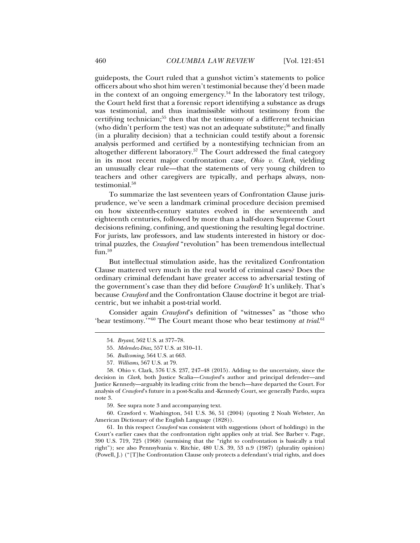guideposts, the Court ruled that a gunshot victim's statements to police officers about who shot him weren't testimonial because they'd been made in the context of an ongoing emergency.<sup>54</sup> In the laboratory test trilogy, the Court held first that a forensic report identifying a substance as drugs was testimonial, and thus inadmissible without testimony from the certifying technician;55 then that the testimony of a different technician (who didn't perform the test) was not an adequate substitute;<sup>56</sup> and finally (in a plurality decision) that a technician could testify about a forensic analysis performed and certified by a nontestifying technician from an altogether different laboratory.57 The Court addressed the final category in its most recent major confrontation case, *Ohio v. Clark*, yielding an unusually clear rule—that the statements of very young children to teachers and other caregivers are typically, and perhaps always, nontestimonial.<sup>58</sup>

To summarize the last seventeen years of Confrontation Clause jurisprudence, we've seen a landmark criminal procedure decision premised on how sixteenth-century statutes evolved in the seventeenth and eighteenth centuries, followed by more than a half-dozen Supreme Court decisions refining, confining, and questioning the resulting legal doctrine. For jurists, law professors, and law students interested in history or doctrinal puzzles, the *Crawford* "revolution" has been tremendous intellectual fun.<sup>59</sup>

But intellectual stimulation aside, has the revitalized Confrontation Clause mattered very much in the real world of criminal cases? Does the ordinary criminal defendant have greater access to adversarial testing of the government's case than they did before *Crawford*? It's unlikely. That's because *Crawford* and the Confrontation Clause doctrine it begot are trialcentric, but we inhabit a post-trial world.

Consider again *Crawford*'s definition of "witnesses" as "those who 'bear testimony.'"60 The Court meant those who bear testimony *at trial*. 61

j

59. See supra note 3 and accompanying text.

 60. Crawford v. Washington, 541 U.S. 36, 51 (2004) (quoting 2 Noah Webster, An American Dictionary of the English Language (1828)).

 61. In this respect *Crawford* was consistent with suggestions (short of holdings) in the Court's earlier cases that the confrontation right applies only at trial. See Barber v. Page, 390 U.S. 719, 725 (1968) (surmising that the "right to confrontation is basically a trial right"); see also Pennsylvania v. Ritchie, 480 U.S. 39, 53 n.9 (1987) (plurality opinion) (Powell, J.) ("[T]he Confrontation Clause only protects a defendant's trial rights, and does

<sup>54</sup>*. Bryant*, 562 U.S. at 377–78.

<sup>55</sup>*. Melendez-Diaz*, 557 U.S. at 310–11.

<sup>56</sup>*. Bullcoming*, 564 U.S. at 663.

<sup>57</sup>*. Williams*, 567 U.S. at 79.

 <sup>58.</sup> Ohio v. Clark, 576 U.S. 237, 247–48 (2015). Adding to the uncertainty, since the decision in *Clark*, both Justice Scalia—*Crawford*'s author and principal defender—and Justice Kennedy—arguably its leading critic from the bench—have departed the Court. For analysis of *Crawford*'s future in a post-Scalia and -Kennedy Court, see generally Pardo, supra note 3.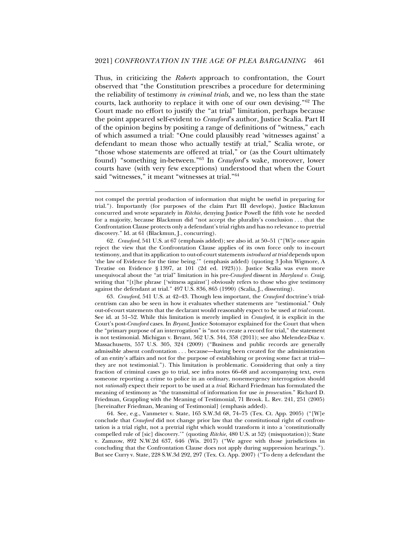Thus, in criticizing the *Roberts* approach to confrontation, the Court observed that "the Constitution prescribes a procedure for determining the reliability of testimony *in criminal trials*, and we, no less than the state courts, lack authority to replace it with one of our own devising."62 The Court made no effort to justify the "at trial" limitation, perhaps because the point appeared self-evident to *Crawford*'s author, Justice Scalia. Part II of the opinion begins by positing a range of definitions of "witness," each of which assumed a trial: "One could plausibly read 'witnesses against' a defendant to mean those who actually testify at trial," Scalia wrote, or "those whose statements are offered at trial," or (as the Court ultimately found) "something in-between."63 In *Crawford*'s wake, moreover, lower courts have (with very few exceptions) understood that when the Court said "witnesses," it meant "witnesses at trial."64

j

62*. Crawford*, 541 U.S. at 67 (emphasis added); see also id. at 50–51 ("[W]e once again reject the view that the Confrontation Clause applies of its own force only to in-court testimony, and that its application to out-of-court statements *introduced at trial* depends upon 'the law of Evidence for the time being.'" (emphasis added) (quoting 3 John Wigmore, A Treatise on Evidence § 1397, at 101 (2d ed. 1923))). Justice Scalia was even more unequivocal about the "at trial" limitation in his pre-*Crawford* dissent in *Maryland v. Craig*, writing that "[t]he phrase ['witness against'] obviously refers to those who give testimony against the defendant at trial." 497 U.S. 836, 865 (1990) (Scalia, J., dissenting).

63*. Crawford*, 541 U.S. at 42–43. Though less important, the *Crawford* doctrine's trialcentrism can also be seen in how it evaluates whether statements are "testimonial." Only out-of-court statements that the declarant would reasonably expect to be used *at trial* count. See id. at 51–52. While this limitation is merely implied in *Crawford*, it is explicit in the Court's post-*Crawford* cases. In *Bryant*, Justice Sotomayor explained for the Court that when the "primary purpose of an interrogation" is "not to create a record for trial," the statement is not testimonial. Michigan v. Bryant, 562 U.S. 344, 358 (2011); see also Melendez-Diaz v. Massachusetts, 557 U.S. 305, 324 (2009) ("Business and public records are generally admissible absent confrontation . . . because—having been created for the administration of an entity's affairs and not for the purpose of establishing or proving some fact at trial they are not testimonial."). This limitation is problematic. Considering that only a tiny fraction of criminal cases go to trial, see infra notes 66–68 and accompanying text, even someone reporting a crime to police in an ordinary, nonemergency interrogation should not *rationally* expect their report to be used at a *trial*. Richard Friedman has formulated the meaning of testimony as "the transmittal of information for use *in prosecution*." Richard D. Friedman, Grappling with the Meaning of Testimonial, 71 Brook. L. Rev. 241, 251 (2005) [hereinafter Friedman, Meaning of Testimonial] (emphasis added).

 64. See, e.g., Vanmeter v. State, 165 S.W.3d 68, 74–75 (Tex. Ct. App. 2005) ("[W]e conclude that *Crawford* did not change prior law that the constitutional right of confrontation is a trial right, not a pretrial right which would transform it into a 'constitutionally compelled rule of [sic] discovery.'" (quoting *Ritchie*, 480 U.S. at 52) (misquotation)); State v. Zamzow, 892 N.W.2d 637, 646 (Wis. 2017) ("We agree with those jurisdictions in concluding that the Confrontation Clause does not apply during suppression hearings."). But see Curry v. State, 228 S.W.3d 292, 297 (Tex. Ct. App. 2007) ("To deny a defendant the

not compel the pretrial production of information that might be useful in preparing for trial."). Importantly (for purposes of the claim Part III develops), Justice Blackmun concurred and wrote separately in *Ritchie*, denying Justice Powell the fifth vote he needed for a majority, because Blackmun did "not accept the plurality's conclusion . . . that the Confrontation Clause protects only a defendant's trial rights and has no relevance to pretrial discovery." Id. at 61 (Blackmun, J., concurring).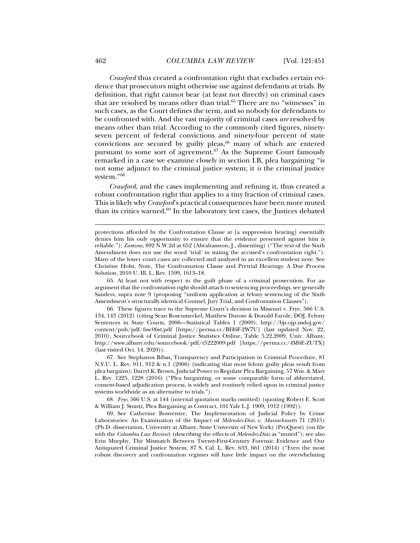*Crawford* thus created a confrontation right that excludes certain evidence that prosecutors might otherwise use against defendants at trials. By definition, that right cannot bear (at least not directly) on criminal cases that are resolved by means other than trial.<sup>65</sup> There are no "witnesses" in such cases, as the Court defines the term, and so nobody for defendants to be confronted with. And the vast majority of criminal cases *are* resolved by means other than trial. According to the commonly cited figures, ninetyseven percent of federal convictions and ninety-four percent of state convictions are secured by guilty pleas, $66$  many of which are entered pursuant to some sort of agreement.<sup>67</sup> As the Supreme Court famously remarked in a case we examine closely in section I.B, plea bargaining "is not some adjunct to the criminal justice system; it *is* the criminal justice system."68

*Crawford*, and the cases implementing and refining it, thus created a robust confrontation right that applies to a tiny fraction of criminal cases. This is likely why *Crawford*'s practical consequences have been more muted than its critics warned.69 In the laboratory test cases, the Justices debated

 65. At least not with respect to the guilt phase of a criminal prosecution. For an argument that the confrontation right should attach to sentencing proceedings, see generally Sanders, supra note 9 (proposing "uniform application at felony sentencing of the Sixth Amendment's structurally identical Counsel, Jury Trial, and Confrontation Clauses").

 66. These figures trace to the Supreme Court's decision in Missouri v. Frye, 566 U.S. 134, 143 (2012) (citing Sean Rosenmerkel, Matthew Durose & Donald Farole, DOJ, Felony Sentences in State Courts, 2006—Statistical Tables 1 (2009), http://bjs.ojp.usdoj.gov/ content/pub/pdf/fssc06st.pdf [https://perma.cc/BH6F-2W7U] (last updated Nov. 22, 2010); Sourcebook of Criminal Justice Statistics Online, Table 5.22.2009, Univ. Albany, http://www.albany.edu/sourcebook/pdf/t5222009.pdf [https://perma.cc/4M6E-ZUTX] (last visited Oct. 14, 2020)).

 67. See Stephanos Bibas, Transparency and Participation in Criminal Procedure, 81 N.Y.U. L. Rev. 911, 912 & n.1 (2006) (indicating that most felony guilty pleas result from plea bargains); Darryl K. Brown, Judicial Power to Regulate Plea Bargaining, 57 Wm. & Mary L. Rev. 1225, 1228 (2016) ("Plea bargaining, or some comparable form of abbreviated, consent-based adjudication process, is widely and routinely relied upon in criminal justice systems worldwide as an alternative to trials.").

68*. Frye*, 566 U.S. at 144 (internal quotation marks omitted) (quoting Robert E. Scott & William J. Stuntz, Plea Bargaining as Contract, 101 Yale L.J. 1909, 1912 (1992)).

 69. See Catherine Bonventre, The Implementation of Judicial Policy by Crime Laboratories: An Examination of the Impact of *Melendez-Diaz v. Massachusetts* 71 (2015) (Ph.D. dissertation, University at Albany, State University of New York) (ProQuest) (on file with the *Columbia Law Review*) (describing the effects of *Melendez-Diaz* as "muted"); see also Erin Murphy, The Mismatch Between Twenty-First-Century Forensic Evidence and Our Antiquated Criminal Justice System, 87 S. Cal. L. Rev. 633, 661 (2014) ("Even the most robust discovery and confrontation regimes will have little impact on the overwhelming

protections afforded by the Confrontation Clause at [a suppression hearing] essentially denies him his only opportunity to ensure that the evidence presented against him is reliable."); *Zamzow*, 892 N.W.2d at 652 (Abrahamson, J., dissenting) ("The text of the Sixth Amendment does not use the word 'trial' in stating the accused's confrontation right."). Many of the lower court cases are collected and analyzed in an excellent student note. See Christine Holst, Note*,* The Confrontation Clause and Pretrial Hearings: A Due Process Solution, 2010 U. Ill. L. Rev. 1599, 1613–18.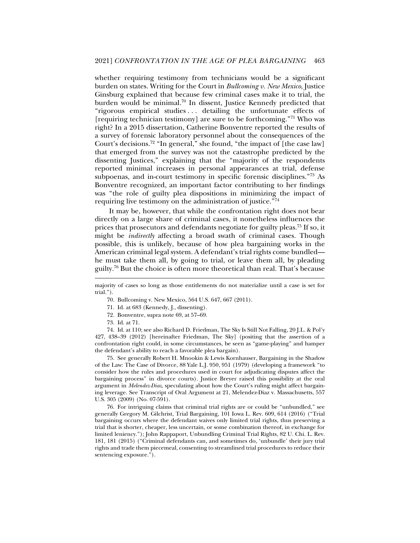whether requiring testimony from technicians would be a significant burden on states. Writing for the Court in *Bullcoming v. New Mexico*, Justice Ginsburg explained that because few criminal cases make it to trial, the burden would be minimal.70 In dissent, Justice Kennedy predicted that "rigorous empirical studies . . . detailing the unfortunate effects of [requiring technician testimony] are sure to be forthcoming."<sup>71</sup> Who was right? In a 2015 dissertation, Catherine Bonventre reported the results of a survey of forensic laboratory personnel about the consequences of the Court's decisions.72 "In general," she found, "the impact of [the case law] that emerged from the survey was not the catastrophe predicted by the dissenting Justices," explaining that the "majority of the respondents reported minimal increases in personal appearances at trial, defense subpoenas, and in-court testimony in specific forensic disciplines."73 As Bonventre recognized, an important factor contributing to her findings was "the role of guilty plea dispositions in minimizing the impact of requiring live testimony on the administration of justice."74

It may be, however, that while the confrontation right does not bear directly on a large share of criminal cases, it nonetheless influences the prices that prosecutors and defendants negotiate for guilty pleas.75 If so, it might be *indirectly* affecting a broad swath of criminal cases. Though possible, this is unlikely, because of how plea bargaining works in the American criminal legal system. A defendant's trial rights come bundled he must take them all, by going to trial, or leave them all, by pleading guilty.76 But the choice is often more theoretical than real. That's because

- 70. Bullcoming v. New Mexico, 564 U.S. 647, 667 (2011).
- 71. Id. at 683 (Kennedy, J., dissenting).
- 72. Bonventre, supra note 69, at 57–69.
- 73. Id. at 71.

j

 74. Id. at 110; see also Richard D. Friedman, The Sky Is Still Not Falling, 20 J.L. & Pol'y 427, 438–39 (2012) [hereinafter Friedman, The Sky] (positing that the assertion of a confrontation right could, in some circumstances, be seen as "game-playing" and hamper the defendant's ability to reach a favorable plea bargain).

 75. See generally Robert H. Mnookin & Lewis Kornhauser, Bargaining in the Shadow of the Law: The Case of Divorce, 88 Yale L.J. 950, 951 (1979) (developing a framework "to consider how the rules and procedures used in court for adjudicating disputes affect the bargaining process" in divorce courts). Justice Breyer raised this possibility at the oral argument in *Melendez-Diaz*, speculating about how the Court's ruling might affect bargaining leverage. See Transcript of Oral Argument at 21, Melendez-Diaz v. Massachusetts, 557 U.S. 305 (2009) (No. 07-591).

 76. For intriguing claims that criminal trial rights are or could be "unbundled," see generally Gregory M. Gilchrist, Trial Bargaining, 101 Iowa L. Rev. 609, 614 (2016) ("Trial bargaining occurs where the defendant waives only limited trial rights, thus preserving a trial that is shorter, cheaper, less uncertain, or some combination thereof, in exchange for limited leniency."); John Rappaport, Unbundling Criminal Trial Rights, 82 U. Chi. L. Rev. 181, 181 (2015) ("Criminal defendants can, and sometimes do, 'unbundle' their jury trial rights and trade them piecemeal, consenting to streamlined trial procedures to reduce their sentencing exposure.").

majority of cases so long as those entitlements do not materialize until a case is set for trial.").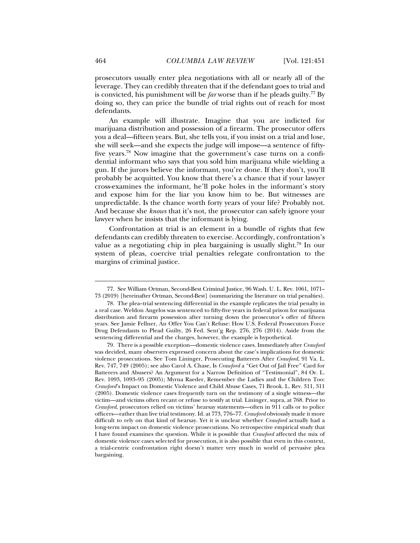prosecutors usually enter plea negotiations with all or nearly all of the leverage. They can credibly threaten that if the defendant goes to trial and is convicted, his punishment will be *far* worse than if he pleads guilty.<sup>77</sup> By doing so, they can price the bundle of trial rights out of reach for most defendants.

An example will illustrate. Imagine that you are indicted for marijuana distribution and possession of a firearm. The prosecutor offers you a deal—fifteen years. But, she tells you, if you insist on a trial and lose, she will seek—and she expects the judge will impose—a sentence of fiftyfive years.78 Now imagine that the government's case turns on a confidential informant who says that you sold him marijuana while wielding a gun. If the jurors believe the informant, you're done. If they don't, you'll probably be acquitted. You know that there's a chance that if your lawyer cross-examines the informant, he'll poke holes in the informant's story and expose him for the liar you know him to be. But witnesses are unpredictable. Is the chance worth forty years of your life? Probably not. And because she *knows* that it's not, the prosecutor can safely ignore your lawyer when he insists that the informant is lying.

Confrontation at trial is an element in a bundle of rights that few defendants can credibly threaten to exercise. Accordingly, confrontation's value as a negotiating chip in plea bargaining is usually slight.79 In our system of pleas, coercive trial penalties relegate confrontation to the margins of criminal justice.

 <sup>77.</sup> See William Ortman, Second-Best Criminal Justice, 96 Wash. U. L. Rev. 1061, 1071– 73 (2019) [hereinafter Ortman, Second-Best] (summarizing the literature on trial penalties).

 <sup>78.</sup> The plea–trial sentencing differential in the example replicates the trial penalty in a real case. Weldon Angelos was sentenced to fifty-five years in federal prison for marijuana distribution and firearm possession after turning down the prosecutor's offer of fifteen years. See Jamie Fellner, An Offer You Can't Refuse: How U.S. Federal Prosecutors Force Drug Defendants to Plead Guilty, 26 Fed. Sent'g Rep. 276, 276 (2014). Aside from the sentencing differential and the charges, however, the example is hypothetical.

 <sup>79.</sup> There is a possible exception—domestic violence cases. Immediately after *Crawford* was decided, many observers expressed concern about the case's implications for domestic violence prosecutions. See Tom Lininger, Prosecuting Batterers After *Crawford*, 91 Va. L. Rev. 747, 749 (2005); see also Carol A. Chase, Is *Crawford* a "Get Out of Jail Free" Card for Batterers and Abusers? An Argument for a Narrow Definition of "Testimonial", 84 Or. L. Rev. 1093, 1093–95 (2005); Myrna Raeder, Remember the Ladies and the Children Too: *Crawford*'s Impact on Domestic Violence and Child Abuse Cases, 71 Brook. L. Rev. 311, 311 (2005). Domestic violence cases frequently turn on the testimony of a single witness—the victim—and victims often recant or refuse to testify at trial. Lininger, supra, at 768. Prior to *Crawford*, prosecutors relied on victims' hearsay statements—often in 911 calls or to police officers—rather than live trial testimony. Id. at 773, 776–77. *Crawford* obviously made it more difficult to rely on that kind of hearsay. Yet it is unclear whether *Crawford* actually had a long-term impact on domestic violence prosecutions. No retrospective empirical study that I have found examines the question. While it is possible that *Crawford* affected the mix of domestic violence cases selected for prosecution, it is also possible that even in this context, a trial-centric confrontation right doesn't matter very much in world of pervasive plea bargaining.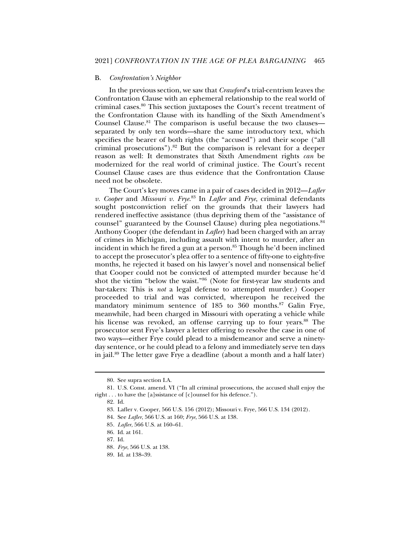#### B. *Confrontation's Neighbor*

In the previous section, we saw that *Crawford*'s trial-centrism leaves the Confrontation Clause with an ephemeral relationship to the real world of criminal cases.80 This section juxtaposes the Court's recent treatment of the Confrontation Clause with its handling of the Sixth Amendment's Counsel Clause.<sup>81</sup> The comparison is useful because the two clauses separated by only ten words—share the same introductory text, which specifies the bearer of both rights (the "accused") and their scope ("all criminal prosecutions").<sup>82</sup> But the comparison is relevant for a deeper reason as well: It demonstrates that Sixth Amendment rights *can* be modernized for the real world of criminal justice. The Court's recent Counsel Clause cases are thus evidence that the Confrontation Clause need not be obsolete.

The Court's key moves came in a pair of cases decided in 2012—*Lafler v. Cooper* and *Missouri v. Frye*. 83 In *Lafler* and *Frye*, criminal defendants sought postconviction relief on the grounds that their lawyers had rendered ineffective assistance (thus depriving them of the "assistance of counsel" guaranteed by the Counsel Clause) during plea negotiations.<sup>84</sup> Anthony Cooper (the defendant in *Lafler*) had been charged with an array of crimes in Michigan, including assault with intent to murder, after an incident in which he fired a gun at a person.<sup>85</sup> Though he'd been inclined to accept the prosecutor's plea offer to a sentence of fifty-one to eighty-five months, he rejected it based on his lawyer's novel and nonsensical belief that Cooper could not be convicted of attempted murder because he'd shot the victim "below the waist."86 (Note for first-year law students and bar-takers: This is *not* a legal defense to attempted murder.) Cooper proceeded to trial and was convicted, whereupon he received the mandatory minimum sentence of 185 to 360 months.<sup>87</sup> Galin Frye, meanwhile, had been charged in Missouri with operating a vehicle while his license was revoked, an offense carrying up to four years.<sup>88</sup> The prosecutor sent Frye's lawyer a letter offering to resolve the case in one of two ways—either Frye could plead to a misdemeanor and serve a ninetyday sentence, or he could plead to a felony and immediately serve ten days in jail.89 The letter gave Frye a deadline (about a month and a half later)

 <sup>80.</sup> See supra section I.A.

 <sup>81.</sup> U.S. Const. amend. VI ("In all criminal prosecutions, the accused shall enjoy the right . . . to have the [a]ssistance of [c]ounsel for his defence.").

 <sup>82.</sup> Id.

 <sup>83.</sup> Lafler v. Cooper, 566 U.S. 156 (2012); Missouri v. Frye, 566 U.S. 134 (2012).

 <sup>84.</sup> See *Lafler*, 566 U.S. at 160; *Frye*, 566 U.S. at 138.

<sup>85</sup>*. Lafler*, 566 U.S. at 160–61.

 <sup>86.</sup> Id. at 161.

 <sup>87.</sup> Id.

<sup>88</sup>*. Frye*, 566 U.S. at 138.

 <sup>89.</sup> Id. at 138–39.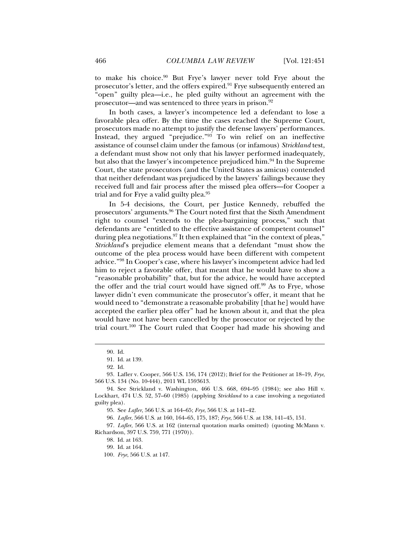to make his choice.90 But Frye's lawyer never told Frye about the prosecutor's letter, and the offers expired.<sup>91</sup> Frye subsequently entered an "open" guilty plea—i.e., he pled guilty without an agreement with the prosecutor—and was sentenced to three years in prison.92

In both cases, a lawyer's incompetence led a defendant to lose a favorable plea offer. By the time the cases reached the Supreme Court, prosecutors made no attempt to justify the defense lawyers' performances. Instead, they argued "prejudice."<sup>93</sup> To win relief on an ineffective assistance of counsel claim under the famous (or infamous) *Strickland* test, a defendant must show not only that his lawyer performed inadequately, but also that the lawyer's incompetence prejudiced him.<sup>94</sup> In the Supreme Court, the state prosecutors (and the United States as amicus) contended that neither defendant was prejudiced by the lawyers' failings because they received full and fair process after the missed plea offers—for Cooper a trial and for Frye a valid guilty plea.<sup>95</sup>

In 5-4 decisions, the Court, per Justice Kennedy, rebuffed the prosecutors' arguments.96 The Court noted first that the Sixth Amendment right to counsel "extends to the plea-bargaining process," such that defendants are "entitled to the effective assistance of competent counsel" during plea negotiations.<sup>97</sup> It then explained that "in the context of pleas," *Strickland*'s prejudice element means that a defendant "must show the outcome of the plea process would have been different with competent advice."98 In Cooper's case, where his lawyer's incompetent advice had led him to reject a favorable offer, that meant that he would have to show a "reasonable probability" that, but for the advice, he would have accepted the offer and the trial court would have signed off.<sup>99</sup> As to Frye, whose lawyer didn't even communicate the prosecutor's offer, it meant that he would need to "demonstrate a reasonable probability [that he] would have accepted the earlier plea offer" had he known about it, and that the plea would have not have been cancelled by the prosecutor or rejected by the trial court.100 The Court ruled that Cooper had made his showing and

 <sup>90.</sup> Id.

 <sup>91.</sup> Id. at 139.

 <sup>92.</sup> Id.

<sup>93</sup>*.* Lafler v. Cooper, 566 U.S. 156, 174 (2012); Brief for the Petitioner at 18–19, *Frye*, 566 U.S. 134 (No. 10-444), 2011 WL 1593613.

 <sup>94.</sup> See Strickland v. Washington, 466 U.S. 668, 694–95 (1984); see also Hill v. Lockhart, 474 U.S. 52, 57–60 (1985) (applying *Strickland* to a case involving a negotiated guilty plea).

 <sup>95.</sup> See *Lafler*, 566 U.S. at 164–65; *Frye*, 566 U.S. at 141–42.

<sup>96</sup>*. Lafler*, 566 U.S. at 160, 164–65, 175, 187; *Frye*, 566 U.S. at 138, 141–45, 151.

<sup>97</sup>*. Lafler*, 566 U.S. at 162 (internal quotation marks omitted) (quoting McMann v. Richardson, 397 U.S. 759, 771 (1970)).

 <sup>98.</sup> Id. at 163.

 <sup>99.</sup> Id. at 164.

<sup>100</sup>*. Frye*, 566 U.S. at 147.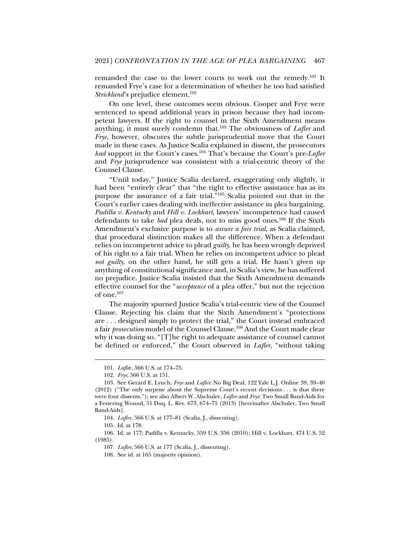remanded the case to the lower courts to work out the remedy.101 It remanded Frye's case for a determination of whether he too had satisfied *Strickland*'s prejudice element.<sup>102</sup>

On one level, these outcomes seem obvious. Cooper and Frye were sentenced to spend additional years in prison because they had incompetent lawyers. If the right to counsel in the Sixth Amendment means anything, it must surely condemn that.103 The obviousness of *Lafler* and *Frye*, however, obscures the subtle jurisprudential move that the Court made in these cases. As Justice Scalia explained in dissent, the prosecutors *had* support in the Court's cases.104 That's because the Court's pre-*Lafler* and *Frye* jurisprudence was consistent with a trial-centric theory of the Counsel Clause.

"Until today," Justice Scalia declared, exaggerating only slightly, it had been "entirely clear" that "the right to effective assistance has as its purpose the assurance of a fair trial."105 Scalia pointed out that in the Court's earlier cases dealing with ineffective assistance in plea bargaining, *Padilla v. Kentucky* and *Hill v. Lockhart*, lawyers' incompetence had caused defendants to take *bad* plea deals, not to miss good ones.106 If the Sixth Amendment's exclusive purpose is to *assure a fair trial*, as Scalia claimed, that procedural distinction makes all the difference. When a defendant relies on incompetent advice to plead *guilty*, he has been wrongly deprived of his right to a fair trial. When he relies on incompetent advice to plead *not guilty*, on the other hand, he still gets a trial. He hasn't given up anything of constitutional significance and, in Scalia's view, he has suffered no prejudice. Justice Scalia insisted that the Sixth Amendment demands effective counsel for the "*acceptance* of a plea offer," but not the rejection of one.107

The majority spurned Justice Scalia's trial-centric view of the Counsel Clause. Rejecting his claim that the Sixth Amendment's "protections are . . . designed simply to protect the trial," the Court instead embraced a fair *prosecution* model of the Counsel Clause.108 And the Court made clear why it was doing so. "[T]he right to adequate assistance of counsel cannot be defined or enforced," the Court observed in *Lafler*, "without taking

104*. Lafler*, 566 U.S. at 177–81 (Scalia, J., dissenting).

j

 106. Id. at 177; Padilla v. Kentucky, 559 U.S. 356 (2010); Hill v. Lockhart, 474 U.S. 52 (1985).

<sup>101</sup>*. Lafle*r, 566 U.S. at 174–75.

<sup>102</sup>*. Frye*, 566 U.S. at 151.

 <sup>103.</sup> See Gerard E. Lynch, *Frye* and *Lafler*: No Big Deal, 122 Yale L.J. Online 39, 39–40 (2012) ("The only surprise about the Supreme Court's recent decisions . . . is that there were four dissents."); see also Albert W. Alschuler, *Lafler* and *Frye*: Two Small Band-Aids for a Festering Wound, 51 Duq. L. Rev. 673, 674–75 (2013) [hereinafter Alschuler, Two Small Band-Aids].

 <sup>105.</sup> Id. at 178.

<sup>107</sup>*. Lafler*, 566 U.S. at 177 (Scalia, J., dissenting).

 <sup>108.</sup> See id. at 165 (majority opinion).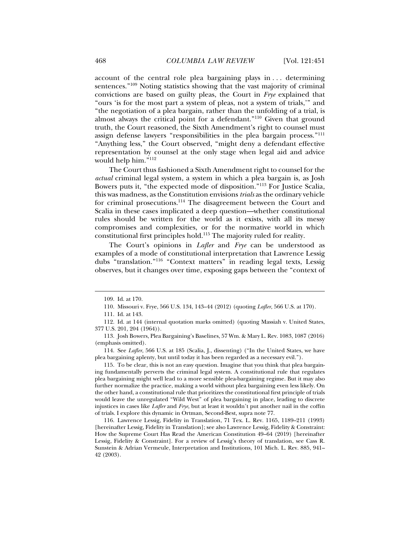account of the central role plea bargaining plays in . . . determining sentences."109 Noting statistics showing that the vast majority of criminal convictions are based on guilty pleas, the Court in *Frye* explained that "ours 'is for the most part a system of pleas, not a system of trials,'" and "the negotiation of a plea bargain, rather than the unfolding of a trial, is almost always the critical point for a defendant."110 Given that ground truth, the Court reasoned, the Sixth Amendment's right to counsel must assign defense lawyers "responsibilities in the plea bargain process."111 "Anything less," the Court observed, "might deny a defendant effective representation by counsel at the only stage when legal aid and advice would help him."112

The Court thus fashioned a Sixth Amendment right to counsel for the *actual* criminal legal system, a system in which a plea bargain is, as Josh Bowers puts it, "the expected mode of disposition."113 For Justice Scalia, this was madness, as the Constitution envisions *trials* as the ordinary vehicle for criminal prosecutions.114 The disagreement between the Court and Scalia in these cases implicated a deep question—whether constitutional rules should be written for the world as it exists, with all its messy compromises and complexities, or for the normative world in which constitutional first principles hold.115 The majority ruled for reality.

The Court's opinions in *Lafler* and *Frye* can be understood as examples of a mode of constitutional interpretation that Lawrence Lessig dubs "translation."116 "Context matters" in reading legal texts, Lessig observes, but it changes over time, exposing gaps between the "context of

j

 115. To be clear, this is not an easy question. Imagine that you think that plea bargaining fundamentally perverts the criminal legal system. A constitutional rule that regulates plea bargaining might well lead to a more sensible plea-bargaining regime. But it may also further normalize the practice, making a world without plea bargaining even less likely. On the other hand, a constitutional rule that prioritizes the constitutional first principle of trials would leave the unregulated "Wild West" of plea bargaining in place, leading to discrete injustices in cases like *Lafler* and *Frye*, but at least it wouldn't put another nail in the coffin of trials. I explore this dynamic in Ortman, Second-Best, supra note 77.

 116. Lawrence Lessig, Fidelity in Translation, 71 Tex. L. Rev. 1165, 1189–211 (1993) [hereinafter Lessig, Fidelity in Translation]; see also Lawrence Lessig, Fidelity & Constraint: How the Supreme Court Has Read the American Constitution 49–64 (2019) [hereinafter Lessig, Fidelity & Constraint]. For a review of Lessig's theory of translation, see Cass R. Sunstein & Adrian Vermeule, Interpretation and Institutions, 101 Mich. L. Rev. 885, 941– 42 (2003).

 <sup>109.</sup> Id. at 170.

 <sup>110.</sup> Missouri v. Frye, 566 U.S. 134, 143–44 (2012) (quoting *Lafler*, 566 U.S. at 170).

 <sup>111.</sup> Id. at 143.

 <sup>112.</sup> Id. at 144 (internal quotation marks omitted) (quoting Massiah v. United States, 377 U.S. 201, 204 (1964)).

 <sup>113.</sup> Josh Bowers, Plea Bargaining's Baselines, 57 Wm. & Mary L. Rev. 1083, 1087 (2016) (emphasis omitted).

 <sup>114.</sup> See *Lafler*, 566 U.S. at 185 (Scalia, J., dissenting) ("In the United States, we have plea bargaining aplenty, but until today it has been regarded as a necessary evil.").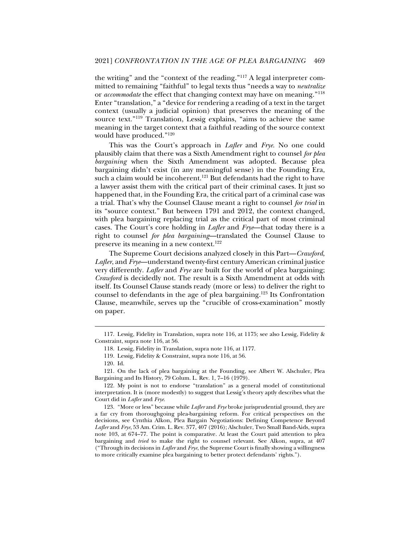the writing" and the "context of the reading."117 A legal interpreter committed to remaining "faithful" to legal texts thus "needs a way to *neutralize*  or *accommodate* the effect that changing context may have on meaning."118 Enter "translation," a "device for rendering a reading of a text in the target context (usually a judicial opinion) that preserves the meaning of the source text."119 Translation, Lessig explains, "aims to achieve the same meaning in the target context that a faithful reading of the source context would have produced."120

This was the Court's approach in *Lafler* and *Frye*. No one could plausibly claim that there was a Sixth Amendment right to counsel *for plea bargaining* when the Sixth Amendment was adopted. Because plea bargaining didn't exist (in any meaningful sense) in the Founding Era, such a claim would be incoherent.<sup>121</sup> But defendants had the right to have a lawyer assist them with the critical part of their criminal cases. It just so happened that, in the Founding Era, the critical part of a criminal case was a trial. That's why the Counsel Clause meant a right to counsel *for trial* in its "source context." But between 1791 and 2012, the context changed, with plea bargaining replacing trial as the critical part of most criminal cases. The Court's core holding in *Lafler* and *Frye*—that today there is a right to counsel *for plea bargaining*—translated the Counsel Clause to preserve its meaning in a new context.<sup>122</sup>

The Supreme Court decisions analyzed closely in this Part—*Crawford*, *Lafler*, and *Frye*—understand twenty-first century American criminal justice very differently. *Lafler* and *Frye* are built for the world of plea bargaining; *Crawford* is decidedly not. The result is a Sixth Amendment at odds with itself. Its Counsel Clause stands ready (more or less) to deliver the right to counsel to defendants in the age of plea bargaining.123 Its Confrontation Clause, meanwhile, serves up the "crucible of cross-examination" mostly on paper.

 <sup>117.</sup> Lessig, Fidelity in Translation, supra note 116, at 1175; see also Lessig, Fidelity & Constraint, supra note 116, at 56.

 <sup>118.</sup> Lessig, Fidelity in Translation, supra note 116, at 1177.

 <sup>119.</sup> Lessig, Fidelity & Constraint, supra note 116, at 56.

 <sup>120.</sup> Id.

 <sup>121.</sup> On the lack of plea bargaining at the Founding, see Albert W. Alschuler, Plea Bargaining and Its History, 79 Colum. L. Rev. 1, 7–16 (1979).

 <sup>122.</sup> My point is not to endorse "translation" as a general model of constitutional interpretation. It is (more modestly) to suggest that Lessig's theory aptly describes what the Court did in *Lafler* and *Frye*.

 <sup>123. &</sup>quot;More or less" because while *Lafler* and *Frye* broke jurisprudential ground, they are a far cry from thoroughgoing plea-bargaining reform. For critical perspectives on the decisions, see Cynthia Alkon, Plea Bargain Negotiations: Defining Competence Beyond *Lafler* and *Frye*, 53 Am. Crim. L. Rev. 377, 407 (2016); Alschuler, Two Small Band-Aids, supra note 103, at 674–77. The point is comparative. At least the Court paid attention to plea bargaining and *tried* to make the right to counsel relevant. See Alkon, supra, at 407 ("Through its decisions in *Lafler* and *Frye*, the Supreme Court is finally showing a willingness to more critically examine plea bargaining to better protect defendants' rights.").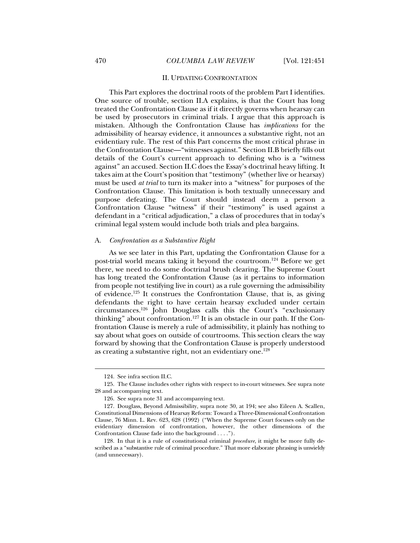#### II. UPDATING CONFRONTATION

This Part explores the doctrinal roots of the problem Part I identifies. One source of trouble, section II.A explains, is that the Court has long treated the Confrontation Clause as if it directly governs when hearsay can be used by prosecutors in criminal trials. I argue that this approach is mistaken. Although the Confrontation Clause has *implications* for the admissibility of hearsay evidence, it announces a substantive right, not an evidentiary rule. The rest of this Part concerns the most critical phrase in the Confrontation Clause—"witnesses against." Section II.B briefly fills out details of the Court's current approach to defining who is a "witness against" an accused. Section II.C does the Essay's doctrinal heavy lifting. It takes aim at the Court's position that "testimony" (whether live or hearsay) must be used *at trial* to turn its maker into a "witness" for purposes of the Confrontation Clause. This limitation is both textually unnecessary and purpose defeating. The Court should instead deem a person a Confrontation Clause "witness" if their "testimony" is used against a defendant in a "critical adjudication," a class of procedures that in today's criminal legal system would include both trials and plea bargains.

#### A. *Confrontation as a Substantive Right*

As we see later in this Part, updating the Confrontation Clause for a post-trial world means taking it beyond the courtroom.124 Before we get there, we need to do some doctrinal brush clearing. The Supreme Court has long treated the Confrontation Clause (as it pertains to information from people not testifying live in court) as a rule governing the admissibility of evidence.125 It construes the Confrontation Clause, that is, as giving defendants the right to have certain hearsay excluded under certain circumstances.126 John Douglass calls this the Court's "exclusionary thinking" about confrontation.<sup>127</sup> It is an obstacle in our path. If the Confrontation Clause is merely a rule of admissibility, it plainly has nothing to say about what goes on outside of courtrooms. This section clears the way forward by showing that the Confrontation Clause is properly understood as creating a substantive right, not an evidentiary one.<sup>128</sup>

 <sup>124.</sup> See infra section II.C.

 <sup>125.</sup> The Clause includes other rights with respect to in-court witnesses. See supra note 28 and accompanying text.

 <sup>126.</sup> See supra note 31 and accompanying text.

 <sup>127.</sup> Douglass, Beyond Admissibility, supra note 30, at 194; see also Eileen A. Scallen, Constitutional Dimensions of Hearsay Reform: Toward a Three-Dimensional Confrontation Clause, 76 Minn. L. Rev. 623, 628 (1992) ("When the Supreme Court focuses only on the evidentiary dimension of confrontation, however, the other dimensions of the Confrontation Clause fade into the background . . . .").

 <sup>128.</sup> In that it is a rule of constitutional criminal *procedure*, it might be more fully described as a "substantive rule of criminal procedure." That more elaborate phrasing is unwieldy (and unnecessary).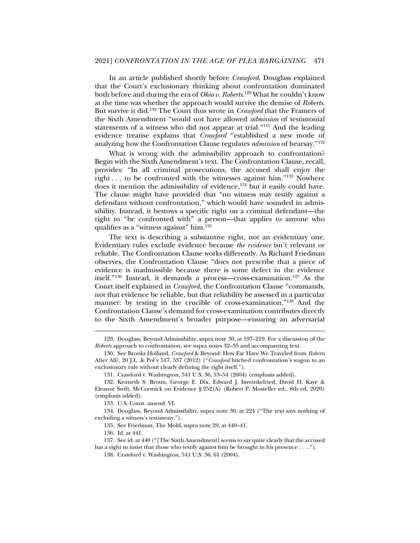In an article published shortly before *Crawford*, Douglass explained that the Court's exclusionary thinking about confrontation dominated both before and during the era of *Ohio v. Roberts*. 129 What he couldn't know at the time was whether the approach would survive the demise of *Roberts*. But survive it did.130 The Court thus wrote in *Crawford* that the Framers of the Sixth Amendment "would not have allowed *admission* of testimonial statements of a witness who did not appear at trial."131 And the leading evidence treatise explains that *Crawford* "established a new mode of analyzing how the Confrontation Clause regulates *admission* of hearsay."132

What is wrong with the admissibility approach to confrontation? Begin with the Sixth Amendment's text. The Confrontation Clause, recall, provides: "In all criminal prosecutions, the accused shall enjoy the right ... to be confronted with the witnesses against him."<sup>133</sup> Nowhere does it mention the admissibility of evidence,134 but it easily could have. The clause might have provided that "no witness may testify against a defendant without confrontation," which would have sounded in admissibility. Instead, it bestows a specific right on a criminal defendant—the right to "be confronted with" a person—that applies to anyone who qualifies as a "witness against" him.<sup>135</sup>

The text is describing a substantive right, not an evidentiary one. Evidentiary rules exclude evidence because *the evidence* isn't relevant or reliable. The Confrontation Clause works differently. As Richard Friedman observes, the Confrontation Clause "does not prescribe that a piece of evidence is inadmissible because there is some defect in the evidence itself."136 Instead, it demands a process—cross-examination.137 As the Court itself explained in *Crawford*, the Confrontation Clause "commands, not that evidence be reliable, but that reliability be assessed in a particular manner: by testing in the crucible of cross-examination."<sup>138</sup> And the Confrontation Clause's demand for cross-examination contributes directly to the Sixth Amendment's broader purpose—ensuring an adversarial

 <sup>129.</sup> Douglass, Beyond Admissibility, supra note 30, at 197–219. For a discussion of the *Roberts* approach to confrontation, see supra notes 32–35 and accompanying text.

 <sup>130.</sup> See Brooks Holland, *Crawford* & Beyond: How Far Have We Traveled from *Roberts* After All?, 20 J.L. & Pol'y 517, 537 (2012) ("*Crawford* hitched confrontation's wagon to an exclusionary rule without clearly defining the right itself.").

 <sup>131.</sup> Crawford v. Washington, 541 U.S. 36, 53–54 (2004) (emphasis added).

 <sup>132.</sup> Kenneth S. Broun, George E. Dix, Edward J. Imwinkelried, David H. Kaye & Eleanor Swift, McCormick on Evidence § 252(A) (Robert P. Mosteller ed., 8th ed. 2020) (emphasis added).

 <sup>133.</sup> U.S. Const. amend. VI.

 <sup>134.</sup> Douglass, Beyond Admissibility, supra note 30, at 224 ("The text says nothing of excluding a witness's testimony.").

 <sup>135.</sup> See Friedman, The Mold, supra note 29, at 440–41.

 <sup>136.</sup> Id. at 441.

 <sup>137.</sup> See id. at 440 ("[The Sixth Amendment] seems to say quite clearly that the accused has a right to insist that those who testify against him be brought in his presence . . . .").

 <sup>138.</sup> Crawford v. Washington, 541 U.S. 36, 61 (2004).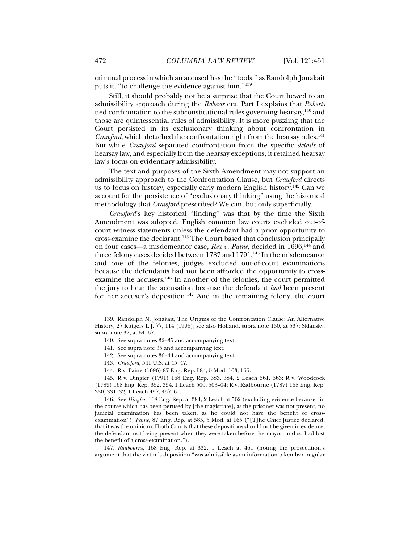criminal process in which an accused has the "tools," as Randolph Jonakait puts it, "to challenge the evidence against him."139

Still, it should probably not be a surprise that the Court hewed to an admissibility approach during the *Roberts* era. Part I explains that *Roberts* tied confrontation to the subconstitutional rules governing hearsay,<sup>140</sup> and those are quintessential rules of admissibility. It is more puzzling that the Court persisted in its exclusionary thinking about confrontation in *Crawford*, which detached the confrontation right from the hearsay rules.<sup>141</sup> But while *Crawford* separated confrontation from the specific *details* of hearsay law, and especially from the hearsay exceptions, it retained hearsay law's focus on evidentiary admissibility.

The text and purposes of the Sixth Amendment may not support an admissibility approach to the Confrontation Clause, but *Crawford* directs us to focus on history, especially early modern English history.142 Can we account for the persistence of "exclusionary thinking" using the historical methodology that *Crawford* prescribed? We can, but only superficially.

*Crawford*'s key historical "finding" was that by the time the Sixth Amendment was adopted, English common law courts excluded out-ofcourt witness statements unless the defendant had a prior opportunity to cross-examine the declarant.143 The Court based that conclusion principally on four cases—a misdemeanor case, *Rex v. Paine*, decided in 1696,<sup>144</sup> and three felony cases decided between  $1787$  and  $1791$ .<sup>145</sup> In the misdemeanor and one of the felonies, judges excluded out-of-court examinations because the defendants had not been afforded the opportunity to crossexamine the accusers.<sup>146</sup> In another of the felonies, the court permitted the jury to hear the accusation because the defendant *had* been present for her accuser's deposition.<sup>147</sup> And in the remaining felony, the court

- 141. See supra note 35 and accompanying text.
- 142. See supra notes 36–44 and accompanying text.
- 143*. Crawford*, 541 U.S. at 45–47.
- 144. R v. Paine (1696) 87 Eng. Rep. 584, 5 Mod. 163, 165.

 145. R v. Dingler (1791) 168 Eng. Rep. 383, 384, 2 Leach 561, 563; R v. Woodcock (1789) 168 Eng. Rep. 352, 354, 1 Leach 500, 503–04; R v. Radbourne (1787) 168 Eng. Rep. 330, 331–32, 1 Leach 457, 457–61.

 146. See *Dingler*, 168 Eng. Rep. at 384, 2 Leach at 562 (excluding evidence because "in the course which has been perused by [the magistrate], as the prisoner was not present, no judicial examination has been taken, as he could not have the benefit of crossexamination"); *Paine*, 87 Eng. Rep. at 585, 5 Mod. at 165 ("[T]he Chief Justice declared, that it was the opinion of both Courts that these depositions should not be given in evidence, the defendant not being present when they were taken before the mayor, and so had lost the benefit of a cross-examination.").

147*. Radbourne*, 168 Eng. Rep. at 332, 1 Leach at 461 (noting the prosecution's argument that the victim's deposition "was admissible as an information taken by a regular

 <sup>139.</sup> Randolph N. Jonakait, The Origins of the Confrontation Clause: An Alternative History, 27 Rutgers L.J. 77, 114 (1995); see also Holland, supra note 130, at 537; Sklansky, supra note 32, at 64–67.

 <sup>140.</sup> See supra notes 32–35 and accompanying text.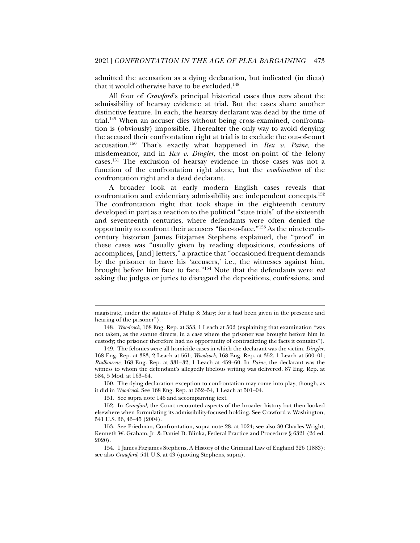admitted the accusation as a dying declaration, but indicated (in dicta) that it would otherwise have to be excluded.148

All four of *Crawford*'s principal historical cases thus *were* about the admissibility of hearsay evidence at trial. But the cases share another distinctive feature. In each, the hearsay declarant was dead by the time of trial.149 When an accuser dies without being cross-examined, confrontation is (obviously) impossible. Thereafter the only way to avoid denying the accused their confrontation right at trial is to exclude the out-of-court accusation.150 That's exactly what happened in *Rex v. Paine*, the misdemeanor, and in *Rex v. Dingler*, the most on-point of the felony cases.151 The exclusion of hearsay evidence in those cases was not a function of the confrontation right alone, but the *combination* of the confrontation right and a dead declarant.

A broader look at early modern English cases reveals that confrontation and evidentiary admissibility are independent concepts.152 The confrontation right that took shape in the eighteenth century developed in part as a reaction to the political "state trials" of the sixteenth and seventeenth centuries, where defendants were often denied the opportunity to confront their accusers "face-to-face."153 As the nineteenthcentury historian James Fitzjames Stephens explained, the "proof" in these cases was "usually given by reading depositions, confessions of accomplices, [and] letters," a practice that "occasioned frequent demands by the prisoner to have his 'accusers,' i.e., the witnesses against him, brought before him face to face."154 Note that the defendants were *not*  asking the judges or juries to disregard the depositions, confessions, and

magistrate, under the statutes of Philip & Mary; for it had been given in the presence and hearing of the prisoner").

<sup>148</sup>*. Woodcock*, 168 Eng. Rep. at 353, 1 Leach at 502 (explaining that examination "was not taken, as the statute directs, in a case where the prisoner was brought before him in custody; the prisoner therefore had no opportunity of contradicting the facts it contains").

 <sup>149.</sup> The felonies were all homicide cases in which the declarant was the victim. *Dingler*, 168 Eng. Rep. at 383, 2 Leach at 561; *Woodcock*, 168 Eng. Rep. at 352, 1 Leach at 500–01; *Radbourne*, 168 Eng. Rep. at 331–32, 1 Leach at 459–60. In *Paine*, the declarant was the witness to whom the defendant's allegedly libelous writing was delivered. 87 Eng. Rep. at 584, 5 Mod. at 163–64.

 <sup>150.</sup> The dying declaration exception to confrontation may come into play, though, as it did in *Woodcock*. See 168 Eng. Rep. at 352–54, 1 Leach at 501–04.

 <sup>151.</sup> See supra note 146 and accompanying text.

 <sup>152.</sup> In *Crawford*, the Court recounted aspects of the broader history but then looked elsewhere when formulating its admissibility-focused holding. See Crawford v. Washington, 541 U.S. 36, 43–45 (2004).

 <sup>153.</sup> See Friedman, Confrontation, supra note 28, at 1024; see also 30 Charles Wright, Kenneth W. Graham, Jr. & Daniel D. Blinka, Federal Practice and Procedure § 6321 (2d ed. 2020).

 <sup>154. 1</sup> James Fitzjames Stephens, A History of the Criminal Law of England 326 (1883); see also *Crawford*, 541 U.S. at 43 (quoting Stephens, supra).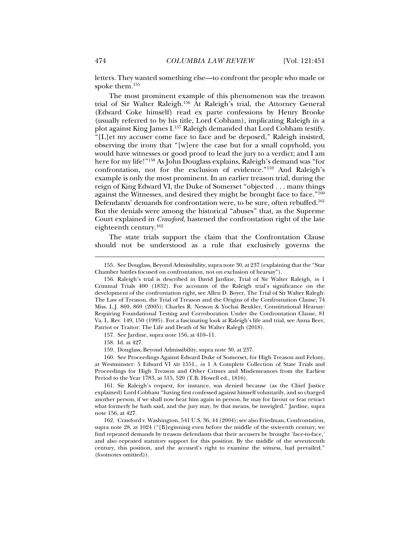letters. They wanted something else—to confront the people who made or spoke them.155

The most prominent example of this phenomenon was the treason trial of Sir Walter Raleigh.156 At Raleigh's trial, the Attorney General (Edward Coke himself) read ex parte confessions by Henry Brooke (usually referred to by his title, Lord Cobham), implicating Raleigh in a plot against King James I.157 Raleigh demanded that Lord Cobham testify. "[L]et my accuser come face to face and be deposed," Raleigh insisted, observing the irony that "[w]ere the case but for a small copyhold, you would have witnesses or good proof to lead the jury to a verdict; and I am here for my life!"<sup>158</sup> As John Douglass explains, Raleigh's demand was "for confrontation, not for the exclusion of evidence."159 And Raleigh's example is only the most prominent. In an earlier treason trial, during the reign of King Edward VI, the Duke of Somerset "objected . . . many things against the Witnesses, and desired they might be brought face to face."<sup>160</sup> Defendants' demands for confrontation were, to be sure, often rebuffed.<sup>161</sup> But the denials were among the historical "abuses" that, as the Supreme Court explained in *Crawford*, hastened the confrontation right of the late eighteenth century.162

The state trials support the claim that the Confrontation Clause should not be understood as a rule that exclusively governs the

157. See Jardine, supra note 156, at 410–11.

 <sup>155.</sup> See Douglass, Beyond Admissibility, supra note 30, at 237 (explaining that the "Star Chamber battles focused on confrontation, not on exclusion of hearsay").

 <sup>156.</sup> Raleigh's trial is described in David Jardine, Trial of Sir Walter Raleigh, *in* 1 Criminal Trials 400 (1832). For accounts of the Raleigh trial's significance on the development of the confrontation right, see Allen D. Boyer, The Trial of Sir Walter Ralegh: The Law of Treason, the Trial of Treason and the Origins of the Confrontation Clause, 74 Miss. L.J. 869, 869 (2005); Charles R. Nesson & Yochai Benkler, Constitutional Hearsay: Requiring Foundational Testing and Corroboration Under the Confrontation Clause, 81 Va. L. Rev. 149, 150 (1995). For a fascinating look at Raleigh's life and trial, see Anna Beer, Patriot or Traitor: The Life and Death of Sir Walter Ralegh (2018).

 <sup>158.</sup> Id. at 427.

 <sup>159.</sup> Douglass, Beyond Admissibility, supra note 30, at 237.

 <sup>160.</sup> See Proceedings Against Edward Duke of Somerset, for High Treason and Felony, at Westminster: 5 Edward VI AD 1551., *in* 1 A Complete Collection of State Trials and Proceedings for High Treason and Other Crimes and Misdemeanors from the Earliest Period to the Year 1783, at 515, 520 (T.B. Howell ed., 1816).

 <sup>161.</sup> Sir Raleigh's request, for instance, was denied because (as the Chief Justice explained) Lord Cobham "having first confessed against himself voluntarily, and so charged another person, if we shall now hear him again in person, he may for favour or fear retract what formerly he hath said, and the jury may, by that means, be inveigled." Jardine, supra note 156, at 427.

 <sup>162.</sup> Crawford v. Washington*,* 541 U.S. 36, 44 (2004); see also Friedman, Confrontation, supra note 28, at 1024 ("[B]eginning even before the middle of the sixteenth century, we find repeated demands by treason defendants that their accusers be brought 'face-to-face,' and also repeated statutory support for this position. By the middle of the seventeenth century, this position, and the accused's right to examine the witness, had prevailed." (footnotes omitted)).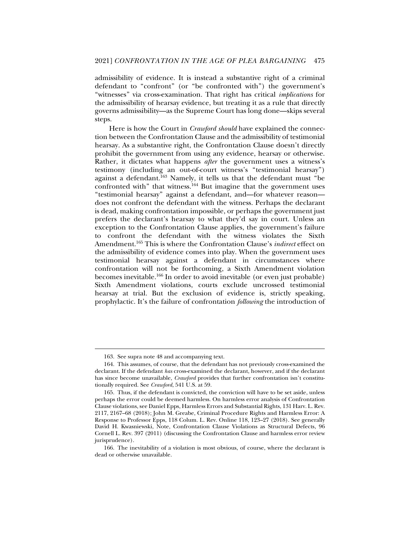admissibility of evidence. It is instead a substantive right of a criminal defendant to "confront" (or "be confronted with") the government's "witnesses" via cross-examination. That right has critical *implications* for the admissibility of hearsay evidence, but treating it as a rule that directly governs admissibility—as the Supreme Court has long done—skips several steps.

Here is how the Court in *Crawford should* have explained the connection between the Confrontation Clause and the admissibility of testimonial hearsay. As a substantive right, the Confrontation Clause doesn't directly prohibit the government from using any evidence, hearsay or otherwise. Rather, it dictates what happens *after* the government uses a witness's testimony (including an out-of-court witness's "testimonial hearsay") against a defendant.<sup>163</sup> Namely, it tells us that the defendant must "be confronted with" that witness.  $164$  But imagine that the government uses "testimonial hearsay" against a defendant, and—for whatever reason does not confront the defendant with the witness. Perhaps the declarant is dead, making confrontation impossible, or perhaps the government just prefers the declarant's hearsay to what they'd say in court. Unless an exception to the Confrontation Clause applies, the government's failure to confront the defendant with the witness violates the Sixth Amendment.165 This is where the Confrontation Clause's *indirect* effect on the admissibility of evidence comes into play. When the government uses testimonial hearsay against a defendant in circumstances where confrontation will not be forthcoming, a Sixth Amendment violation becomes inevitable.166 In order to avoid inevitable (or even just probable) Sixth Amendment violations, courts exclude uncrossed testimonial hearsay at trial. But the exclusion of evidence is, strictly speaking, prophylactic. It's the failure of confrontation *following* the introduction of

 <sup>163.</sup> See supra note 48 and accompanying text.

 <sup>164.</sup> This assumes, of course, that the defendant has not previously cross-examined the declarant. If the defendant *has* cross-examined the declarant, however, and if the declarant has since become unavailable, *Crawford* provides that further confrontation isn't constitutionally required. See *Crawford*, 541 U.S. at 59.

 <sup>165.</sup> Thus, if the defendant is convicted, the conviction will have to be set aside, unless perhaps the error could be deemed harmless. On harmless error analysis of Confrontation Clause violations, see Daniel Epps, Harmless Errors and Substantial Rights, 131 Harv. L. Rev. 2117, 2167–68 (2018); John M. Greabe, Criminal Procedure Rights and Harmless Error: A Response to Professor Epps, 118 Colum. L. Rev. Online 118, 123–27 (2018). See generally David H. Kwasniewski, Note, Confrontation Clause Violations as Structural Defects, 96 Cornell L. Rev. 397 (2011) (discussing the Confrontation Clause and harmless error review jurisprudence).

 <sup>166.</sup> The inevitability of a violation is most obvious, of course, where the declarant is dead or otherwise unavailable.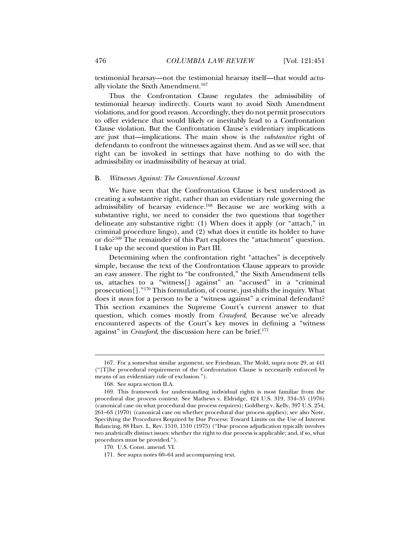testimonial hearsay—not the testimonial hearsay itself—that would actually violate the Sixth Amendment.167

Thus the Confrontation Clause regulates the admissibility of testimonial hearsay indirectly. Courts want to avoid Sixth Amendment violations, and for good reason. Accordingly, they do not permit prosecutors to offer evidence that would likely or inevitably lead to a Confrontation Clause violation. But the Confrontation Clause's evidentiary implications are just that—implications. The main show is the *substantive* right of defendants to confront the witnesses against them. And as we will see, that right can be invoked in settings that have nothing to do with the admissibility or inadmissibility of hearsay at trial.

#### B. *Witnesses Against: The Conventional Account*

We have seen that the Confrontation Clause is best understood as creating a substantive right, rather than an evidentiary rule governing the admissibility of hearsay evidence.168 Because we are working with a substantive right, we need to consider the two questions that together delineate any substantive right: (1) When does it apply (or "attach," in criminal procedure lingo), and (2) what does it entitle its holder to have or do?169 The remainder of this Part explores the "attachment" question. I take up the second question in Part III.

Determining when the confrontation right "attaches" is deceptively simple, because the text of the Confrontation Clause appears to provide an easy answer. The right to "be confronted," the Sixth Amendment tells us, attaches to a "witness[] against" an "accused" in a "criminal prosecution[]."170 This formulation, of course, just shifts the inquiry. What does it *mean* for a person to be a "witness against" a criminal defendant? This section examines the Supreme Court's current answer to that question, which comes mostly from *Crawford*. Because we've already encountered aspects of the Court's key moves in defining a "witness against" in *Crawford*, the discussion here can be brief.<sup>171</sup>

 <sup>167.</sup> For a somewhat similar argument, see Friedman, The Mold, supra note 29, at 441 ("[T]he procedural requirement of the Confrontation Clause is necessarily enforced by means of an evidentiary rule of exclusion.").

 <sup>168.</sup> See supra section II.A.

 <sup>169.</sup> This framework for understanding individual rights is most familiar from the procedural due process context. See Mathews v. Eldridge, 424 U.S. 319, 334–35 (1976) (canonical case on what procedural due process requires); Goldberg v. Kelly, 397 U.S. 254, 261–63 (1970) (canonical case on whether procedural due process applies); see also Note, Specifying the Procedures Required by Due Process: Toward Limits on the Use of Interest Balancing, 88 Harv. L. Rev. 1510, 1510 (1975) ("Due process adjudication typically involves two analytically distinct issues: whether the right to due process is applicable; and, if so, what procedures must be provided.").

 <sup>170.</sup> U.S. Const. amend. VI.

 <sup>171.</sup> See supra notes 60–64 and accompanying text.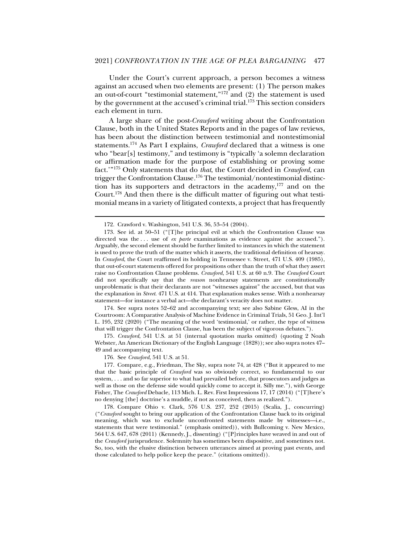Under the Court's current approach, a person becomes a witness against an accused when two elements are present: (1) The person makes an out-of-court "testimonial statement," $172$ <sup>2</sup> and (2) the statement is used by the government at the accused's criminal trial.173 This section considers each element in turn.

A large share of the post-*Crawford* writing about the Confrontation Clause, both in the United States Reports and in the pages of law reviews, has been about the distinction between testimonial and nontestimonial statements.174 As Part I explains, *Crawford* declared that a witness is one who "bear[s] testimony," and testimony is "typically 'a solemn declaration or affirmation made for the purpose of establishing or proving some fact.'"175 Only statements that do *that*, the Court decided in *Crawford*, can trigger the Confrontation Clause*.* <sup>176</sup> The testimonial/nontestimonial distinction has its supporters and detractors in the academy, $177$  and on the Court.178 And then there is the difficult matter of figuring out what testimonial means in a variety of litigated contexts, a project that has frequently

j

 174. See supra notes 52–62 and accompanying text; see also Sabine Gless, AI in the Courtroom: A Comparative Analysis of Machine Evidence in Criminal Trials, 51 Geo. J. Int'l L. 195, 232 (2020) ("The meaning of the word 'testimonial,' or rather, the type of witness that will trigger the Confrontation Clause, has been the subject of vigorous debates.").

175*. Crawford*, 541 U.S. at 51 (internal quotation marks omitted) (quoting 2 Noah Webster, An American Dictionary of the English Language (1828)); see also supra notes 47– 49 and accompanying text.

176. See *Crawford*, 541 U.S. at 51.

 177. Compare, e.g., Friedman, The Sky, supra note 74, at 428 ("But it appeared to me that the basic principle of *Crawford* was so obviously correct, so fundamental to our system, . . . and so far superior to what had prevailed before, that prosecutors and judges as well as those on the defense side would quickly come to accept it. Silly me."), with George Fisher, The *Crawford* Debacle, 113 Mich. L. Rev. First Impressions 17, 17 (2014) ("[T]here's no denying [the] doctrine's a muddle, if not as conceived, then as realized.").

 178. Compare Ohio v. Clark, 576 U.S. 237, 252 (2015) (Scalia, J., concurring) ("*Crawford* sought to bring our application of the Confrontation Clause back to its original meaning, which was to exclude unconfronted statements made by witnesses—i.e., statements that were testimonial." (emphasis omitted)), with Bullcoming v. New Mexico, 564 U.S. 647, 678 (2011) (Kennedy, J., dissenting) ("[P]rinciples have weaved in and out of the *Crawford* jurisprudence. Solemnity has sometimes been dispositive, and sometimes not. So, too, with the elusive distinction between utterances aimed at proving past events, and those calculated to help police keep the peace." (citations omitted)).

 <sup>172.</sup> Crawford v. Washington, 541 U.S. 36, 53–54 (2004).

 <sup>173.</sup> See id. at 50–51 ("[T]he principal evil at which the Confrontation Clause was directed was the ... use of *ex parte* examinations as evidence against the accused."). Arguably, the second element should be further limited to instances in which the statement is used to prove the truth of the matter which it asserts, the traditional definition of hearsay. In *Crawford*, the Court reaffirmed its holding in Tennessee v. Street, 471 U.S. 409 (1985), that out-of-court statements offered for propositions other than the truth of what they assert raise no Confrontation Clause problems. *Crawford*, 541 U.S. at 60 n.9. The *Crawford* Court did not specifically say that the *reason* nonhearsay statements are constitutionally unproblematic is that their declarants are not "witnesses against" the accused, but that was the explanation in *Street*. 471 U.S. at 414. That explanation makes sense. With a nonhearsay statement—for instance a verbal act—the declarant's veracity does not matter.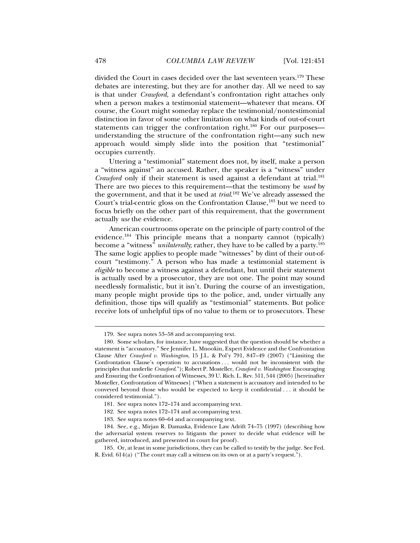divided the Court in cases decided over the last seventeen years.179 These debates are interesting, but they are for another day. All we need to say is that under *Crawford*, a defendant's confrontation right attaches only when a person makes a testimonial statement—whatever that means. Of course, the Court might someday replace the testimonial/nontestimonial distinction in favor of some other limitation on what kinds of out-of-court statements can trigger the confrontation right.<sup>180</sup> For our purposes understanding the structure of the confrontation right—any such new approach would simply slide into the position that "testimonial" occupies currently.

Uttering a "testimonial" statement does not, by itself, make a person a "witness against" an accused. Rather, the speaker is a "witness" under *Crawford* only if their statement is used against a defendant at trial.<sup>181</sup> There are two pieces to this requirement—that the testimony be *used* by the government, and that it be used at *trial*. 182 We've already assessed the Court's trial-centric gloss on the Confrontation Clause,<sup>183</sup> but we need to focus briefly on the other part of this requirement, that the government actually *use* the evidence.

American courtrooms operate on the principle of party control of the evidence.184 This principle means that a nonparty cannot (typically) become a "witness" *unilaterally*; rather, they have to be called by a party.<sup>185</sup> The same logic applies to people made "witnesses" by dint of their out-ofcourt "testimony." A person who has made a testimonial statement is *eligible* to become a witness against a defendant, but until their statement is actually used by a prosecutor, they are not one. The point may sound needlessly formalistic, but it isn't. During the course of an investigation, many people might provide tips to the police, and, under virtually any definition, those tips will qualify as "testimonial" statements. But police receive lots of unhelpful tips of no value to them or to prosecutors. These

 <sup>179.</sup> See supra notes 53–58 and accompanying text.

 <sup>180.</sup> Some scholars, for instance, have suggested that the question should be whether a statement is "accusatory." See Jennifer L. Mnookin, Expert Evidence and the Confrontation Clause After *Crawford v. Washington*, 15 J.L. & Pol'y 791, 847–49 (2007) ("Limiting the Confrontation Clause's operation to accusations . . . would not be inconsistent with the principles that underlie *Crawford*."); Robert P. Mosteller, *Crawford v. Washington*: Encouraging and Ensuring the Confrontation of Witnesses, 39 U. Rich. L. Rev. 511, 544 (2005) [hereinafter Mosteller, Confrontation of Witnesses] ("When a statement is accusatory and intended to be conveyed beyond those who would be expected to keep it confidential . . . it should be considered testimonial.").

 <sup>181.</sup> See supra notes 172–174 and accompanying text.

 <sup>182.</sup> See supra notes 172–174 and accompanying text.

 <sup>183.</sup> See supra notes 60–64 and accompanying text.

 <sup>184.</sup> See, e.g., Mirjan R. Damaska, Evidence Law Adrift 74–75 (1997) (describing how the adversarial system reserves to litigants the power to decide what evidence will be gathered, introduced, and presented in court for proof).

 <sup>185.</sup> Or, at least in some jurisdictions, they can be called to testify by the judge. See Fed. R. Evid. 614(a) ("The court may call a witness on its own or at a party's request.").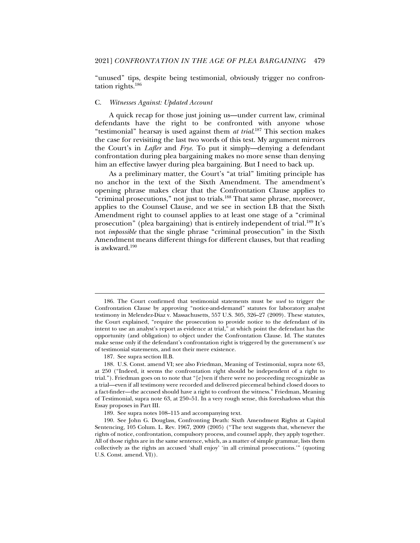"unused" tips, despite being testimonial, obviously trigger no confrontation rights.186

#### C. *Witnesses Against: Updated Account*

A quick recap for those just joining us—under current law, criminal defendants have the right to be confronted with anyone whose "testimonial" hearsay is used against them *at trial*. 187 This section makes the case for revisiting the last two words of this test. My argument mirrors the Court's in *Lafler* and *Frye*. To put it simply—denying a defendant confrontation during plea bargaining makes no more sense than denying him an effective lawyer during plea bargaining. But I need to back up.

As a preliminary matter, the Court's "at trial" limiting principle has no anchor in the text of the Sixth Amendment. The amendment's opening phrase makes clear that the Confrontation Clause applies to "criminal prosecutions," not just to trials.<sup>188</sup> That same phrase, moreover, applies to the Counsel Clause, and we see in section I.B that the Sixth Amendment right to counsel applies to at least one stage of a "criminal prosecution" (plea bargaining) that is entirely independent of trial.<sup>189</sup> It's not *impossible* that the single phrase "criminal prosecution" in the Sixth Amendment means different things for different clauses, but that reading is awkward.190

 <sup>186.</sup> The Court confirmed that testimonial statements must be *used* to trigger the Confrontation Clause by approving "notice-and-demand" statutes for laboratory analyst testimony in Melendez-Diaz v. Massachusetts, 557 U.S. 305, 326–27 (2009). These statutes, the Court explained, "require the prosecution to provide notice to the defendant of its intent to use an analyst's report as evidence at trial," at which point the defendant has the opportunity (and obligation) to object under the Confrontation Clause. Id. The statutes make sense only if the defendant's confrontation right is triggered by the government's *use*  of testimonial statements, and not their mere existence.

 <sup>187.</sup> See supra section II.B.

 <sup>188.</sup> U.S. Const. amend VI; see also Friedman, Meaning of Testimonial, supra note 63, at 250 ("Indeed, it seems the confrontation right should be independent of a right to trial."). Friedman goes on to note that "[e]ven if there were no proceeding recognizable as a trial—even if all testimony were recorded and delivered piecemeal behind closed doors to a fact-finder—the accused should have a right to confront the witness." Friedman, Meaning of Testimonial, supra note 63, at 250–51. In a very rough sense, this foreshadows what this Essay proposes in Part III.

 <sup>189.</sup> See supra notes 108–115 and accompanying text.

 <sup>190.</sup> See John G. Douglass, Confronting Death: Sixth Amendment Rights at Capital Sentencing, 105 Colum. L. Rev. 1967, 2009 (2005) ("The text suggests that, whenever the rights of notice, confrontation, compulsory process, and counsel apply, they apply together. All of those rights are in the same sentence, which, as a matter of simple grammar, lists them collectively as the rights an accused 'shall enjoy' 'in all criminal prosecutions.'" (quoting U.S. Const. amend. VI)).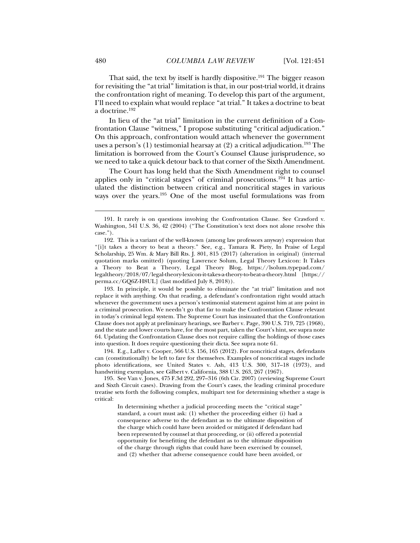That said, the text by itself is hardly dispositive.<sup>191</sup> The bigger reason for revisiting the "at trial" limitation is that, in our post-trial world, it drains the confrontation right of meaning. To develop this part of the argument, I'll need to explain what would replace "at trial." It takes a doctrine to beat a doctrine.192

In lieu of the "at trial" limitation in the current definition of a Confrontation Clause "witness," I propose substituting "critical adjudication." On this approach, confrontation would attach whenever the government uses a person's (1) testimonial hearsay at (2) a critical adjudication.<sup>193</sup> The limitation is borrowed from the Court's Counsel Clause jurisprudence, so we need to take a quick detour back to that corner of the Sixth Amendment.

The Court has long held that the Sixth Amendment right to counsel applies only in "critical stages" of criminal prosecutions.194 It has articulated the distinction between critical and noncritical stages in various ways over the years.195 One of the most useful formulations was from

 193. In principle, it would be possible to eliminate the "at trial" limitation and not replace it with anything. On that reading, a defendant's confrontation right would attach whenever the government uses a person's testimonial statement against him at any point in a criminal prosecution. We needn't go that far to make the Confrontation Clause relevant in today's criminal legal system. The Supreme Court has insinuated that the Confrontation Clause does not apply at preliminary hearings, see Barber v. Page, 390 U.S. 719, 725 (1968), and the state and lower courts have, for the most part, taken the Court's hint, see supra note 64. Updating the Confrontation Clause does not require calling the holdings of those cases into question. It does require questioning their dicta. See supra note 61.

 194. E.g., Lafler v. Cooper, 566 U.S. 156, 165 (2012). For noncritical stages, defendants can (constitutionally) be left to fare for themselves. Examples of noncritical stages include photo identifications, see United States v. Ash, 413 U.S. 300, 317–18 (1973), and handwriting exemplars, see Gilbert v. California, 388 U.S. 263, 267 (1967).

 195. See Van v. Jones, 475 F.3d 292, 297–316 (6th Cir. 2007) (reviewing Supreme Court and Sixth Circuit cases). Drawing from the Court's cases, the leading criminal procedure treatise sets forth the following complex, multipart test for determining whether a stage is critical:

In determining whether a judicial proceeding meets the "critical stage" standard, a court must ask: (1) whether the proceeding either (i) had a consequence adverse to the defendant as to the ultimate disposition of the charge which could have been avoided or mitigated if defendant had been represented by counsel at that proceeding, or (ii) offered a potential opportunity for benefitting the defendant as to the ultimate disposition of the charge through rights that could have been exercised by counsel, and (2) whether that adverse consequence could have been avoided, or

 <sup>191.</sup> It rarely is on questions involving the Confrontation Clause. See Crawford v. Washington, 541 U.S. 36, 42 (2004) ("The Constitution's text does not alone resolve this case.").

 <sup>192.</sup> This is a variant of the well-known (among law professors anyway) expression that "[i]t takes a theory to beat a theory." See, e.g., Tamara R. Piety, In Praise of Legal Scholarship, 25 Wm. & Mary Bill Rts. J. 801, 815 (2017) (alteration in original) (internal quotation marks omitted) (quoting Lawrence Solum, Legal Theory Lexicon: It Takes a Theory to Beat a Theory, Legal Theory Blog, https://lsolum.typepad.com/ legaltheory/2018/07/legal-theory-lexicon-it-takes-a-theory-to-beat-a-theory.html [https:// perma.cc/GQ6Z-H8UL] (last modified July 8, 2018)).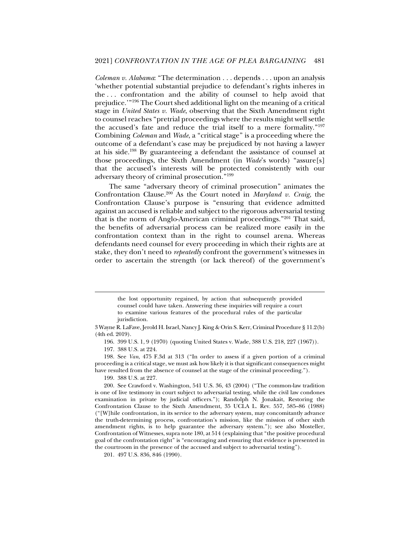*Coleman v. Alabama*: "The determination . . . depends . . . upon an analysis 'whether potential substantial prejudice to defendant's rights inheres in the . . . confrontation and the ability of counsel to help avoid that prejudice.'"196 The Court shed additional light on the meaning of a critical stage in *United States v. Wade*, observing that the Sixth Amendment right to counsel reaches "pretrial proceedings where the results might well settle the accused's fate and reduce the trial itself to a mere formality."197 Combining *Coleman* and *Wade*, a "critical stage" is a proceeding where the outcome of a defendant's case may be prejudiced by not having a lawyer at his side.198 By guaranteeing a defendant the assistance of counsel at those proceedings, the Sixth Amendment (in *Wade*'s words) "assure[s] that the accused's interests will be protected consistently with our adversary theory of criminal prosecution."199

The same "adversary theory of criminal prosecution" animates the Confrontation Clause.200 As the Court noted in *Maryland v. Craig*, the Confrontation Clause's purpose is "ensuring that evidence admitted against an accused is reliable and subject to the rigorous adversarial testing that is the norm of Anglo-American criminal proceedings."201 That said, the benefits of adversarial process can be realized more easily in the confrontation context than in the right to counsel arena. Whereas defendants need counsel for every proceeding in which their rights are at stake, they don't need to *repeatedly* confront the government's witnesses in order to ascertain the strength (or lack thereof) of the government's

196. 399 U.S. 1, 9 (1970) (quoting United States v. Wade, 388 U.S. 218, 227 (1967)).

197. 388 U.S. at 224.

 198. See *Van*, 475 F.3d at 313 ("In order to assess if a given portion of a criminal proceeding is a critical stage, we must ask how likely it is that significant consequences might have resulted from the absence of counsel at the stage of the criminal proceeding.").

199. 388 U.S. at 227.

201. 497 U.S. 836, 846 (1990).

the lost opportunity regained, by action that subsequently provided counsel could have taken. Answering these inquiries will require a court to examine various features of the procedural rules of the particular jurisdiction.

<sup>3</sup> Wayne R. LaFave, Jerold H. Israel, Nancy J. King & Orin S. Kerr, Criminal Procedure § 11.2(b) (4th ed. 2019).

 <sup>200.</sup> See Crawford v. Washington, 541 U.S. 36, 43 (2004) ("The common-law tradition is one of live testimony in court subject to adversarial testing, while the civil law condones examination in private by judicial officers."); Randolph N. Jonakait, Restoring the Confrontation Clause to the Sixth Amendment, 35 UCLA L. Rev. 557, 585–86 (1988) ("[W]hile confrontation, in its service to the adversary system, may concomitantly advance the truth-determining process, confrontation's mission, like the mission of other sixth amendment rights, is to help guarantee the adversary system."); see also Mosteller, Confrontation of Witnesses, supra note 180, at 514 (explaining that "the positive procedural goal of the confrontation right" is "encouraging and ensuring that evidence is presented in the courtroom in the presence of the accused and subject to adversarial testing").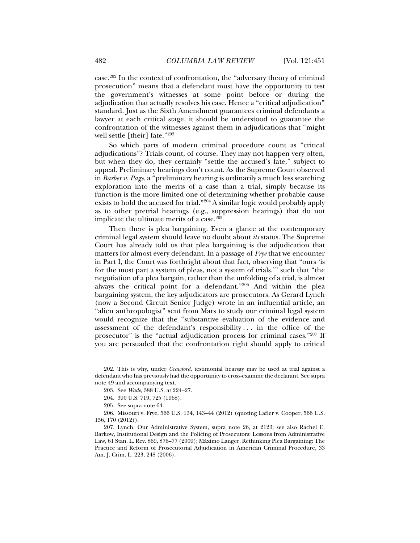case.202 In the context of confrontation, the "adversary theory of criminal prosecution" means that a defendant must have the opportunity to test the government's witnesses at some point before or during the adjudication that actually resolves his case. Hence a "critical adjudication" standard. Just as the Sixth Amendment guarantees criminal defendants a lawyer at each critical stage, it should be understood to guarantee the confrontation of the witnesses against them in adjudications that "might well settle [their] fate."203

So which parts of modern criminal procedure count as "critical adjudications"? Trials count, of course. They may not happen very often, but when they do, they certainly "settle the accused's fate," subject to appeal. Preliminary hearings don't count. As the Supreme Court observed in *Barber v. Page*, a "preliminary hearing is ordinarily a much less searching exploration into the merits of a case than a trial, simply because its function is the more limited one of determining whether probable cause exists to hold the accused for trial."204 A similar logic would probably apply as to other pretrial hearings (e.g., suppression hearings) that do not implicate the ultimate merits of a case. $205$ 

Then there is plea bargaining. Even a glance at the contemporary criminal legal system should leave no doubt about *its* status. The Supreme Court has already told us that plea bargaining is the adjudication that matters for almost every defendant. In a passage of *Frye* that we encounter in Part I, the Court was forthright about that fact, observing that "ours 'is for the most part a system of pleas, not a system of trials,'" such that "the negotiation of a plea bargain, rather than the unfolding of a trial, is almost always the critical point for a defendant."206 And within the plea bargaining system, the key adjudicators are prosecutors. As Gerard Lynch (now a Second Circuit Senior Judge) wrote in an influential article, an "alien anthropologist" sent from Mars to study our criminal legal system would recognize that the "substantive evaluation of the evidence and assessment of the defendant's responsibility . . . in the office of the prosecutor" is the "actual adjudication process for criminal cases."207 If you are persuaded that the confrontation right should apply to critical

 <sup>202.</sup> This is why, under *Crawford*, testimonial hearsay may be used at trial against a defendant who has previously had the opportunity to cross-examine the declarant. See supra note 49 and accompanying text.

 <sup>203.</sup> See *Wade*, 388 U.S. at 224–27.

 <sup>204. 390</sup> U.S. 719, 725 (1968).

 <sup>205.</sup> See supra note 64.

 <sup>206.</sup> Missouri v. Frye, 566 U.S. 134, 143–44 (2012) (quoting Lafler v. Cooper, 566 U.S. 156, 170 (2012)).

 <sup>207.</sup> Lynch, Our Administrative System, supra note 26, at 2123; see also Rachel E. Barkow, Institutional Design and the Policing of Prosecutors: Lessons from Administrative Law, 61 Stan. L. Rev. 869, 876–77 (2009); Máximo Langer, Rethinking Plea Bargaining: The Practice and Reform of Prosecutorial Adjudication in American Criminal Procedure, 33 Am. J. Crim. L. 223, 248 (2006).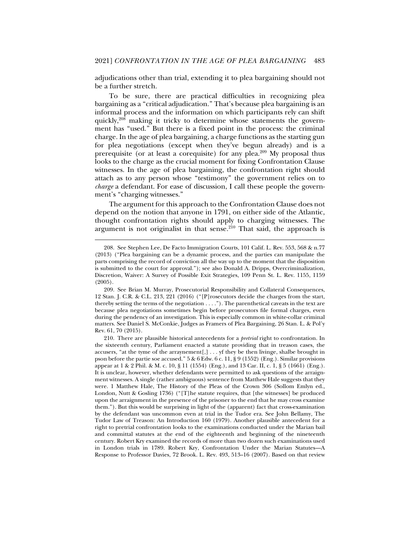adjudications other than trial, extending it to plea bargaining should not be a further stretch.

To be sure, there are practical difficulties in recognizing plea bargaining as a "critical adjudication." That's because plea bargaining is an informal process and the information on which participants rely can shift quickly,208 making it tricky to determine whose statements the government has "used." But there is a fixed point in the process: the criminal charge. In the age of plea bargaining, a charge functions as the starting gun for plea negotiations (except when they've begun already) and is a prerequisite (or at least a corequisite) for any plea.209 My proposal thus looks to the charge as the crucial moment for fixing Confrontation Clause witnesses. In the age of plea bargaining, the confrontation right should attach as to any person whose "testimony" the government relies on to *charge* a defendant. For ease of discussion, I call these people the government's "charging witnesses."

The argument for this approach to the Confrontation Clause does not depend on the notion that anyone in 1791, on either side of the Atlantic, thought confrontation rights should apply to charging witnesses. The argument is not originalist in that sense.<sup>210</sup> That said, the approach is

 <sup>208.</sup> See Stephen Lee, De Facto Immigration Courts, 101 Calif. L. Rev. 553, 568 & n.77 (2013) ("Plea bargaining can be a dynamic process, and the parties can manipulate the parts comprising the record of conviction all the way up to the moment that the disposition is submitted to the court for approval."); see also Donald A. Dripps, Overcriminalization, Discretion, Waiver: A Survey of Possible Exit Strategies, 109 Penn St. L. Rev. 1155, 1159 (2005).

 <sup>209.</sup> See Brian M. Murray, Prosecutorial Responsibility and Collateral Consequences, 12 Stan. J. C.R. & C.L. 213, 221 (2016) ("[P]rosecutors decide the charges from the start, thereby setting the terms of the negotiation . . . ."). The parenthetical caveats in the text are because plea negotiations sometimes begin before prosecutors file formal charges, even during the pendency of an investigation. This is especially common in white-collar criminal matters. See Daniel S. McConkie, Judges as Framers of Plea Bargaining, 26 Stan. L. & Pol'y Rev. 61, 70 (2015).

 <sup>210.</sup> There are plausible historical antecedents for a *pretrial* right to confrontation. In the sixteenth century, Parliament enacted a statute providing that in treason cases, the accusers, "at the tyme of the arraynement[,] . . . yf they be then livinge, shalbe brought in pson before the partie soe accused." 5 & 6 Edw. 6 c. 11, § 9 (1552) (Eng.). Similar provisions appear at 1 & 2 Phil. & M. c. 10, § 11 (1554) (Eng.), and 13 Car. II, c. 1, § 5 (1661) (Eng.). It is unclear, however, whether defendants were permitted to ask questions of the arraignment witnesses. A single (rather ambiguous) sentence from Matthew Hale suggests that they were. 1 Matthew Hale, The History of the Pleas of the Crown 306 (Sollom Emlyn ed., London, Nutt & Gosling 1736) ("[T]he statute requires, that [the witnesses] be produced upon the arraignment in the presence of the prisoner to the end that he may cross examine them."). But this would be surprising in light of the (apparent) fact that cross-examination by the defendant was uncommon even at trial in the Tudor era. See John Bellamy, The Tudor Law of Treason: An Introduction 160 (1979). Another plausible antecedent for a right to pretrial confrontation looks to the examinations conducted under the Marian bail and committal statutes at the end of the eighteenth and beginning of the nineteenth century. Robert Kry examined the records of more than two dozen such examinations used in London trials in 1789. Robert Kry, Confrontation Under the Marian Statutes—A Response to Professor Davies, 72 Brook. L. Rev. 493, 513–16 (2007). Based on that review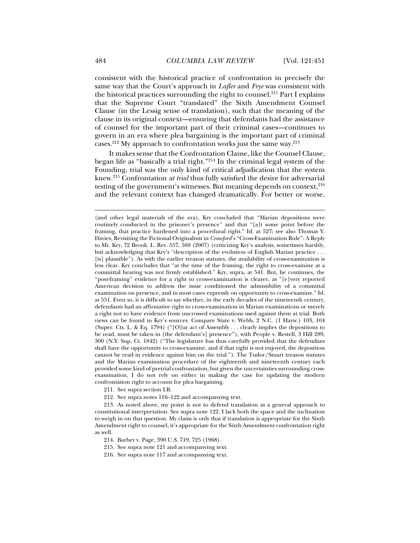consistent with the historical practice of confrontation in precisely the same way that the Court's approach in *Lafler* and *Frye* was consistent with the historical practices surrounding the right to counsel.211 Part I explains that the Supreme Court "translated" the Sixth Amendment Counsel Clause (in the Lessig sense of translation), such that the meaning of the clause in its original context—ensuring that defendants had the assistance of counsel for the important part of their criminal cases—continues to govern in an era where plea bargaining is the important part of criminal cases.212 My approach to confrontation works just the same way.213

It makes sense that the Confrontation Clause, like the Counsel Clause, began life as "basically a trial right."214 In the criminal legal system of the Founding, trial was the only kind of critical adjudication that the system knew.215 Confrontation *at trial* thus fully satisfied the desire for adversarial testing of the government's witnesses. But meaning depends on context,  $2^{16}$ and the relevant context has changed dramatically. For better or worse,

211. See supra section I.B.

<sup>(</sup>and other legal materials of the era), Kry concluded that "Marian depositions were routinely conducted in the prisoner's presence" and that "[a]t some point before the framing, that practice hardened into a procedural right." Id. at 527; see also Thomas Y. Davies, Revisiting the Fictional Originalism in *Crawford*'s "Cross-Examination Rule": A Reply to Mr. Kry, 72 Brook. L. Rev. 557, 569 (2007) (criticizing Kry's analysis, sometimes harshly, but acknowledging that Kry's "description of the evolution of English Marian practice . . . [is] plausible"). As with the earlier treason statutes, the availability of cross-examination is less clear. Kry concludes that "at the time of the framing, the right to cross-examine at a committal hearing was not firmly established." Kry, supra, at 541. But, he continues, the "post-framing" evidence for a right to cross-examination is clearer, as "[e]very reported American decision to address the issue conditioned the admissibility of a committal examination on presence, and in most cases expressly on opportunity to cross-examine." Id. at 551. Even so, it is difficult to say whether, in the early decades of the nineteenth century, defendants had an affirmative right to cross-examination in Marian examinations or merely a right not to have evidence from uncrossed examinations used against them at trial. Both views can be found in Kry's sources. Compare State v. Webb, 2 N.C. (1 Hayw.) 103, 104 (Super. Cts. L. & Eq. 1794) ("[O]ur act of Assembly . . . clearly implies the depositions to be read, must be taken in [the defendant's] presence"), with People v. Restell, 3 Hill 289, 300 (N.Y. Sup. Ct. 1842) ("The legislature has thus carefully provided that the defendant shall have the opportunity to cross-examine, and if that right is not enjoyed, the deposition cannot be read in evidence against him on the trial."). The Tudor/Stuart treason statutes and the Marian examination procedure of the eighteenth and nineteenth century each provided some kind of pretrial confrontation, but given the uncertainties surrounding crossexamination, I do not rely on either in making the case for updating the modern confrontation right to account for plea bargaining.

 <sup>212.</sup> See supra notes 116–122 and accompanying text.

 <sup>213.</sup> As noted above, my point is not to defend translation as a general approach to constitutional interpretation. See supra note 122. I lack both the space and the inclination to weigh in on that question. My claim is only that if translation is appropriate for the Sixth Amendment right to counsel, it's appropriate for the Sixth Amendment confrontation right as well.

 <sup>214.</sup> Barber v. Page, 390 U.S. 719, 725 (1968).

 <sup>215.</sup> See supra note 121 and accompanying text.

 <sup>216.</sup> See supra note 117 and accompanying text.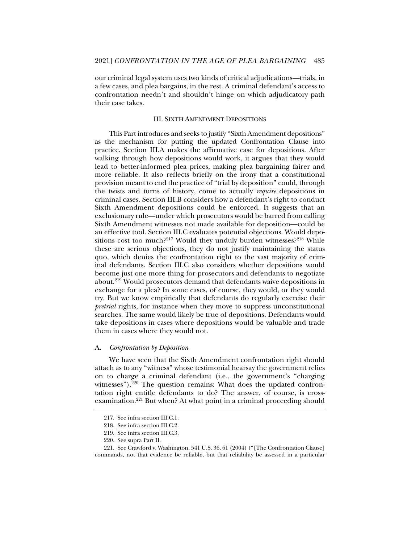our criminal legal system uses two kinds of critical adjudications—trials, in a few cases, and plea bargains, in the rest. A criminal defendant's access to confrontation needn't and shouldn't hinge on which adjudicatory path their case takes.

#### III. SIXTH AMENDMENT DEPOSITIONS

This Part introduces and seeks to justify "Sixth Amendment depositions" as the mechanism for putting the updated Confrontation Clause into practice. Section III.A makes the affirmative case for depositions. After walking through how depositions would work, it argues that they would lead to better-informed plea prices, making plea bargaining fairer and more reliable. It also reflects briefly on the irony that a constitutional provision meant to end the practice of "trial by deposition" could, through the twists and turns of history, come to actually *require* depositions in criminal cases. Section III.B considers how a defendant's right to conduct Sixth Amendment depositions could be enforced. It suggests that an exclusionary rule—under which prosecutors would be barred from calling Sixth Amendment witnesses not made available for deposition—could be an effective tool. Section III.C evaluates potential objections. Would depositions cost too much?<sup>217</sup> Would they unduly burden witnesses?<sup>218</sup> While these are serious objections, they do not justify maintaining the status quo, which denies the confrontation right to the vast majority of criminal defendants. Section III.C also considers whether depositions would become just one more thing for prosecutors and defendants to negotiate about.219 Would prosecutors demand that defendants waive depositions in exchange for a plea? In some cases, of course, they would, or they would try. But we know empirically that defendants do regularly exercise their *pretrial* rights, for instance when they move to suppress unconstitutional searches. The same would likely be true of depositions. Defendants would take depositions in cases where depositions would be valuable and trade them in cases where they would not.

#### A. *Confrontation by Deposition*

We have seen that the Sixth Amendment confrontation right should attach as to any "witness" whose testimonial hearsay the government relies on to charge a criminal defendant (i.e., the government's "charging witnesses"). $^{220}$  The question remains: What does the updated confrontation right entitle defendants to do? The answer, of course, is crossexamination.<sup>221</sup> But when? At what point in a criminal proceeding should

 <sup>217.</sup> See infra section III.C.1.

 <sup>218.</sup> See infra section III.C.2.

 <sup>219.</sup> See infra section III.C.3.

 <sup>220.</sup> See supra Part II.

 <sup>221.</sup> See Crawford v. Washington, 541 U.S. 36, 61 (2004) ("[The Confrontation Clause] commands, not that evidence be reliable, but that reliability be assessed in a particular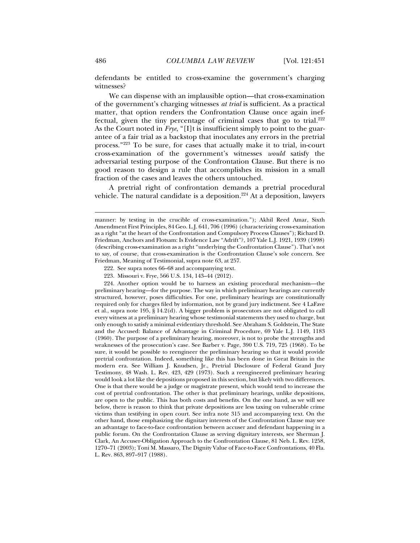defendants be entitled to cross-examine the government's charging witnesses?

We can dispense with an implausible option—that cross-examination of the government's charging witnesses *at trial* is sufficient. As a practical matter, that option renders the Confrontation Clause once again ineffectual, given the tiny percentage of criminal cases that go to trial. $222$ As the Court noted in *Frye*, "[I]t is insufficient simply to point to the guarantee of a fair trial as a backstop that inoculates any errors in the pretrial process."223 To be sure, for cases that actually make it to trial, in-court cross-examination of the government's witnesses *would* satisfy the adversarial testing purpose of the Confrontation Clause. But there is no good reason to design a rule that accomplishes its mission in a small fraction of the cases and leaves the others untouched.

A pretrial right of confrontation demands a pretrial procedural vehicle. The natural candidate is a deposition.<sup>224</sup> At a deposition, lawyers

222. See supra notes 66–68 and accompanying text.

 224. Another option would be to harness an existing procedural mechanism—the preliminary hearing—for the purpose. The way in which preliminary hearings are currently structured, however, poses difficulties. For one, preliminary hearings are constitutionally required only for charges filed by information, not by grand jury indictment. See 4 LaFave et al., supra note 195, § 14.2(d). A bigger problem is prosecutors are not obligated to call every witness at a preliminary hearing whose testimonial statements they used to charge, but only enough to satisfy a minimal evidentiary threshold. See Abraham S. Goldstein, The State and the Accused: Balance of Advantage in Criminal Procedure, 69 Yale L.J. 1149, 1183 (1960). The purpose of a preliminary hearing, moreover, is not to probe the strengths and weaknesses of the prosecution's case. See Barber v. Page, 390 U.S. 719, 725 (1968). To be sure, it would be possible to reengineer the preliminary hearing so that it would provide pretrial confrontation. Indeed, something like this has been done in Great Britain in the modern era. See William J. Knudsen, Jr., Pretrial Disclosure of Federal Grand Jury Testimony, 48 Wash. L. Rev. 423, 429 (1973). Such a reengineered preliminary hearing would look a lot like the depositions proposed in this section, but likely with two differences. One is that there would be a judge or magistrate present, which would tend to increase the cost of pretrial confrontation. The other is that preliminary hearings, unlike depositions, are open to the public. This has both costs and benefits. On the one hand, as we will see below, there is reason to think that private depositions are less taxing on vulnerable crime victims than testifying in open court. See infra note 315 and accompanying text. On the other hand, those emphasizing the dignitary interests of the Confrontation Clause may see an advantage to face-to-face confrontation between accuser and defendant happening in a public forum. On the Confrontation Clause as serving dignitary interests, see Sherman J. Clark*,* An Accuser-Obligation Approach to the Confrontation Clause, 81 Neb. L. Rev. 1258, 1270–71 (2003); Toni M. Massaro, The Dignity Value of Face-to-Face Confrontations, 40 Fla. L. Rev. 863, 897–917 (1988).

manner: by testing in the crucible of cross-examination."); Akhil Reed Amar, Sixth Amendment First Principles, 84 Geo. L.J. 641, 706 (1996) (characterizing cross-examination as a right "at the heart of the Confrontation and Compulsory Process Clauses"); Richard D. Friedman, Anchors and Flotsam: Is Evidence Law "Adrift"?, 107 Yale L.J. 1921, 1939 (1998) (describing cross-examination as a right "underlying the Confrontation Clause"). That's not to say, of course, that cross-examination is the Confrontation Clause's sole concern. See Friedman, Meaning of Testimonial, supra note 63, at 257.

 <sup>223.</sup> Missouri v. Frye, 566 U.S. 134, 143–44 (2012).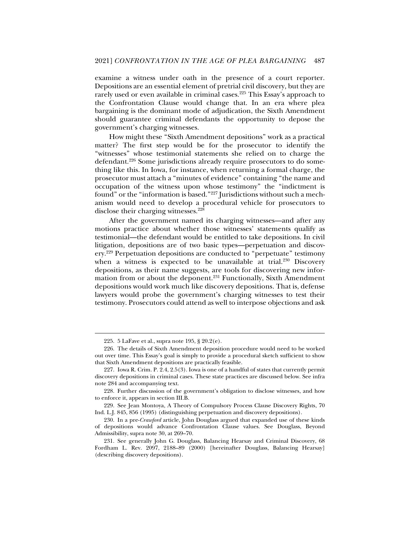examine a witness under oath in the presence of a court reporter. Depositions are an essential element of pretrial civil discovery, but they are rarely used or even available in criminal cases.<sup>225</sup> This Essay's approach to the Confrontation Clause would change that. In an era where plea bargaining is the dominant mode of adjudication, the Sixth Amendment should guarantee criminal defendants the opportunity to depose the government's charging witnesses.

How might these "Sixth Amendment depositions" work as a practical matter? The first step would be for the prosecutor to identify the "witnesses" whose testimonial statements she relied on to charge the defendant.<sup>226</sup> Some jurisdictions already require prosecutors to do something like this. In Iowa, for instance, when returning a formal charge, the prosecutor must attach a "minutes of evidence" containing "the name and occupation of the witness upon whose testimony" the "indictment is found" or the "information is based."227 Jurisdictions without such a mechanism would need to develop a procedural vehicle for prosecutors to disclose their charging witnesses.<sup>228</sup>

After the government named its charging witnesses—and after any motions practice about whether those witnesses' statements qualify as testimonial—the defendant would be entitled to take depositions. In civil litigation, depositions are of two basic types—perpetuation and discovery.229 Perpetuation depositions are conducted to "perpetuate" testimony when a witness is expected to be unavailable at trial.<sup>230</sup> Discovery depositions, as their name suggests, are tools for discovering new information from or about the deponent.<sup>231</sup> Functionally, Sixth Amendment depositions would work much like discovery depositions. That is, defense lawyers would probe the government's charging witnesses to test their testimony. Prosecutors could attend as well to interpose objections and ask

 <sup>225. 5</sup> LaFave et al., supra note 195, § 20.2(e).

 <sup>226.</sup> The details of Sixth Amendment deposition procedure would need to be worked out over time. This Essay's goal is simply to provide a procedural sketch sufficient to show that Sixth Amendment depositions are practically feasible.

 <sup>227.</sup> Iowa R. Crim. P. 2.4, 2.5(3). Iowa is one of a handful of states that currently permit discovery depositions in criminal cases. These state practices are discussed below. See infra note 284 and accompanying text.

 <sup>228.</sup> Further discussion of the government's obligation to disclose witnesses, and how to enforce it, appears in section III.B.

 <sup>229.</sup> See Jean Montoya, A Theory of Compulsory Process Clause Discovery Rights, 70 Ind. L.J. 845, 856 (1995) (distinguishing perpetuation and discovery depositions).

 <sup>230.</sup> In a pre-*Crawford* article, John Douglass argued that expanded use of these kinds of depositions would advance Confrontation Clause values. See Douglass, Beyond Admissibility, supra note 30, at 269–70.

 <sup>231.</sup> See generally John G. Douglass, Balancing Hearsay and Criminal Discovery, 68 Fordham L. Rev. 2097, 2188–89 (2000) [hereinafter Douglass, Balancing Hearsay] (describing discovery depositions).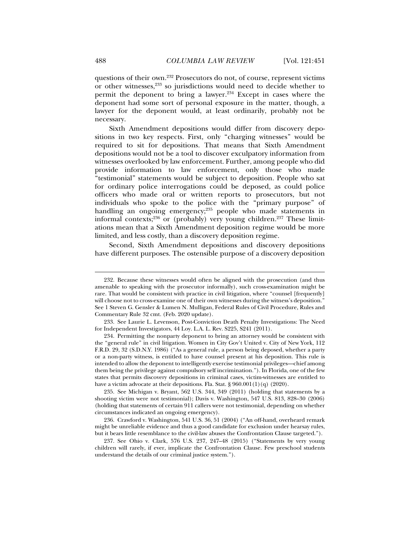questions of their own.232 Prosecutors do not, of course, represent victims or other witnesses,<sup>233</sup> so jurisdictions would need to decide whether to permit the deponent to bring a lawyer.234 Except in cases where the deponent had some sort of personal exposure in the matter, though, a lawyer for the deponent would, at least ordinarily, probably not be necessary.

Sixth Amendment depositions would differ from discovery depositions in two key respects. First, only "charging witnesses" would be required to sit for depositions. That means that Sixth Amendment depositions would not be a tool to discover exculpatory information from witnesses overlooked by law enforcement. Further, among people who did provide information to law enforcement, only those who made "testimonial" statements would be subject to deposition. People who sat for ordinary police interrogations could be deposed, as could police officers who made oral or written reports to prosecutors, but not individuals who spoke to the police with the "primary purpose" of handling an ongoing emergency;<sup>235</sup> people who made statements in informal contexts;<sup>236</sup> or (probably) very young children.<sup>237</sup> These limitations mean that a Sixth Amendment deposition regime would be more limited, and less costly, than a discovery deposition regime.

Second, Sixth Amendment depositions and discovery depositions have different purposes. The ostensible purpose of a discovery deposition

 235. See Michigan v. Bryant, 562 U.S. 344, 349 (2011) (holding that statements by a shooting victim were not testimonial); Davis v. Washington, 547 U.S. 813, 828–30 (2006) (holding that statements of certain 911 callers were not testimonial, depending on whether circumstances indicated an ongoing emergency).

 236. Crawford v. Washington, 541 U.S. 36, 51 (2004) ("An off-hand, overheard remark might be unreliable evidence and thus a good candidate for exclusion under hearsay rules, but it bears little resemblance to the civil-law abuses the Confrontation Clause targeted.").

 237. See Ohio v. Clark, 576 U.S. 237, 247–48 (2015) ("Statements by very young children will rarely, if ever, implicate the Confrontation Clause. Few preschool students understand the details of our criminal justice system.").

 <sup>232.</sup> Because these witnesses would often be aligned with the prosecution (and thus amenable to speaking with the prosecutor informally), such cross-examination might be rare. That would be consistent with practice in civil litigation, where "counsel [frequently] will choose not to cross-examine one of their own witnesses during the witness's deposition.' See 1 Steven G. Gensler & Lumen N. Mulligan, Federal Rules of Civil Procedure, Rules and Commentary Rule 32 cmt. (Feb. 2020 update).

 <sup>233.</sup> See Laurie L. Levenson, Post-Conviction Death Penalty Investigations: The Need for Independent Investigators, 44 Loy. L.A. L. Rev. S225, S241 (2011).

 <sup>234.</sup> Permitting the nonparty deponent to bring an attorney would be consistent with the "general rule" in civil litigation. Women in City Gov't United v. City of New York, 112 F.R.D. 29, 32 (S.D.N.Y. 1986) ("As a general rule, a person being deposed, whether a party or a non-party witness, is entitled to have counsel present at his deposition. This rule is intended to allow the deponent to intelligently exercise testimonial privileges—chief among them being the privilege against compulsory self incrimination."). In Florida, one of the few states that permits discovery depositions in criminal cases, victim-witnesses are entitled to have a victim advocate at their depositions. Fla. Stat. § 960.001(1)(q) (2020).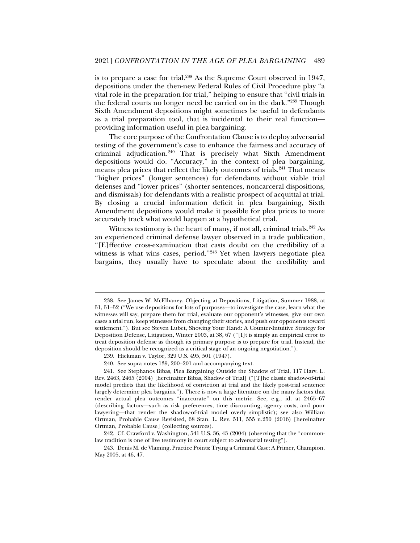is to prepare a case for trial.<sup>238</sup> As the Supreme Court observed in 1947, depositions under the then-new Federal Rules of Civil Procedure play "a vital role in the preparation for trial," helping to ensure that "civil trials in the federal courts no longer need be carried on in the dark."239 Though Sixth Amendment depositions might sometimes be useful to defendants as a trial preparation tool, that is incidental to their real function providing information useful in plea bargaining.

The core purpose of the Confrontation Clause is to deploy adversarial testing of the government's case to enhance the fairness and accuracy of criminal adjudication.<sup>240</sup> That is precisely what Sixth Amendment depositions would do. "Accuracy," in the context of plea bargaining, means plea prices that reflect the likely outcomes of trials.<sup>241</sup> That means "higher prices" (longer sentences) for defendants without viable trial defenses and "lower prices" (shorter sentences, noncarceral dispositions, and dismissals) for defendants with a realistic prospect of acquittal at trial. By closing a crucial information deficit in plea bargaining, Sixth Amendment depositions would make it possible for plea prices to more accurately track what would happen at a hypothetical trial.

Witness testimony is the heart of many, if not all, criminal trials.<sup>242</sup> As an experienced criminal defense lawyer observed in a trade publication, "[E]ffective cross-examination that casts doubt on the credibility of a witness is what wins cases, period."243 Yet when lawyers negotiate plea bargains, they usually have to speculate about the credibility and

 <sup>238.</sup> See James W. McElhaney, Objecting at Depositions, Litigation, Summer 1988, at 51, 51–52 ("We use depositions for lots of purposes—to investigate the case, learn what the witnesses will say, prepare them for trial, evaluate our opponent's witnesses, give our own cases a trial run, keep witnesses from changing their stories, and push our opponents toward settlement."). But see Steven Lubet, Showing Your Hand: A Counter-Intuitive Strategy for Deposition Defense, Litigation, Winter 2003, at 38, 67 ("[I]t is simply an empirical error to treat deposition defense as though its primary purpose is to prepare for trial. Instead, the deposition should be recognized as a critical stage of an ongoing negotiation.").

 <sup>239.</sup> Hickman v. Taylor, 329 U.S. 495, 501 (1947).

 <sup>240.</sup> See supra notes 139, 200–201 and accompanying text.

 <sup>241.</sup> See Stephanos Bibas, Plea Bargaining Outside the Shadow of Trial, 117 Harv. L. Rev. 2463, 2465 (2004) [hereinafter Bibas, Shadow of Trial] ("[T]he classic shadow-of-trial model predicts that the likelihood of conviction at trial and the likely post-trial sentence largely determine plea bargains."). There is now a large literature on the many factors that render actual plea outcomes "inaccurate" on this metric. See, e.g., id. at 2465–67 (describing factors—such as risk preferences, time discounting, agency costs, and poor lawyering—that render the shadow-of-trial model overly simplistic); see also William Ortman, Probable Cause Revisited, 68 Stan. L. Rev. 511, 555 n.250 (2016) [hereinafter Ortman, Probable Cause] (collecting sources).

 <sup>242.</sup> Cf. Crawford v. Washington, 541 U.S. 36, 43 (2004) (observing that the "commonlaw tradition is one of live testimony in court subject to adversarial testing").

 <sup>243.</sup> Denis M. de Vlaming, Practice Points: Trying a Criminal Case: A Primer, Champion, May 2005, at 46, 47.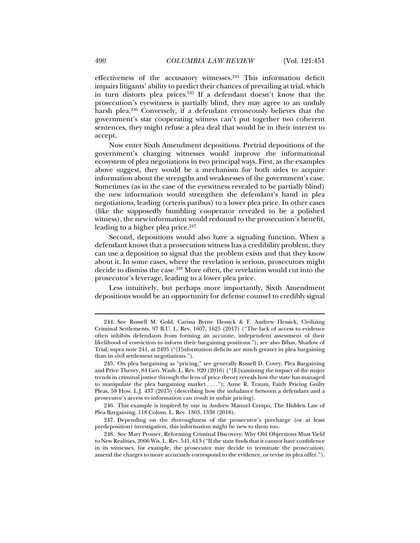effectiveness of the accusatory witnesses.244 This information deficit impairs litigants' ability to predict their chances of prevailing at trial, which in turn distorts plea prices.245 If a defendant doesn't know that the prosecution's eyewitness is partially blind, they may agree to an unduly harsh plea.<sup>246</sup> Conversely, if a defendant erroneously believes that the government's star cooperating witness can't put together two coherent sentences, they might refuse a plea deal that would be in their interest to accept.

Now enter Sixth Amendment depositions. Pretrial depositions of the government's charging witnesses would improve the informational ecosystem of plea negotiations in two principal ways. First, as the examples above suggest, they would be a mechanism for both sides to acquire information about the strengths and weaknesses of the government's case. Sometimes (as in the case of the eyewitness revealed to be partially blind) the new information would strengthen the defendant's hand in plea negotiations, leading (ceteris paribus) to a lower plea price. In other cases (like the supposedly bumbling cooperator revealed to be a polished witness), the new information would redound to the prosecution's benefit, leading to a higher plea price.<sup>247</sup>

Second, depositions would also have a signaling function. When a defendant knows that a prosecution witness has a credibility problem, they can use a deposition to signal that the problem exists and that they know about it. In some cases, where the revelation is serious, prosecutors might decide to dismiss the case.<sup>248</sup> More often, the revelation would cut into the prosecutor's leverage, leading to a lower plea price.

Less intuitively, but perhaps more importantly, Sixth Amendment depositions would be an opportunity for defense counsel to credibly signal

 <sup>244.</sup> See Russell M. Gold, Carissa Byrne Hessick & F. Andrew Hessick, Civilizing Criminal Settlements, 97 B.U. L. Rev. 1607, 1625 (2017) ("The lack of access to evidence often inhibits defendants from forming an accurate, independent assessment of their likelihood of conviction to inform their bargaining positions."); see also Bibas, Shadow of Trial, supra note 241, at 2495 ("[I]nformation deficits are much greater in plea bargaining than in civil settlement negotiations.").

 <sup>245.</sup> On plea bargaining as "pricing," see generally Russell D. Covey, Plea Bargaining and Price Theory, 84 Geo. Wash. L. Rev. 920 (2016) ("[E]xamining the impact of the major trends in criminal justice through the lens of price theory reveals how the state has managed to manipulate the plea bargaining market . . . ."); Anne R. Traum, Fairly Pricing Guilty Pleas, 58 How. L.J. 437 (2015) (describing how the imbalance between a defendant and a prosecutor's access to information can result in unfair pricing).

 <sup>246.</sup> This example is inspired by one in Andrew Manuel Crespo, The Hidden Law of Plea Bargaining, 118 Colum. L. Rev. 1303, 1338 (2018).

 <sup>247.</sup> Depending on the thoroughness of the prosecutor's precharge (or at least predeposition) investigation, this information might be new to them too.

 <sup>248.</sup> See Mary Prosser, Reforming Criminal Discovery: Why Old Objections Must Yield to New Realities, 2006 Wis. L. Rev. 541, 613 ("If the state finds that it cannot have confidence in its witnesses, for example, the prosecutor may decide to terminate the prosecution, amend the charges to more accurately correspond to the evidence, or revise its plea offer.").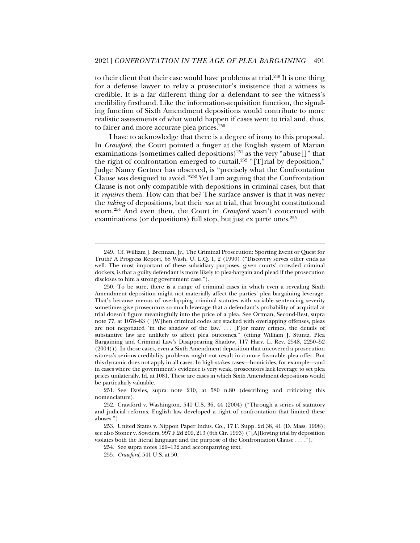to their client that their case would have problems at trial.<sup>249</sup> It is one thing for a defense lawyer to relay a prosecutor's insistence that a witness is credible. It is a far different thing for a defendant to see the witness's credibility firsthand. Like the information-acquisition function, the signaling function of Sixth Amendment depositions would contribute to more realistic assessments of what would happen if cases went to trial and, thus, to fairer and more accurate plea prices.<sup>250</sup>

I have to acknowledge that there is a degree of irony to this proposal. In *Crawford*, the Court pointed a finger at the English system of Marian examinations (sometimes called depositions)<sup>251</sup> as the very "abuse[]" that the right of confrontation emerged to curtail.<sup>252</sup> "[T]rial by deposition," Judge Nancy Gertner has observed, is "precisely what the Confrontation Clause was designed to avoid."253 Yet I am arguing that the Confrontation Clause is not only compatible with depositions in criminal cases, but that it *requires* them. How can that be? The surface answer is that it was never the *taking* of depositions, but their *use* at trial, that brought constitutional scorn.254 And even then, the Court in *Crawford* wasn't concerned with examinations (or depositions) full stop, but just ex parte ones.<sup>255</sup>

 <sup>249.</sup> Cf. William J. Brennan, Jr., The Criminal Prosecution: Sporting Event or Quest for Truth? A Progress Report, 68 Wash. U. L.Q. 1, 2 (1990) ("Discovery serves other ends as well. The most important of these subsidiary purposes, given courts' crowded criminal dockets, is that a guilty defendant is more likely to plea-bargain and plead if the prosecution discloses to him a strong government case.").

 <sup>250.</sup> To be sure, there is a range of criminal cases in which even a revealing Sixth Amendment deposition might not materially affect the parties' plea bargaining leverage. That's because menus of overlapping criminal statutes with variable sentencing severity sometimes give prosecutors so much leverage that a defendant's probability of acquittal at trial doesn't figure meaningfully into the price of a plea. See Ortman, Second-Best, supra note 77, at 1078–83 ("[W]hen criminal codes are stacked with overlapping offenses, pleas are not negotiated 'in the shadow of the law.' . . . [F]or many crimes, the details of substantive law are unlikely to affect plea outcomes." (citing William J. Stuntz, Plea Bargaining and Criminal Law's Disappearing Shadow, 117 Harv. L. Rev. 2548, 2250–52 (2004))). In those cases, even a Sixth Amendment deposition that uncovered a prosecution witness's serious credibility problems might not result in a more favorable plea offer. But this dynamic does not apply in all cases. In high-stakes cases—homicides, for example—and in cases where the government's evidence is very weak, prosecutors lack leverage to set plea prices unilaterally. Id. at 1081. These are cases in which Sixth Amendment depositions would be particularly valuable.

 <sup>251.</sup> See Davies, supra note 210, at 580 n.80 (describing and criticizing this nomenclature).

 <sup>252.</sup> Crawford v. Washington, 541 U.S. 36, 44 (2004) ("Through a series of statutory and judicial reforms, English law developed a right of confrontation that limited these abuses.").

 <sup>253.</sup> United States v. Nippon Paper Indus. Co., 17 F. Supp. 2d 38, 41 (D. Mass. 1998); see also Stoner v. Sowders, 997 F.2d 209, 213 (6th Cir. 1993) ("[A]llowing trial by deposition violates both the literal language and the purpose of the Confrontation Clause . . . .").

<sup>254.</sup> See supra notes 129–132 and accompanying text.

<sup>255</sup>*. Crawford*, 541 U.S. at 50.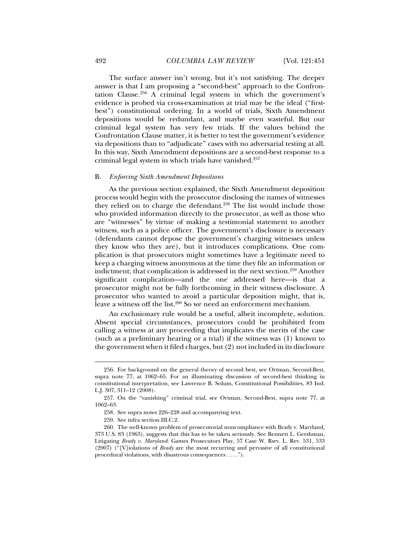answer is that I am proposing a "second-best" approach to the Confrontation Clause.256 A criminal legal system in which the government's evidence is probed via cross-examination at trial may be the ideal ("firstbest") constitutional ordering. In a world of trials, Sixth Amendment depositions would be redundant, and maybe even wasteful. But our criminal legal system has very few trials. If the values behind the Confrontation Clause matter, it is better to test the government's evidence via depositions than to "adjudicate" cases with no adversarial testing at all. In this way, Sixth Amendment depositions are a second-best response to a criminal legal system in which trials have vanished.257

#### B. *Enforcing Sixth Amendment Depositions*

As the previous section explained, the Sixth Amendment deposition process would begin with the prosecutor disclosing the names of witnesses they relied on to charge the defendant.<sup>258</sup> The list would include those who provided information directly to the prosecutor, as well as those who are "witnesses" by virtue of making a testimonial statement to another witness, such as a police officer. The government's disclosure is necessary (defendants cannot depose the government's charging witnesses unless they know who they are), but it introduces complications. One complication is that prosecutors might sometimes have a legitimate need to keep a charging witness anonymous at the time they file an information or indictment; that complication is addressed in the next section.<sup>259</sup> Another significant complication—and the one addressed here—is that a prosecutor might not be fully forthcoming in their witness disclosure. A prosecutor who wanted to avoid a particular deposition might, that is, leave a witness off the list.<sup>260</sup> So we need an enforcement mechanism.

An exclusionary rule would be a useful, albeit incomplete, solution. Absent special circumstances, prosecutors could be prohibited from calling a witness at any proceeding that implicates the merits of the case (such as a preliminary hearing or a trial) if the witness was (1) known to the government when it filed charges, but (2) not included in its disclosure

 <sup>256.</sup> For background on the general theory of second best, see Ortman, Second-Best, supra note 77, at 1062–65. For an illuminating discussion of second-best thinking in constitutional interpretation, see Lawrence B. Solum, Constitutional Possibilities, 83 Ind. L.J. 307, 311–12 (2008).

 <sup>257.</sup> On the "vanishing" criminal trial, see Ortman, Second-Best, supra note 77, at 1062–63.

 <sup>258.</sup> See supra notes 226–228 and accompanying text.

 <sup>259.</sup> See infra section III.C.2.

 <sup>260.</sup> The well-known problem of prosecutorial noncompliance with Brady v. Maryland, 373 U.S. 83 (1963), suggests that this has to be taken seriously. See Bennett L. Gershman, Litigating *Brady v. Maryland*: Games Prosecutors Play, 57 Case W. Rsrv. L. Rev. 531, 533 (2007) ("[V]iolations of *Brady* are the most recurring and pervasive of all constitutional procedural violations, with disastrous consequences . . . .").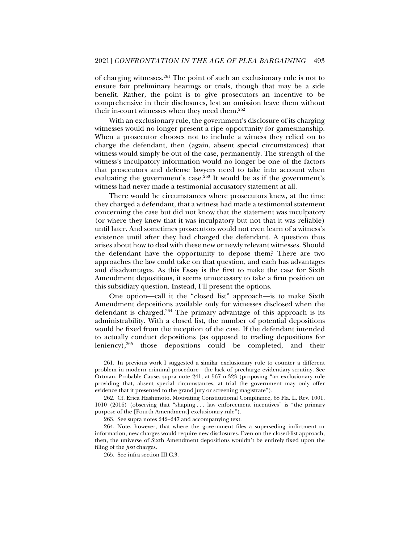of charging witnesses.261 The point of such an exclusionary rule is not to ensure fair preliminary hearings or trials, though that may be a side benefit. Rather, the point is to give prosecutors an incentive to be comprehensive in their disclosures, lest an omission leave them without their in-court witnesses when they need them.<sup>262</sup>

With an exclusionary rule, the government's disclosure of its charging witnesses would no longer present a ripe opportunity for gamesmanship. When a prosecutor chooses not to include a witness they relied on to charge the defendant, then (again, absent special circumstances) that witness would simply be out of the case, permanently. The strength of the witness's inculpatory information would no longer be one of the factors that prosecutors and defense lawyers need to take into account when evaluating the government's case.<sup>263</sup> It would be as if the government's witness had never made a testimonial accusatory statement at all.

There would be circumstances where prosecutors knew, at the time they charged a defendant, that a witness had made a testimonial statement concerning the case but did not know that the statement was inculpatory (or where they knew that it was inculpatory but not that it was reliable) until later. And sometimes prosecutors would not even learn of a witness's existence until after they had charged the defendant. A question thus arises about how to deal with these new or newly relevant witnesses. Should the defendant have the opportunity to depose them? There are two approaches the law could take on that question, and each has advantages and disadvantages. As this Essay is the first to make the case for Sixth Amendment depositions, it seems unnecessary to take a firm position on this subsidiary question. Instead, I'll present the options.

One option—call it the "closed list" approach—is to make Sixth Amendment depositions available only for witnesses disclosed when the defendant is charged.264 The primary advantage of this approach is its administrability. With a closed list, the number of potential depositions would be fixed from the inception of the case. If the defendant intended to actually conduct depositions (as opposed to trading depositions for leniency), $265$  those depositions could be completed, and their

 <sup>261.</sup> In previous work I suggested a similar exclusionary rule to counter a different problem in modern criminal procedure—the lack of precharge evidentiary scrutiny. See Ortman, Probable Cause, supra note 241, at 567 n.323 (proposing "an exclusionary rule providing that, absent special circumstances, at trial the government may only offer evidence that it presented to the grand jury or screening magistrate").

 <sup>262.</sup> Cf. Erica Hashimoto, Motivating Constitutional Compliance, 68 Fla. L. Rev. 1001, 1010 (2016) (observing that "shaping . . . law enforcement incentives" is "the primary purpose of the [Fourth Amendment] exclusionary rule").

 <sup>263.</sup> See supra notes 242–247 and accompanying text.

 <sup>264.</sup> Note, however, that where the government files a superseding indictment or information, new charges would require new disclosures. Even on the closed-list approach, then, the universe of Sixth Amendment depositions wouldn't be entirely fixed upon the filing of the *first* charges.

 <sup>265.</sup> See infra section III.C.3.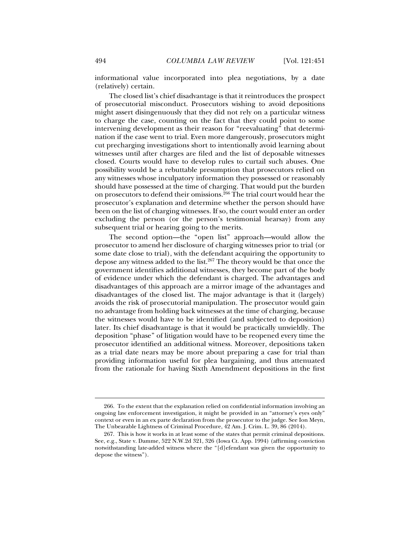informational value incorporated into plea negotiations, by a date (relatively) certain.

The closed list's chief disadvantage is that it reintroduces the prospect of prosecutorial misconduct. Prosecutors wishing to avoid depositions might assert disingenuously that they did not rely on a particular witness to charge the case, counting on the fact that they could point to some intervening development as their reason for "reevaluating" that determination if the case went to trial. Even more dangerously, prosecutors might cut precharging investigations short to intentionally avoid learning about witnesses until after charges are filed and the list of deposable witnesses closed. Courts would have to develop rules to curtail such abuses. One possibility would be a rebuttable presumption that prosecutors relied on any witnesses whose inculpatory information they possessed or reasonably should have possessed at the time of charging. That would put the burden on prosecutors to defend their omissions.<sup>266</sup> The trial court would hear the prosecutor's explanation and determine whether the person should have been on the list of charging witnesses. If so, the court would enter an order excluding the person (or the person's testimonial hearsay) from any subsequent trial or hearing going to the merits.

The second option—the "open list" approach—would allow the prosecutor to amend her disclosure of charging witnesses prior to trial (or some date close to trial), with the defendant acquiring the opportunity to depose any witness added to the list.267 The theory would be that once the government identifies additional witnesses, they become part of the body of evidence under which the defendant is charged. The advantages and disadvantages of this approach are a mirror image of the advantages and disadvantages of the closed list. The major advantage is that it (largely) avoids the risk of prosecutorial manipulation. The prosecutor would gain no advantage from holding back witnesses at the time of charging, because the witnesses would have to be identified (and subjected to deposition) later. Its chief disadvantage is that it would be practically unwieldly. The deposition "phase" of litigation would have to be reopened every time the prosecutor identified an additional witness. Moreover, depositions taken as a trial date nears may be more about preparing a case for trial than providing information useful for plea bargaining, and thus attenuated from the rationale for having Sixth Amendment depositions in the first

 <sup>266.</sup> To the extent that the explanation relied on confidential information involving an ongoing law enforcement investigation, it might be provided in an "attorney's eyes only" context or even in an ex parte declaration from the prosecutor to the judge. See Ion Meyn, The Unbearable Lightness of Criminal Procedure, 42 Am. J. Crim. L. 39, 86 (2014).

 <sup>267.</sup> This is how it works in at least some of the states that permit criminal depositions. See, e.g., State v. Damme, 522 N.W.2d 321, 326 (Iowa Ct. App. 1994) (affirming conviction notwithstanding late-added witness where the "[d]efendant was given the opportunity to depose the witness").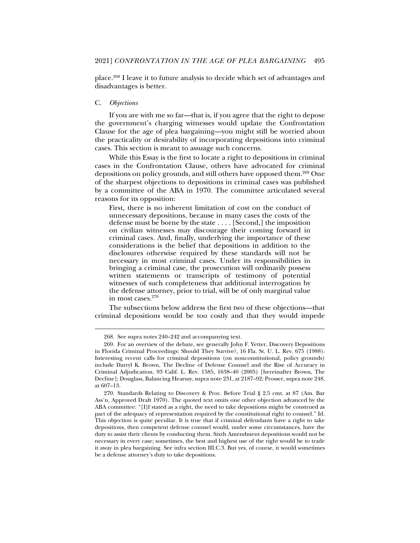place.268 I leave it to future analysis to decide which set of advantages and disadvantages is better.

#### C. *Objections*

j

If you are with me so far—that is, if you agree that the right to depose the government's charging witnesses would update the Confrontation Clause for the age of plea bargaining—you might still be worried about the practicality or desirability of incorporating depositions into criminal cases. This section is meant to assuage such concerns.

While this Essay is the first to locate a right to depositions in criminal cases in the Confrontation Clause, others have advocated for criminal depositions on policy grounds, and still others have opposed them.269 One of the sharpest objections to depositions in criminal cases was published by a committee of the ABA in 1970. The committee articulated several reasons for its opposition:

First, there is no inherent limitation of cost on the conduct of unnecessary depositions, because in many cases the costs of the defense must be borne by the state . . . . [Second,] the imposition on civilian witnesses may discourage their coming forward in criminal cases. And, finally, underlying the importance of these considerations is the belief that depositions in addition to the disclosures otherwise required by these standards will not be necessary in most criminal cases. Under its responsibilities in bringing a criminal case, the prosecution will ordinarily possess written statements or transcripts of testimony of potential witnesses of such completeness that additional interrogation by the defense attorney, prior to trial, will be of only marginal value in most cases.270

The subsections below address the first two of these objections—that criminal depositions would be too costly and that they would impede

 <sup>268.</sup> See supra notes 240–242 and accompanying text.

 <sup>269.</sup> For an overview of the debate, see generally John F. Yetter, Discovery Depositions in Florida Criminal Proceedings: Should They Survive?, 16 Fla. St. U. L. Rev. 675 (1988). Interesting recent calls for criminal depositions (on nonconstitutional, policy grounds) include Darryl K. Brown, The Decline of Defense Counsel and the Rise of Accuracy in Criminal Adjudication, 93 Calif. L. Rev. 1585, 1638–40 (2005) [hereinafter Brown, The Decline]; Douglass, Balancing Hearsay, supra note 231, at 2187–92; Prosser, supra note 248, at 607–13.

 <sup>270.</sup> Standards Relating to Discovery & Proc. Before Trial § 2.5 cmt. at 87 (Am. Bar Ass'n, Approved Draft 1970). The quoted text omits one other objection advanced by the ABA committee: "[I]f stated as a right, the need to take depositions might be construed as part of the adequacy of representation required by the constitutional right to counsel." Id. This objection is quite peculiar. It is true that if criminal defendants have a right to take depositions, then competent defense counsel would, under some circumstances, have the duty to assist their clients by conducting them. Sixth Amendment depositions would not be necessary in every case; sometimes, the best and highest use of the right would be to trade it away in plea bargaining. See infra section III.C.3. But yes, of course, it would sometimes be a defense attorney's duty to take depositions.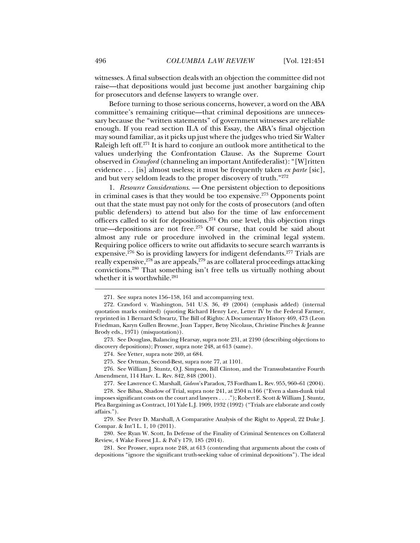witnesses. A final subsection deals with an objection the committee did not raise—that depositions would just become just another bargaining chip for prosecutors and defense lawyers to wrangle over.

Before turning to those serious concerns, however, a word on the ABA committee's remaining critique—that criminal depositions are unnecessary because the "written statements" of government witnesses are reliable enough. If you read section II.A of this Essay, the ABA's final objection may sound familiar, as it picks up just where the judges who tried Sir Walter Raleigh left off.<sup>271</sup> It is hard to conjure an outlook more antithetical to the values underlying the Confrontation Clause. As the Supreme Court observed in *Crawford* (channeling an important Antifederalist): "[W]ritten evidence . . . [is] almost useless; it must be frequently taken *ex parte* [sic], and but very seldom leads to the proper discovery of truth."272

1. *Resource Considerations*. — One persistent objection to depositions in criminal cases is that they would be too expensive.273 Opponents point out that the state must pay not only for the costs of prosecutors (and often public defenders) to attend but also for the time of law enforcement officers called to sit for depositions.<sup>274</sup> On one level, this objection rings true—depositions are not free.<sup>275</sup> Of course, that could be said about almost any rule or procedure involved in the criminal legal system. Requiring police officers to write out affidavits to secure search warrants is expensive.276 So is providing lawyers for indigent defendants.277 Trials are really expensive,  $278$  as are appeals,  $279$  as are collateral proceedings attacking convictions.280 That something isn't free tells us virtually nothing about whether it is worthwhile.<sup>281</sup>

 276. See William J. Stuntz, O.J. Simpson, Bill Clinton, and the Transsubstantive Fourth Amendment, 114 Harv. L. Rev. 842, 848 (2001).

 <sup>271.</sup> See supra notes 156–158, 161 and accompanying text.

 <sup>272.</sup> Crawford v. Washington, 541 U.S. 36, 49 (2004) (emphasis added) (internal quotation marks omitted) (quoting Richard Henry Lee, Letter IV by the Federal Farmer, reprinted in 1 Bernard Schwartz, The Bill of Rights: A Documentary History 469, 473 (Leon Friedman, Karyn Gullen Browne, Joan Tapper, Betsy Nicolaus, Christine Pinches & Jeanne Brody eds., 1971) (misquotation)).

 <sup>273.</sup> See Douglass, Balancing Hearsay, supra note 231, at 2190 (describing objections to discovery depositions); Prosser, supra note 248, at 613 (same).

 <sup>274.</sup> See Yetter, supra note 269, at 684.

 <sup>275.</sup> See Ortman, Second-Best, supra note 77, at 1101.

 <sup>277.</sup> See Lawrence C. Marshall, *Gideon*'s Paradox, 73 Fordham L. Rev. 955, 960–61 (2004).

 <sup>278.</sup> See Bibas, Shadow of Trial, supra note 241, at 2504 n.166 ("Even a slam-dunk trial imposes significant costs on the court and lawyers . . . ."); Robert E. Scott & William J. Stuntz, Plea Bargaining as Contract, 101 Yale L.J. 1909, 1932 (1992) ("Trials are elaborate and costly affairs.").

 <sup>279.</sup> See Peter D. Marshall, A Comparative Analysis of the Right to Appeal, 22 Duke J. Compar. & Int'l L. 1, 10 (2011).

 <sup>280.</sup> See Ryan W. Scott, In Defense of the Finality of Criminal Sentences on Collateral Review, 4 Wake Forest J.L. & Pol'y 179, 185 (2014).

 <sup>281.</sup> See Prosser, supra note 248, at 613 (contending that arguments about the costs of depositions "ignore the significant truth-seeking value of criminal depositions"). The ideal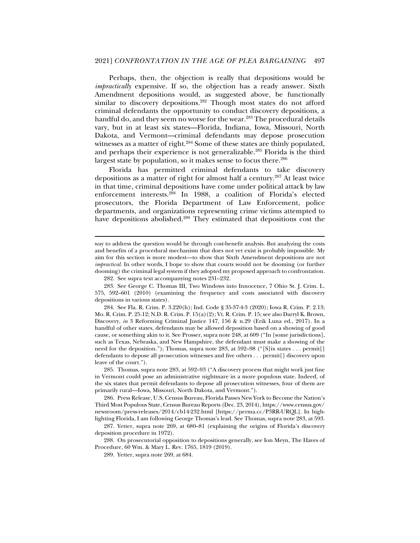Perhaps, then, the objection is really that depositions would be *impractically* expensive. If so, the objection has a ready answer. Sixth Amendment depositions would, as suggested above, be functionally similar to discovery depositions.<sup>282</sup> Though most states do not afford criminal defendants the opportunity to conduct discovery depositions, a handful do, and they seem no worse for the wear.<sup>283</sup> The procedural details vary, but in at least six states—Florida, Indiana, Iowa, Missouri, North Dakota, and Vermont—criminal defendants may depose prosecution witnesses as a matter of right.<sup>284</sup> Some of these states are thinly populated, and perhaps their experience is not generalizable.<sup>285</sup> Florida is the third largest state by population, so it makes sense to focus there.<sup>286</sup>

Florida has permitted criminal defendants to take discovery depositions as a matter of right for almost half a century.287 At least twice in that time, criminal depositions have come under political attack by law enforcement interests.<sup>288</sup> In 1988, a coalition of Florida's elected prosecutors, the Florida Department of Law Enforcement, police departments, and organizations representing crime victims attempted to have depositions abolished.<sup>289</sup> They estimated that depositions cost the

j

 287. Yetter, supra note 269, at 680–81 (explaining the origins of Florida's discovery deposition procedure in 1972).

 288. On prosecutorial opposition to depositions generally, see Ion Meyn, The Haves of Procedure, 60 Wm. & Mary L. Rev. 1765, 1819 (2019).

way to address the question would be through cost-benefit analysis. But analyzing the costs and benefits of a procedural mechanism that does not yet exist is probably impossible. My aim for this section is more modest—to show that Sixth Amendment depositions are not *impractical*. In other words, I hope to show that courts would not be dooming (or further dooming) the criminal legal system if they adopted my proposed approach to confrontation.

 <sup>282.</sup> See supra text accompanying notes 231–232.

 <sup>283.</sup> See George C. Thomas III, Two Windows into Innocence, 7 Ohio St. J. Crim. L. 575, 592–601 (2010) (examining the frequency and costs associated with discovery depositions in various states).

 <sup>284.</sup> See Fla. R. Crim. P. 3.220(h); Ind. Code § 35-37-4-3 (2020); Iowa R. Crim. P. 2.13; Mo. R. Crim. P. 25.12; N.D. R. Crim. P. 15(a)(2); Vt. R. Crim. P. 15; see also Darryl K. Brown, Discovery, *in* 3 Reforming Criminal Justice 147, 156 & n.29 (Erik Luna ed., 2017). In a handful of other states, defendants may be allowed deposition based on a showing of good cause, or something akin to it. See Prosser, supra note 248, at 609 ("In [some jurisdictions], such as Texas, Nebraska, and New Hampshire, the defendant must make a showing of the need for the deposition."); Thomas, supra note 283, at 592–98 ("[S] ix states . . . permit[] defendants to depose all prosecution witnesses and five others . . . permit[] discovery upon leave of the court.").

 <sup>285.</sup> Thomas, supra note 283, at 592–93 ("A discovery process that might work just fine in Vermont could pose an administrative nightmare in a more populous state. Indeed, of the six states that permit defendants to depose all prosecution witnesses, four of them are primarily rural—Iowa, Missouri, North Dakota, and Vermont.").

 <sup>286.</sup> Press Release, U.S. Census Bureau, Florida Passes New York to Become the Nation's Third Most Populous State, Census Bureau Reports (Dec. 23, 2014), https://www.census.gov/ newsroom/press-releases/2014/cb14-232.html [https://perma.cc/P3RR-URQL]. In highlighting Florida, I am following George Thomas's lead. See Thomas, supra note 283, at 593.

 <sup>289.</sup> Yetter, supra note 269, at 684.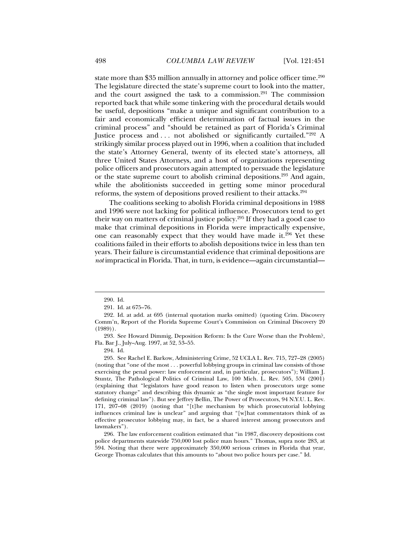state more than \$35 million annually in attorney and police officer time.<sup>290</sup> The legislature directed the state's supreme court to look into the matter, and the court assigned the task to a commission. $291$  The commission reported back that while some tinkering with the procedural details would be useful, depositions "make a unique and significant contribution to a fair and economically efficient determination of factual issues in the criminal process" and "should be retained as part of Florida's Criminal Justice process and . . . not abolished or significantly curtailed."292 A strikingly similar process played out in 1996, when a coalition that included the state's Attorney General, twenty of its elected state's attorneys, all three United States Attorneys, and a host of organizations representing police officers and prosecutors again attempted to persuade the legislature or the state supreme court to abolish criminal depositions.<sup>293</sup> And again, while the abolitionists succeeded in getting some minor procedural reforms, the system of depositions proved resilient to their attacks.294

The coalitions seeking to abolish Florida criminal depositions in 1988 and 1996 were not lacking for political influence. Prosecutors tend to get their way on matters of criminal justice policy.295 If they had a good case to make that criminal depositions in Florida were impractically expensive, one can reasonably expect that they would have made it.<sup>296</sup> Yet these coalitions failed in their efforts to abolish depositions twice in less than ten years. Their failure is circumstantial evidence that criminal depositions are *not* impractical in Florida. That, in turn, is evidence—again circumstantial—

 <sup>290.</sup> Id.

 <sup>291.</sup> Id. at 675–76.

 <sup>292.</sup> Id. at add. at 695 (internal quotation marks omitted) (quoting Crim. Discovery Comm'n, Report of the Florida Supreme Court's Commission on Criminal Discovery 20 (1989)).

 <sup>293.</sup> See Howard Dimmig, Deposition Reform: Is the Cure Worse than the Problem?, Fla. Bar J., July–Aug. 1997, at 52, 53–55.

 <sup>294.</sup> Id.

 <sup>295.</sup> See Rachel E. Barkow, Administering Crime, 52 UCLA L. Rev. 715, 727–28 (2005) (noting that "one of the most . . . powerful lobbying groups in criminal law consists of those exercising the penal power: law enforcement and, in particular, prosecutors"); William J. Stuntz, The Pathological Politics of Criminal Law, 100 Mich. L. Rev. 505, 534 (2001) (explaining that "legislators have good reason to listen when prosecutors urge some statutory change" and describing this dynamic as "the single most important feature for defining criminal law"). But see Jeffrey Bellin, The Power of Prosecutors, 94 N.Y.U. L. Rev. 171, 207–08 (2019) (noting that "[t]he mechanism by which prosecutorial lobbying influences criminal law is unclear" and arguing that "[w]hat commentators think of as effective prosecutor lobbying may, in fact, be a shared interest among prosecutors and lawmakers").

 <sup>296.</sup> The law enforcement coalition estimated that "in 1987, discovery depositions cost police departments statewide 750,000 lost police man hours." Thomas, supra note 283, at 594. Noting that there were approximately 350,000 serious crimes in Florida that year, George Thomas calculates that this amounts to "about two police hours per case." Id.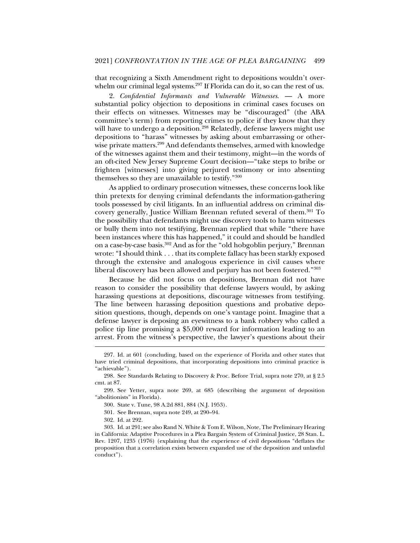that recognizing a Sixth Amendment right to depositions wouldn't overwhelm our criminal legal systems.<sup>297</sup> If Florida can do it, so can the rest of us.

2. *Confidential Informants and Vulnerable Witnesses*. — A more substantial policy objection to depositions in criminal cases focuses on their effects on witnesses. Witnesses may be "discouraged" (the ABA committee's term) from reporting crimes to police if they know that they will have to undergo a deposition.<sup>298</sup> Relatedly, defense lawyers might use depositions to "harass" witnesses by asking about embarrassing or otherwise private matters.<sup>299</sup> And defendants themselves, armed with knowledge of the witnesses against them and their testimony, might—in the words of an oft-cited New Jersey Supreme Court decision—"take steps to bribe or frighten [witnesses] into giving perjured testimony or into absenting themselves so they are unavailable to testify."300

As applied to ordinary prosecution witnesses, these concerns look like thin pretexts for denying criminal defendants the information-gathering tools possessed by civil litigants. In an influential address on criminal discovery generally, Justice William Brennan refuted several of them.301 To the possibility that defendants might use discovery tools to harm witnesses or bully them into not testifying, Brennan replied that while "there have been instances where this has happened," it could and should be handled on a case-by-case basis.302 And as for the "old hobgoblin perjury," Brennan wrote: "I should think . . . that its complete fallacy has been starkly exposed through the extensive and analogous experience in civil causes where liberal discovery has been allowed and perjury has not been fostered."303

Because he did not focus on depositions, Brennan did not have reason to consider the possibility that defense lawyers would, by asking harassing questions at depositions, discourage witnesses from testifying. The line between harassing deposition questions and probative deposition questions, though, depends on one's vantage point. Imagine that a defense lawyer is deposing an eyewitness to a bank robbery who called a police tip line promising a \$5,000 reward for information leading to an arrest. From the witness's perspective, the lawyer's questions about their

 <sup>297.</sup> Id. at 601 (concluding, based on the experience of Florida and other states that have tried criminal depositions, that incorporating depositions into criminal practice is "achievable").

 <sup>298.</sup> See Standards Relating to Discovery & Proc. Before Trial, supra note 270, at § 2.5 cmt. at 87.

 <sup>299.</sup> See Yetter, supra note 269, at 685 (describing the argument of deposition "abolitionists" in Florida).

 <sup>300.</sup> State v. Tune, 98 A.2d 881, 884 (N.J. 1953).

 <sup>301.</sup> See Brennan, supra note 249, at 290–94.

 <sup>302.</sup> Id. at 292.

 <sup>303.</sup> Id. at 291; see also Rand N. White & Tom E. Wilson, Note, The Preliminary Hearing in California: Adaptive Procedures in a Plea Bargain System of Criminal Justice, 28 Stan. L. Rev. 1207, 1235 (1976) (explaining that the experience of civil depositions "deflates the proposition that a correlation exists between expanded use of the deposition and unlawful conduct").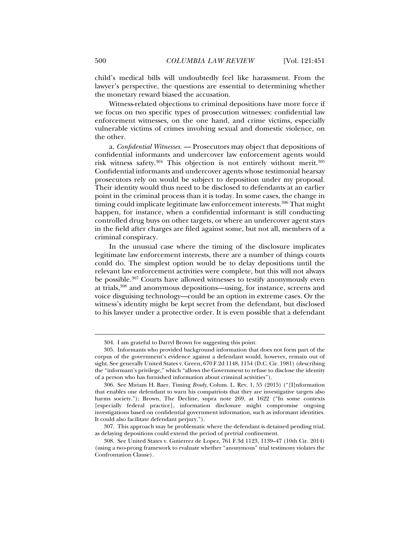child's medical bills will undoubtedly feel like harassment. From the lawyer's perspective, the questions are essential to determining whether the monetary reward biased the accusation.

Witness-related objections to criminal depositions have more force if we focus on two specific types of prosecution witnesses: confidential law enforcement witnesses, on the one hand, and crime victims, especially vulnerable victims of crimes involving sexual and domestic violence, on the other.

a. *Confidential Witnesses.* — Prosecutors may object that depositions of confidential informants and undercover law enforcement agents would risk witness safety.304 This objection is not entirely without merit.305 Confidential informants and undercover agents whose testimonial hearsay prosecutors rely on would be subject to deposition under my proposal. Their identity would thus need to be disclosed to defendants at an earlier point in the criminal process than it is today. In some cases, the change in timing could implicate legitimate law enforcement interests.<sup>306</sup> That might happen, for instance, when a confidential informant is still conducting controlled drug buys on other targets, or where an undercover agent stays in the field after charges are filed against some, but not all, members of a criminal conspiracy.

In the unusual case where the timing of the disclosure implicates legitimate law enforcement interests, there are a number of things courts could do. The simplest option would be to delay depositions until the relevant law enforcement activities were complete, but this will not always be possible.307 Courts have allowed witnesses to testify anonymously even at trials,308 and anonymous depositions—using, for instance, screens and voice disguising technology—could be an option in extreme cases. Or the witness's identity might be kept secret from the defendant, but disclosed to his lawyer under a protective order. It is even possible that a defendant

 <sup>304.</sup> I am grateful to Darryl Brown for suggesting this point.

 <sup>305.</sup> Informants who provided background information that does not form part of the corpus of the government's evidence against a defendant would, however, remain out of sight. See generally United States v. Green, 670 F.2d 1148, 1154 (D.C. Cir. 1981) (describing the "informant's privilege," which "allows the Government to refuse to disclose the identity of a person who has furnished information about criminal activities").

 <sup>306.</sup> See Miriam H. Baer, Timing *Brady*, Colum. L. Rev. 1, 55 (2015) ("[I]nformation that enables one defendant to warn his compatriots that they are investigative targets also harms society."); Brown, The Decline, supra note 269, at 1622 ("In some contexts [especially federal practice], information disclosure might compromise ongoing investigations based on confidential government information, such as informant identities. It could also facilitate defendant perjury.").

 <sup>307.</sup> This approach may be problematic where the defendant is detained pending trial, as delaying depositions could extend the period of pretrial confinement.

 <sup>308.</sup> See United States v. Gutierrez de Lopez, 761 F.3d 1123, 1139–47 (10th Cir. 2014) (using a two-prong framework to evaluate whether "anonymous" trial testimony violates the Confrontation Clause).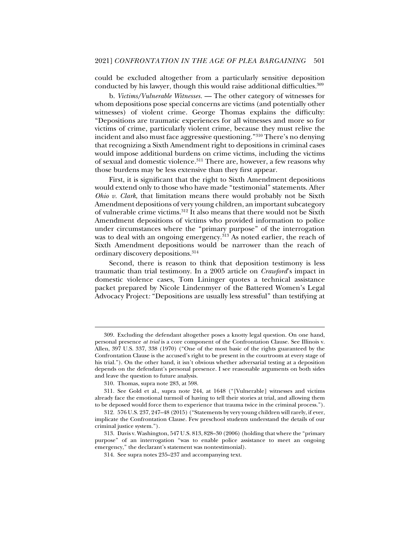could be excluded altogether from a particularly sensitive deposition conducted by his lawyer, though this would raise additional difficulties.309

b. *Victims/Vulnerable Witnesses.* — The other category of witnesses for whom depositions pose special concerns are victims (and potentially other witnesses) of violent crime. George Thomas explains the difficulty: "Depositions are traumatic experiences for all witnesses and more so for victims of crime, particularly violent crime, because they must relive the incident and also must face aggressive questioning."310 There's no denying that recognizing a Sixth Amendment right to depositions in criminal cases would impose additional burdens on crime victims, including the victims of sexual and domestic violence.311 There are, however, a few reasons why those burdens may be less extensive than they first appear.

First, it is significant that the right to Sixth Amendment depositions would extend only to those who have made "testimonial" statements. After *Ohio v. Clark*, that limitation means there would probably not be Sixth Amendment depositions of very young children, an important subcategory of vulnerable crime victims.312 It also means that there would not be Sixth Amendment depositions of victims who provided information to police under circumstances where the "primary purpose" of the interrogation was to deal with an ongoing emergency.<sup>313</sup> As noted earlier, the reach of Sixth Amendment depositions would be narrower than the reach of ordinary discovery depositions.314

Second, there is reason to think that deposition testimony is less traumatic than trial testimony. In a 2005 article on *Crawford*'s impact in domestic violence cases, Tom Lininger quotes a technical assistance packet prepared by Nicole Lindenmyer of the Battered Women's Legal Advocacy Project*:* "Depositions are usually less stressful" than testifying at

 <sup>309.</sup> Excluding the defendant altogether poses a knotty legal question. On one hand, personal presence *at trial* is a core component of the Confrontation Clause. See Illinois v. Allen, 397 U.S. 337, 338 (1970) ("One of the most basic of the rights guaranteed by the Confrontation Clause is the accused's right to be present in the courtroom at every stage of his trial."). On the other hand, it isn't obvious whether adversarial testing at a deposition depends on the defendant's personal presence. I see reasonable arguments on both sides and leave the question to future analysis.

 <sup>310.</sup> Thomas, supra note 283, at 598.

 <sup>311.</sup> See Gold et al., supra note 244, at 1648 ("[Vulnerable] witnesses and victims already face the emotional turmoil of having to tell their stories at trial, and allowing them to be deposed would force them to experience that trauma twice in the criminal process.").

 <sup>312. 576</sup> U.S. 237, 247–48 (2015) ("Statements by very young children will rarely, if ever, implicate the Confrontation Clause. Few preschool students understand the details of our criminal justice system.").

 <sup>313.</sup> Davis v. Washington, 547 U.S. 813, 828–30 (2006) (holding that where the "primary purpose" of an interrogation "was to enable police assistance to meet an ongoing emergency," the declarant's statement was nontestimonial).

 <sup>314.</sup> See supra notes 235–237 and accompanying text.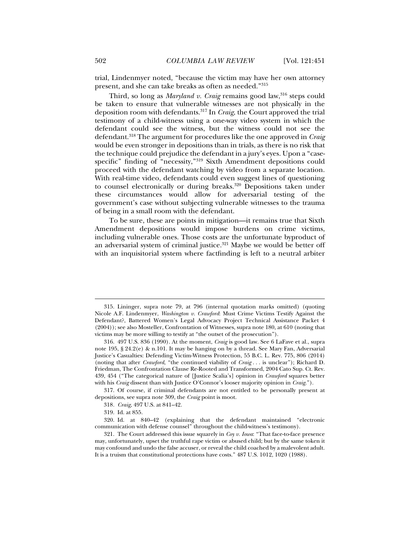trial, Lindenmyer noted, "because the victim may have her own attorney present, and she can take breaks as often as needed."315

Third, so long as *Maryland v. Craig* remains good law,<sup>316</sup> steps could be taken to ensure that vulnerable witnesses are not physically in the deposition room with defendants.317 In *Craig*, the Court approved the trial testimony of a child-witness using a one-way video system in which the defendant could see the witness, but the witness could not see the defendant.318 The argument for procedures like the one approved in *Craig* would be even stronger in depositions than in trials, as there is no risk that the technique could prejudice the defendant in a jury's eyes. Upon a "casespecific" finding of "necessity,"319 Sixth Amendment depositions could proceed with the defendant watching by video from a separate location. With real-time video, defendants could even suggest lines of questioning to counsel electronically or during breaks.<sup>320</sup> Depositions taken under these circumstances would allow for adversarial testing of the government's case without subjecting vulnerable witnesses to the trauma of being in a small room with the defendant.

To be sure, these are points in mitigation—it remains true that Sixth Amendment depositions would impose burdens on crime victims, including vulnerable ones. Those costs are the unfortunate byproduct of an adversarial system of criminal justice.<sup>321</sup> Maybe we would be better off with an inquisitorial system where factfinding is left to a neutral arbiter

 <sup>315.</sup> Lininger, supra note 79, at 796 (internal quotation marks omitted) (quoting Nicole A.F. Lindenmyer, *Washington v. Crawford*: Must Crime Victims Testify Against the Defendant?, Battered Women's Legal Advocacy Project Technical Assistance Packet 4 (2004)); see also Mosteller, Confrontation of Witnesses, supra note 180, at 610 (noting that victims may be more willing to testify at "the outset of the prosecution").

 <sup>316. 497</sup> U.S. 836 (1990). At the moment, *Craig* is good law. See 6 LaFave et al., supra note 195, § 24.2(e) & n.101. It may be hanging on by a thread. See Mary Fan, Adversarial Justice's Casualties: Defending Victim-Witness Protection, 55 B.C. L. Rev. 775, 806 (2014) (noting that after *Crawford*, "the continued viability of *Craig* . . . is unclear"); Richard D. Friedman, The Confrontation Clause Re-Rooted and Transformed, 2004 Cato Sup. Ct. Rev. 439, 454 ("The categorical nature of [Justice Scalia's] opinion in *Crawford* squares better with his *Craig* dissent than with Justice O'Connor's looser majority opinion in *Craig*.").

 <sup>317.</sup> Of course, if criminal defendants are not entitled to be personally present at depositions, see supra note 309, the *Craig* point is moot.

<sup>318</sup>*. Craig*, 497 U.S. at 841–42.

 <sup>319.</sup> Id. at 855.

 <sup>320.</sup> Id. at 840–42 (explaining that the defendant maintained "electronic communication with defense counsel" throughout the child-witness's testimony).

 <sup>321.</sup> The Court addressed this issue squarely in *Coy v. Iowa*: "That face-to-face presence may, unfortunately, upset the truthful rape victim or abused child; but by the same token it may confound and undo the false accuser, or reveal the child coached by a malevolent adult. It is a truism that constitutional protections have costs." 487 U.S. 1012, 1020 (1988).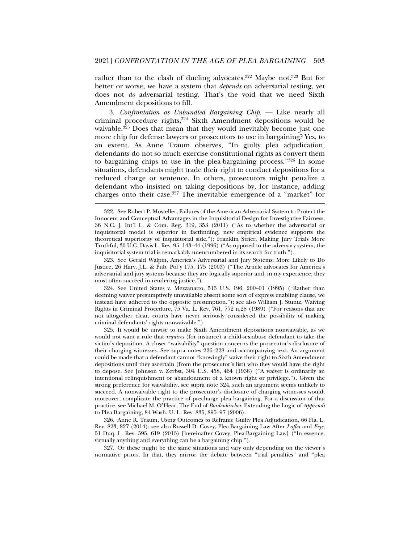rather than to the clash of dueling advocates.<sup>322</sup> Maybe not.<sup>323</sup> But for better or worse, we have a system that *depends* on adversarial testing, yet does not *do* adversarial testing. That's the void that we need Sixth Amendment depositions to fill.

3. *Confrontation as Unbundled Bargaining Chip*. — Like nearly all criminal procedure rights,<sup>324</sup> Sixth Amendment depositions would be waivable.<sup>325</sup> Does that mean that they would inevitably become just one more chip for defense lawyers or prosecutors to use in bargaining? Yes, to an extent. As Anne Traum observes, "In guilty plea adjudication, defendants do not so much exercise constitutional rights as convert them to bargaining chips to use in the plea-bargaining process."326 In some situations, defendants might trade their right to conduct depositions for a reduced charge or sentence. In others, prosecutors might penalize a defendant who insisted on taking depositions by, for instance, adding charges onto their case.<sup>327</sup> The inevitable emergence of a "market" for

j

 323. See Gerald Walpin, America's Adversarial and Jury Systems: More Likely to Do Justice*,* 26 Harv. J.L. & Pub. Pol'y 175, 175 (2003) ("The Article advocates for America's adversarial and jury systems because they are logically superior and, in my experience, they most often succeed in rendering justice.").

 324. See United States v. Mezzanatto, 513 U.S. 196, 200–01 (1995) ("Rather than deeming waiver presumptively unavailable absent some sort of express enabling clause, we instead have adhered to the opposite presumption."); see also William J. Stuntz, Waiving Rights in Criminal Procedure, 75 Va. L. Rev. 761, 772 n.28 (1989) ("For reasons that are not altogether clear, courts have never seriously considered the possibility of making criminal defendants' rights nonwaivable.").

 325. It would be unwise to make Sixth Amendment depositions nonwaivable, as we would not want a rule that *requires* (for instance) a child-sex-abuse defendant to take the victim's deposition. A closer "waivability" question concerns the prosecutor's disclosure of their charging witnesses*.* See supra notes 226–228 and accompanying text. An argument could be made that a defendant cannot "knowingly" waive their right to Sixth Amendment depositions until they ascertain (from the prosecutor's list) who they would have the right to depose. See Johnson v. Zerbst, 304 U.S. 458, 464 (1938) ("A waiver is ordinarily an intentional relinquishment or abandonment of a known right or privilege."). Given the strong preference for waivability, see supra note 324, such an argument seems unlikely to succeed. A nonwaivable right to the prosecutor's disclosure of charging witnesses would, moreover, complicate the practice of precharge plea bargaining. For a discussion of that practice, see Michael M. O'Hear, The End of *Bordenkircher*: Extending the Logic of *Apprendi*  to Plea Bargaining, 84 Wash. U. L. Rev. 835, 895–97 (2006).

 326. Anne R. Traum, Using Outcomes to Reframe Guilty Plea Adjudication, 66 Fla. L. Rev. 823, 827 (2014); see also Russell D. Covey, Plea-Bargaining Law After *Lafler* and *Frye*, 51 Duq. L. Rev. 595, 619 (2013) [hereinafter Covey, Plea-Bargaining Law] ("In essence, virtually anything and everything can be a bargaining chip.").

 327. Or these might be the same situations and vary only depending on the viewer's normative priors. In that, they mirror the debate between "trial penalties" and "plea

 <sup>322.</sup> See Robert P. Mosteller, Failures of the American Adversarial System to Protect the Innocent and Conceptual Advantages in the Inquisitorial Design for Investigative Fairness, 36 N.C. J. Int'l L. & Com. Reg. 319, 353 (2011) ("As to whether the adversarial or inquisitorial model is superior in factfinding, new empirical evidence supports the theoretical superiority of inquisitorial side."); Franklin Strier, Making Jury Trials More Truthful, 30 U.C. Davis L. Rev. 95, 143–44 (1996) ("As opposed to the adversary system, the inquisitorial system trial is remarkably unencumbered in its search for truth.").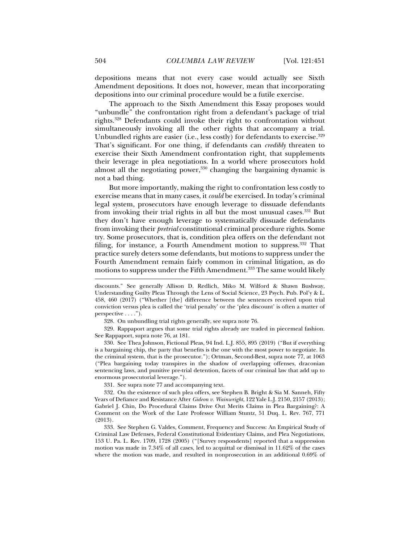depositions means that not every case would actually see Sixth Amendment depositions. It does not, however, mean that incorporating depositions into our criminal procedure would be a futile exercise.

The approach to the Sixth Amendment this Essay proposes would "unbundle" the confrontation right from a defendant's package of trial rights.328 Defendants could invoke their right to confrontation without simultaneously invoking all the other rights that accompany a trial. Unbundled rights are easier (i.e., less costly) for defendants to exercise.<sup>329</sup> That's significant. For one thing, if defendants can *credibly* threaten to exercise their Sixth Amendment confrontation right, that supplements their leverage in plea negotiations. In a world where prosecutors hold almost all the negotiating power,  $330$  changing the bargaining dynamic is not a bad thing.

But more importantly, making the right to confrontation less costly to exercise means that in many cases, it *could* be exercised. In today's criminal legal system, prosecutors have enough leverage to dissuade defendants from invoking their trial rights in all but the most unusual cases.331 But they don't have enough leverage to systematically dissuade defendants from invoking their *pretrial* constitutional criminal procedure rights. Some try. Some prosecutors, that is, condition plea offers on the defendant not filing, for instance, a Fourth Amendment motion to suppress.<sup>332</sup> That practice surely deters some defendants, but motions to suppress under the Fourth Amendment remain fairly common in criminal litigation, as do motions to suppress under the Fifth Amendment.<sup>333</sup> The same would likely

 329. Rappaport argues that some trial rights already are traded in piecemeal fashion. See Rappaport, supra note 76, at 181.

 330. See Thea Johnson, Fictional Pleas, 94 Ind. L.J. 855, 895 (2019) ("But if everything is a bargaining chip, the party that benefits is the one with the most power to negotiate. In the criminal system, that is the prosecutor."); Ortman, Second-Best, supra note 77, at 1063 ("Plea bargaining today transpires in the shadow of overlapping offenses, draconian sentencing laws, and punitive pre-trial detention, facets of our criminal law that add up to enormous prosecutorial leverage.").

331. See supra note 77 and accompanying text.

 332. On the existence of such plea offers, see Stephen B. Bright & Sia M. Sanneh, Fifty Years of Defiance and Resistance After *Gideon v. Wainwright*, 122 Yale L.J. 2150, 2157 (2013); Gabriel J. Chin, Do Procedural Claims Drive Out Merits Claims in Plea Bargaining?: A Comment on the Work of the Late Professor William Stuntz, 51 Duq. L. Rev. 767, 771 (2013).

 333. See Stephen G. Valdes, Comment, Frequency and Success: An Empirical Study of Criminal Law Defenses, Federal Constitutional Evidentiary Claims, and Plea Negotiations, 153 U. Pa. L. Rev. 1709, 1728 (2005) ("[Survey respondents] reported that a suppression motion was made in 7.34% of all cases, led to acquittal or dismissal in 11.62% of the cases where the motion was made, and resulted in nonprosecution in an additional 0.69% of

discounts." See generally Allison D. Redlich, Miko M. Wilford & Shawn Bushway, Understanding Guilty Pleas Through the Lens of Social Science, 23 Psych. Pub. Pol'y & L. 458, 460 (2017) ("Whether [the] difference between the sentences received upon trial conviction versus plea is called the 'trial penalty' or the 'plea discount' is often a matter of perspective . . . .").

 <sup>328.</sup> On unbundling trial rights generally, see supra note 76.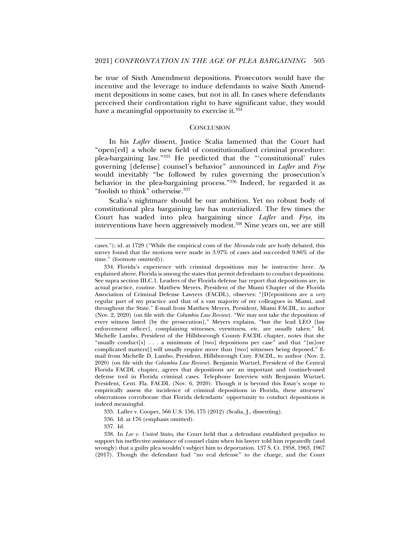be true of Sixth Amendment depositions. Prosecutors would have the incentive and the leverage to induce defendants to waive Sixth Amendment depositions in some cases, but not in all. In cases where defendants perceived their confrontation right to have significant value, they would have a meaningful opportunity to exercise it.<sup>334</sup>

#### **CONCLUSION**

In his *Lafler* dissent, Justice Scalia lamented that the Court had "open[ed] a whole new field of constitutionalized criminal procedure: plea-bargaining law."335 He predicted that the "'constitutional' rules governing [defense] counsel's behavior" announced in *Lafler* and *Frye* would inevitably "be followed by rules governing the prosecution's behavior in the plea-bargaining process."336 Indeed, he regarded it as "foolish to think" otherwise.<sup>337</sup>

Scalia's nightmare should be our ambition. Yet no robust body of constitutional plea bargaining law has materialized. The few times the Court has waded into plea bargaining since *Lafler* and *Frye*, its interventions have been aggressively modest.<sup>338</sup> Nine years on, we are still

336. Id. at 176 (emphasis omitted).

337. Id.

cases."); id. at 1729 ("While the empirical costs of the *Miranda* rule are hotly debated, this survey found that the motions were made in 3.97% of cases and succeeded 9.86% of the time." (footnote omitted)).

 <sup>334.</sup> Florida's experience with criminal depositions may be instructive here. As explained above, Florida is among the states that permit defendants to conduct depositions. See supra section III.C.1. Leaders of the Florida defense bar report that depositions are, in actual practice, routine. Matthew Meyers, President of the Miami Chapter of the Florida Association of Criminal Defense Lawyers (FACDL), observes: "[D]epositions are a *very*  regular part of my practice and that of a vast majority of my colleagues in Miami, and throughout the State." E-mail from Matthew Meyers, President, Miami FACDL, to author (Nov. 2, 2020) (on file with the *Columbia Law Review*). "We may not take the deposition of every witness listed [by the prosecution]," Meyers explains, "but the lead LEO [law enforcement officer], complaining witnesses, eyewitness, etc. are usually taken." Id. Michelle Lambo, President of the Hillsborough County FACDL chapter, notes that she "usually conduct[s] . . . a minimum of [two] depositions per case" and that "[m]ore complicated matters[] will usually require more than [two] witnesses being deposed." Email from Michelle D. Lambo, President, Hillsborough Cnty. FACDL, to author (Nov. 2, 2020) (on file with the *Columbia Law Review*). Benjamin Wurtzel, President of the Central Florida FACDL chapter, agrees that depositions are an important and routinely-used defense tool in Florida criminal cases. Telephone Interview with Benjamin Wurtzel, President, Cent. Fla. FACDL (Nov. 6, 2020). Though it is beyond this Essay's scope to empirically assess the incidence of criminal depositions in Florida, these attorneys' observations corroborate that Florida defendants' opportunity to conduct depositions is indeed meaningful.

 <sup>335.</sup> Lafler v. Cooper, 566 U.S. 156, 175 (2012) (Scalia, J., dissenting).

 <sup>338.</sup> In *Lee v. United States*, the Court held that a defendant established prejudice to support his ineffective assistance of counsel claim when his lawyer told him repeatedly (and wrongly) that a guilty plea wouldn't subject him to deportation. 137 S. Ct. 1958, 1963, 1967 (2017). Though the defendant had "no real defense" to the charge, and the Court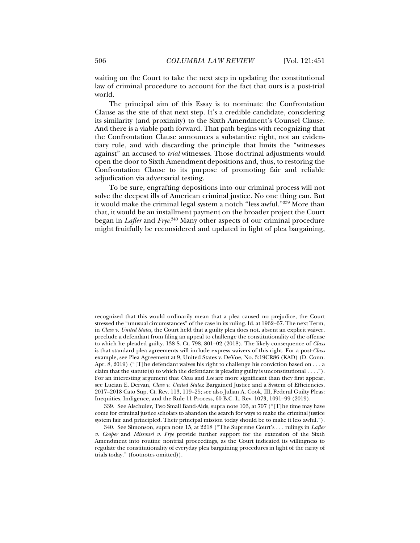waiting on the Court to take the next step in updating the constitutional law of criminal procedure to account for the fact that ours is a post-trial world.

The principal aim of this Essay is to nominate the Confrontation Clause as the site of that next step. It's a credible candidate, considering its similarity (and proximity) to the Sixth Amendment's Counsel Clause. And there is a viable path forward. That path begins with recognizing that the Confrontation Clause announces a substantive right, not an evidentiary rule, and with discarding the principle that limits the "witnesses against" an accused to *trial* witnesses. Those doctrinal adjustments would open the door to Sixth Amendment depositions and, thus, to restoring the Confrontation Clause to its purpose of promoting fair and reliable adjudication via adversarial testing.

To be sure, engrafting depositions into our criminal process will not solve the deepest ills of American criminal justice. No one thing can. But it would make the criminal legal system a notch "less awful."339 More than that, it would be an installment payment on the broader project the Court began in *Lafler* and *Frye*. 340 Many other aspects of our criminal procedure might fruitfully be reconsidered and updated in light of plea bargaining,

 339. See Alschuler, Two Small Band-Aids, supra note 103, at 707 ("[T]he time may have come for criminal justice scholars to abandon the search for ways to make the criminal justice system fair and principled. Their principal mission today should be to make it less awful.").

recognized that this would ordinarily mean that a plea caused no prejudice, the Court stressed the "unusual circumstances" of the case in its ruling. Id. at 1962–67. The next Term, in *Class v. United States*, the Court held that a guilty plea does not, absent an explicit waiver, preclude a defendant from filing an appeal to challenge the constitutionality of the offense to which he pleaded guilty. 138 S. Ct. 798, 801–02 (2018). The likely consequence of *Class* is that standard plea agreements will include express waivers of this right. For a post-*Class* example, see Plea Agreement at 9, United States v. DeVoe, No. 3:19CR86 (KAD) (D. Conn. Apr. 8, 2019) ("[T]he defendant waives his right to challenge his conviction based on ... a claim that the statute (s) to which the defendant is pleading guilty is unconstitutional  $\dots$ ."). For an interesting argument that *Class* and *Lee* are more significant than they first appear, see Lucian E. Dervan, *Class v. United States*: Bargained Justice and a System of Efficiencies, 2017–2018 Cato Sup. Ct. Rev. 113, 119–25; see also Julian A. Cook, III, Federal Guilty Pleas: Inequities, Indigence, and the Rule 11 Process, 60 B.C. L. Rev. 1073, 1091–99 (2019).

 <sup>340.</sup> See Simonson, supra note 15, at 2218 ("The Supreme Court's . . . rulings in *Lafler v. Cooper* and *Missouri v. Frye* provide further support for the extension of the Sixth Amendment into routine nontrial proceedings, as the Court indicated its willingness to regulate the constitutionality of everyday plea bargaining procedures in light of the rarity of trials today." (footnotes omitted)).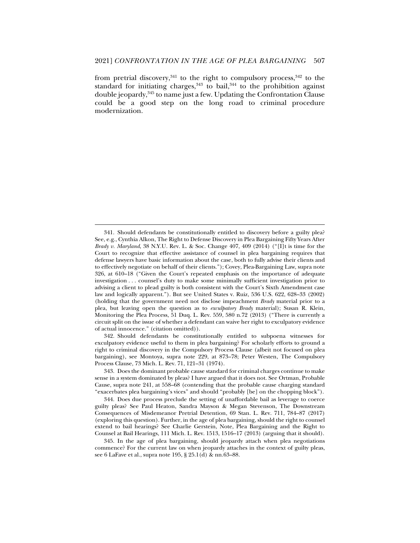from pretrial discovery, $341$  to the right to compulsory process,  $342$  to the standard for initiating charges, $343$  to bail, $344$  to the prohibition against double jeopardy,345 to name just a few. Updating the Confrontation Clause could be a good step on the long road to criminal procedure modernization.

j

 342. Should defendants be constitutionally entitled to subpoena witnesses for exculpatory evidence useful to them in plea bargaining? For scholarly efforts to ground a right to criminal discovery in the Compulsory Process Clause (albeit not focused on plea bargaining), see Montoya, supra note 229, at 873–78; Peter Westen, The Compulsory Process Clause, 73 Mich. L. Rev. 71, 121–31 (1974).

 343. Does the dominant probable cause standard for criminal charges continue to make sense in a system dominated by pleas? I have argued that it does not. See Ortman, Probable Cause, supra note 241, at 558–68 (contending that the probable cause charging standard "exacerbates plea bargaining's vices" and should "probably [be] on the chopping block").

 344. Does due process preclude the setting of unaffordable bail as leverage to coerce guilty pleas? See Paul Heaton, Sandra Mayson & Megan Stevenson, The Downstream Consequences of Misdemeanor Pretrial Detention, 69 Stan. L. Rev. 711, 784–87 (2017) (exploring this question). Further, in the age of plea bargaining, should the right to counsel extend to bail hearings? See Charlie Gerstein, Note, Plea Bargaining and the Right to Counsel at Bail Hearings, 111 Mich. L. Rev. 1513, 1516–17 (2013) (arguing that it should).

 <sup>341.</sup> Should defendants be constitutionally entitled to discovery before a guilty plea? See, e.g., Cynthia Alkon, The Right to Defense Discovery in Plea Bargaining Fifty Years After *Brady v. Maryland*, 38 N.Y.U. Rev. L. & Soc. Change 407, 409 (2014) ("[I]t is time for the Court to recognize that effective assistance of counsel in plea bargaining requires that defense lawyers have basic information about the case, both to fully advise their clients and to effectively negotiate on behalf of their clients."); Covey, Plea-Bargaining Law, supra note 326, at 610–18 ("Given the Court's repeated emphasis on the importance of adequate investigation . . . counsel's duty to make some minimally sufficient investigation prior to advising a client to plead guilty is both consistent with the Court's Sixth Amendment case law and logically apparent."). But see United States v. Ruiz, 536 U.S. 622, 628–33 (2002) (holding that the government need not disclose impeachment *Brady* material prior to a plea, but leaving open the question as to *exculpatory Brady* material); Susan R. Klein, Monitoring the Plea Process, 51 Duq. L. Rev. 559, 580 n.72 (2013) ("There is currently a circuit split on the issue of whether a defendant can waive her right to exculpatory evidence of actual innocence." (citation omitted)).

 <sup>345.</sup> In the age of plea bargaining, should jeopardy attach when plea negotiations commence? For the current law on when jeopardy attaches in the context of guilty pleas, see 6 LaFave et al., supra note 195, § 25.1(d) & nn.63–88.